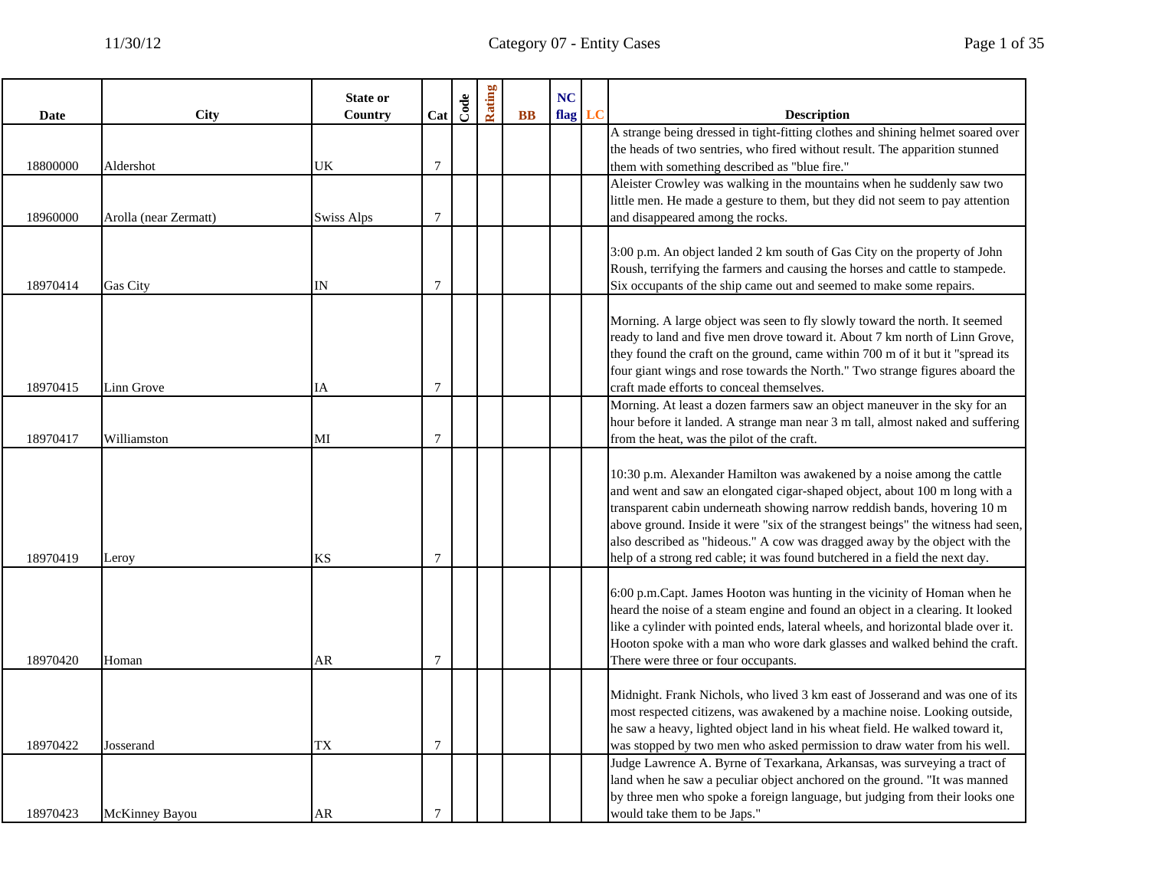|             |                       | <b>State or</b> |                | Code | Rating |              | NC   |    |                                                                                                                                                           |
|-------------|-----------------------|-----------------|----------------|------|--------|--------------|------|----|-----------------------------------------------------------------------------------------------------------------------------------------------------------|
| <b>Date</b> | <b>City</b>           | Country         | Cat            |      |        | $\mathbf{B}$ | flag | LC | <b>Description</b>                                                                                                                                        |
|             |                       |                 |                |      |        |              |      |    | A strange being dressed in tight-fitting clothes and shining helmet soared over                                                                           |
|             |                       |                 |                |      |        |              |      |    | the heads of two sentries, who fired without result. The apparition stunned                                                                               |
| 18800000    | Aldershot             | UK              | $\overline{7}$ |      |        |              |      |    | them with something described as "blue fire."                                                                                                             |
|             |                       |                 |                |      |        |              |      |    | Aleister Crowley was walking in the mountains when he suddenly saw two                                                                                    |
|             |                       |                 |                |      |        |              |      |    | little men. He made a gesture to them, but they did not seem to pay attention                                                                             |
| 18960000    | Arolla (near Zermatt) | Swiss Alps      | 7              |      |        |              |      |    | and disappeared among the rocks.                                                                                                                          |
|             |                       |                 |                |      |        |              |      |    | 3:00 p.m. An object landed 2 km south of Gas City on the property of John                                                                                 |
|             |                       |                 |                |      |        |              |      |    | Roush, terrifying the farmers and causing the horses and cattle to stampede.                                                                              |
| 18970414    | Gas City              | IN              | $\overline{7}$ |      |        |              |      |    | Six occupants of the ship came out and seemed to make some repairs.                                                                                       |
|             |                       |                 |                |      |        |              |      |    |                                                                                                                                                           |
|             |                       |                 |                |      |        |              |      |    | Morning. A large object was seen to fly slowly toward the north. It seemed                                                                                |
|             |                       |                 |                |      |        |              |      |    | ready to land and five men drove toward it. About 7 km north of Linn Grove,                                                                               |
|             |                       |                 |                |      |        |              |      |    | they found the craft on the ground, came within 700 m of it but it "spread its                                                                            |
|             |                       |                 |                |      |        |              |      |    | four giant wings and rose towards the North." Two strange figures aboard the                                                                              |
| 18970415    | Linn Grove            | IA              | $\overline{7}$ |      |        |              |      |    | craft made efforts to conceal themselves.                                                                                                                 |
|             |                       |                 |                |      |        |              |      |    | Morning. At least a dozen farmers saw an object maneuver in the sky for an                                                                                |
|             |                       |                 |                |      |        |              |      |    | hour before it landed. A strange man near 3 m tall, almost naked and suffering                                                                            |
| 18970417    | Williamston           | MI              | 7              |      |        |              |      |    | from the heat, was the pilot of the craft.                                                                                                                |
|             |                       |                 |                |      |        |              |      |    |                                                                                                                                                           |
|             |                       |                 |                |      |        |              |      |    | 10:30 p.m. Alexander Hamilton was awakened by a noise among the cattle                                                                                    |
|             |                       |                 |                |      |        |              |      |    | and went and saw an elongated cigar-shaped object, about 100 m long with a                                                                                |
|             |                       |                 |                |      |        |              |      |    | transparent cabin underneath showing narrow reddish bands, hovering 10 m                                                                                  |
|             |                       |                 |                |      |        |              |      |    | above ground. Inside it were "six of the strangest beings" the witness had seen,                                                                          |
| 18970419    | Leroy                 | KS              | 7              |      |        |              |      |    | also described as "hideous." A cow was dragged away by the object with the<br>help of a strong red cable; it was found butchered in a field the next day. |
|             |                       |                 |                |      |        |              |      |    |                                                                                                                                                           |
|             |                       |                 |                |      |        |              |      |    | 6:00 p.m.Capt. James Hooton was hunting in the vicinity of Homan when he                                                                                  |
|             |                       |                 |                |      |        |              |      |    | heard the noise of a steam engine and found an object in a clearing. It looked                                                                            |
|             |                       |                 |                |      |        |              |      |    | like a cylinder with pointed ends, lateral wheels, and horizontal blade over it.                                                                          |
|             |                       |                 |                |      |        |              |      |    | Hooton spoke with a man who wore dark glasses and walked behind the craft.                                                                                |
| 18970420    | Homan                 | AR              | 7              |      |        |              |      |    | There were three or four occupants.                                                                                                                       |
|             |                       |                 |                |      |        |              |      |    |                                                                                                                                                           |
|             |                       |                 |                |      |        |              |      |    | Midnight. Frank Nichols, who lived 3 km east of Josserand and was one of its                                                                              |
|             |                       |                 |                |      |        |              |      |    | most respected citizens, was awakened by a machine noise. Looking outside,                                                                                |
|             |                       |                 |                |      |        |              |      |    | he saw a heavy, lighted object land in his wheat field. He walked toward it,                                                                              |
| 18970422    | Josserand             | TX              | 7              |      |        |              |      |    | was stopped by two men who asked permission to draw water from his well.                                                                                  |
|             |                       |                 |                |      |        |              |      |    | Judge Lawrence A. Byrne of Texarkana, Arkansas, was surveying a tract of                                                                                  |
|             |                       |                 |                |      |        |              |      |    | land when he saw a peculiar object anchored on the ground. "It was manned                                                                                 |
|             |                       |                 |                |      |        |              |      |    | by three men who spoke a foreign language, but judging from their looks one                                                                               |
| 18970423    | McKinney Bayou        | AR              | 7              |      |        |              |      |    | would take them to be Japs."                                                                                                                              |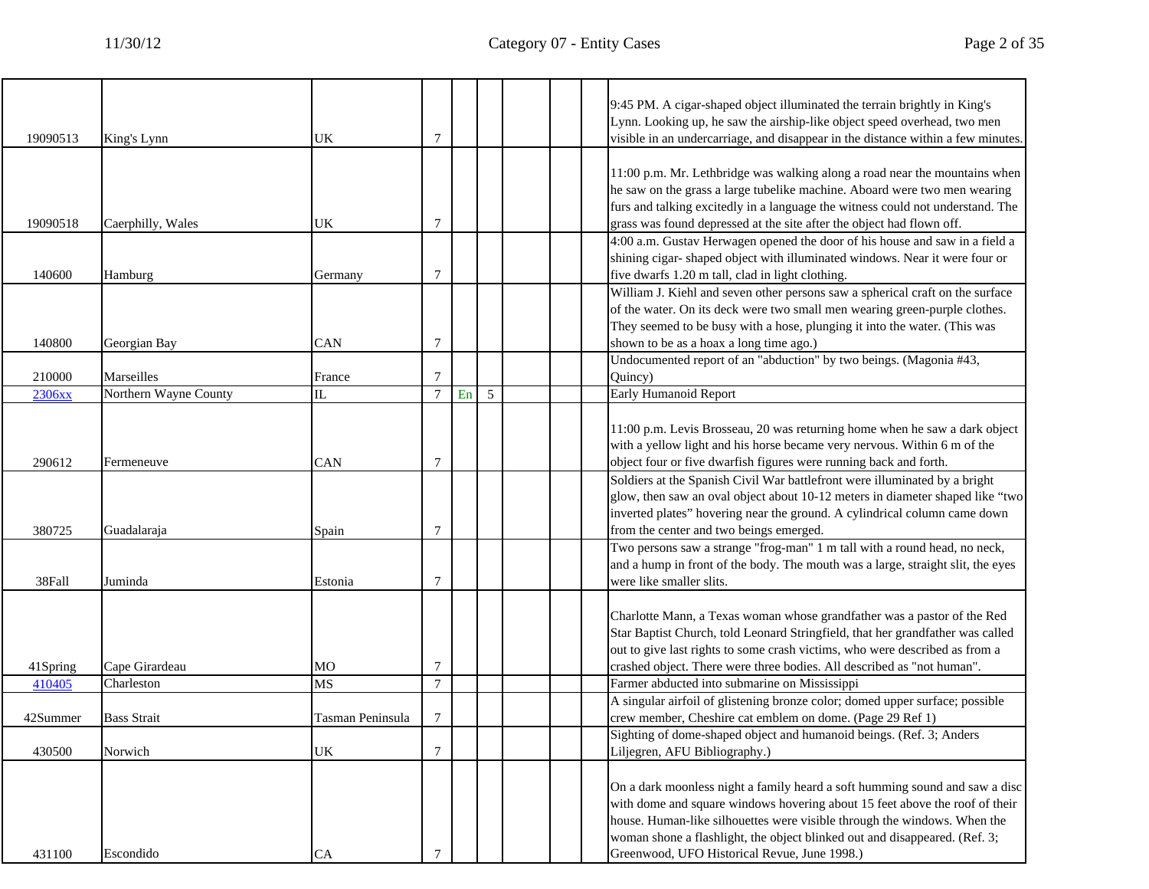|          |                       |                  |                |            |   |  | 9:45 PM. A cigar-shaped object illuminated the terrain brightly in King's<br>Lynn. Looking up, he saw the airship-like object speed overhead, two men                                                                                                                                                                                                                |
|----------|-----------------------|------------------|----------------|------------|---|--|----------------------------------------------------------------------------------------------------------------------------------------------------------------------------------------------------------------------------------------------------------------------------------------------------------------------------------------------------------------------|
| 19090513 | King's Lynn           | UK               | 7              |            |   |  | visible in an undercarriage, and disappear in the distance within a few minutes.                                                                                                                                                                                                                                                                                     |
|          |                       |                  |                |            |   |  | 11:00 p.m. Mr. Lethbridge was walking along a road near the mountains when<br>he saw on the grass a large tubelike machine. Aboard were two men wearing<br>furs and talking excitedly in a language the witness could not understand. The                                                                                                                            |
| 19090518 | Caerphilly, Wales     | UK               | 7              |            |   |  | grass was found depressed at the site after the object had flown off.<br>4:00 a.m. Gustav Herwagen opened the door of his house and saw in a field a                                                                                                                                                                                                                 |
| 140600   | Hamburg               | Germany          | 7              |            |   |  | shining cigar-shaped object with illuminated windows. Near it were four or<br>five dwarfs 1.20 m tall, clad in light clothing.                                                                                                                                                                                                                                       |
| 140800   | Georgian Bay          | CAN              | 7              |            |   |  | William J. Kiehl and seven other persons saw a spherical craft on the surface<br>of the water. On its deck were two small men wearing green-purple clothes.<br>They seemed to be busy with a hose, plunging it into the water. (This was<br>shown to be as a hoax a long time ago.)                                                                                  |
| 210000   | Marseilles            | France           | 7              |            |   |  | Undocumented report of an "abduction" by two beings. (Magonia #43,<br>Quincy)                                                                                                                                                                                                                                                                                        |
| 2306xx   | Northern Wayne County | IL               | $\overline{7}$ | ${\rm En}$ | 5 |  | Early Humanoid Report                                                                                                                                                                                                                                                                                                                                                |
| 290612   | Fermeneuve            | CAN              | 7              |            |   |  | 11:00 p.m. Levis Brosseau, 20 was returning home when he saw a dark object<br>with a yellow light and his horse became very nervous. Within 6 m of the<br>object four or five dwarfish figures were running back and forth.                                                                                                                                          |
| 380725   | Guadalaraja           | Spain            | 7              |            |   |  | Soldiers at the Spanish Civil War battlefront were illuminated by a bright<br>glow, then saw an oval object about 10-12 meters in diameter shaped like "two<br>inverted plates" hovering near the ground. A cylindrical column came down<br>from the center and two beings emerged.                                                                                  |
| 38Fall   | Juminda               | Estonia          | 7              |            |   |  | Two persons saw a strange "frog-man" 1 m tall with a round head, no neck,<br>and a hump in front of the body. The mouth was a large, straight slit, the eyes<br>were like smaller slits.                                                                                                                                                                             |
| 41Spring | Cape Girardeau        | MО               | 7              |            |   |  | Charlotte Mann, a Texas woman whose grandfather was a pastor of the Red<br>Star Baptist Church, told Leonard Stringfield, that her grandfather was called<br>out to give last rights to some crash victims, who were described as from a<br>crashed object. There were three bodies. All described as "not human".                                                   |
| 410405   | Charleston            | MS               | $\overline{7}$ |            |   |  | Farmer abducted into submarine on Mississippi                                                                                                                                                                                                                                                                                                                        |
| 42Summer | <b>Bass Strait</b>    | Tasman Peninsula | 7              |            |   |  | A singular airfoil of glistening bronze color; domed upper surface; possible<br>crew member, Cheshire cat emblem on dome. (Page 29 Ref 1)                                                                                                                                                                                                                            |
| 430500   | Norwich               | UK               | $\overline{7}$ |            |   |  | Sighting of dome-shaped object and humanoid beings. (Ref. 3; Anders<br>Liljegren, AFU Bibliography.)                                                                                                                                                                                                                                                                 |
| 431100   | Escondido             | CA               | 7              |            |   |  | On a dark moonless night a family heard a soft humming sound and saw a disc<br>with dome and square windows hovering about 15 feet above the roof of their<br>house. Human-like silhouettes were visible through the windows. When the<br>woman shone a flashlight, the object blinked out and disappeared. (Ref. 3;<br>Greenwood, UFO Historical Revue, June 1998.) |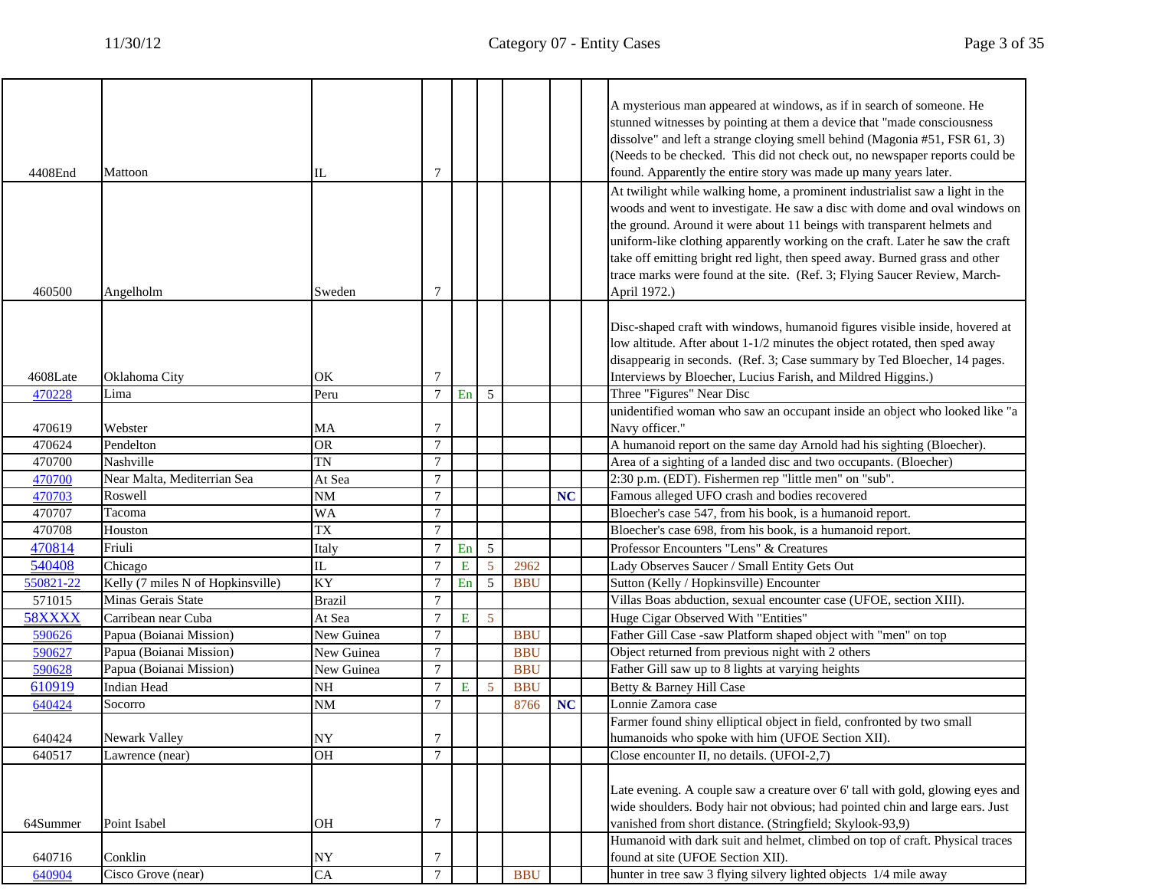|           |                                   |                 |                 |    |                |            |    | A mysterious man appeared at windows, as if in search of someone. He                                                                                   |
|-----------|-----------------------------------|-----------------|-----------------|----|----------------|------------|----|--------------------------------------------------------------------------------------------------------------------------------------------------------|
|           |                                   |                 |                 |    |                |            |    | stunned witnesses by pointing at them a device that "made consciousness                                                                                |
|           |                                   |                 |                 |    |                |            |    | dissolve" and left a strange cloying smell behind (Magonia #51, FSR 61, 3)                                                                             |
|           |                                   |                 |                 |    |                |            |    | (Needs to be checked. This did not check out, no newspaper reports could be                                                                            |
| 4408End   | Mattoon                           | IL              | 7               |    |                |            |    | found. Apparently the entire story was made up many years later.                                                                                       |
|           |                                   |                 |                 |    |                |            |    | At twilight while walking home, a prominent industrialist saw a light in the                                                                           |
|           |                                   |                 |                 |    |                |            |    | woods and went to investigate. He saw a disc with dome and oval windows on                                                                             |
|           |                                   |                 |                 |    |                |            |    | the ground. Around it were about 11 beings with transparent helmets and                                                                                |
|           |                                   |                 |                 |    |                |            |    | uniform-like clothing apparently working on the craft. Later he saw the craft                                                                          |
|           |                                   |                 |                 |    |                |            |    | take off emitting bright red light, then speed away. Burned grass and other                                                                            |
|           |                                   |                 |                 |    |                |            |    | trace marks were found at the site. (Ref. 3; Flying Saucer Review, March-                                                                              |
| 460500    | Angelholm                         | Sweden          | 7               |    |                |            |    | April 1972.)                                                                                                                                           |
|           |                                   |                 |                 |    |                |            |    |                                                                                                                                                        |
|           |                                   |                 |                 |    |                |            |    | Disc-shaped craft with windows, humanoid figures visible inside, hovered at                                                                            |
|           |                                   |                 |                 |    |                |            |    | low altitude. After about 1-1/2 minutes the object rotated, then sped away<br>disappearig in seconds. (Ref. 3; Case summary by Ted Bloecher, 14 pages. |
| 4608Late  | Oklahoma City                     | OK              | 7               |    |                |            |    | Interviews by Bloecher, Lucius Farish, and Mildred Higgins.)                                                                                           |
| 470228    | Lima                              | Peru            | $7\phantom{.0}$ | En | 5              |            |    | Three "Figures" Near Disc                                                                                                                              |
|           |                                   |                 |                 |    |                |            |    | unidentified woman who saw an occupant inside an object who looked like "a                                                                             |
| 470619    | Webster                           | MA              | 7               |    |                |            |    | Navy officer."                                                                                                                                         |
| 470624    | Pendelton                         | <b>OR</b>       | $\overline{7}$  |    |                |            |    | A humanoid report on the same day Arnold had his sighting (Bloecher).                                                                                  |
| 470700    | Nashville                         | <b>TN</b>       | 7               |    |                |            |    | Area of a sighting of a landed disc and two occupants. (Bloecher)                                                                                      |
| 470700    | Near Malta, Mediterrian Sea       | At Sea          | $\overline{7}$  |    |                |            |    | 2:30 p.m. (EDT). Fishermen rep "little men" on "sub".                                                                                                  |
| 470703    | Roswell                           | <b>NM</b>       | $\overline{7}$  |    |                |            | NC | Famous alleged UFO crash and bodies recovered                                                                                                          |
| 470707    | Tacoma                            | WA              | 7               |    |                |            |    | Bloecher's case 547, from his book, is a humanoid report.                                                                                              |
| 470708    | Houston                           | <b>TX</b>       | $\overline{7}$  |    |                |            |    | Bloecher's case 698, from his book, is a humanoid report.                                                                                              |
| 470814    | Friuli                            | Italy           | $\overline{7}$  | En | 5              |            |    | Professor Encounters "Lens" & Creatures                                                                                                                |
| 540408    | Chicago                           | IL              | $\overline{7}$  | E  | $\overline{5}$ | 2962       |    | Lady Observes Saucer / Small Entity Gets Out                                                                                                           |
| 550821-22 | Kelly (7 miles N of Hopkinsville) | KY              | $\overline{7}$  | En | 5              | <b>BBU</b> |    | Sutton (Kelly / Hopkinsville) Encounter                                                                                                                |
| 571015    | Minas Gerais State                | <b>Brazil</b>   | $\tau$          |    |                |            |    | Villas Boas abduction, sexual encounter case (UFOE, section XIII).                                                                                     |
| 58XXXX    | Carribean near Cuba               | At Sea          | $\overline{7}$  | E  | $\overline{5}$ |            |    | Huge Cigar Observed With "Entities"                                                                                                                    |
| 590626    | Papua (Boianai Mission)           | New Guinea      | $\tau$          |    |                | <b>BBU</b> |    | Father Gill Case -saw Platform shaped object with "men" on top                                                                                         |
| 590627    | Papua (Boianai Mission)           | New Guinea      | $\tau$          |    |                | <b>BBU</b> |    | Object returned from previous night with 2 others                                                                                                      |
| 590628    | Papua (Boianai Mission)           | New Guinea      | $\overline{7}$  |    |                | <b>BBU</b> |    | Father Gill saw up to 8 lights at varying heights                                                                                                      |
| 610919    | <b>Indian Head</b>                | NH              | $\overline{7}$  | Ε  | 5              | <b>BBU</b> |    | Betty & Barney Hill Case                                                                                                                               |
| 640424    | Socorro                           | NM              | $\tau$          |    |                | 8766       | NC | Lonnie Zamora case                                                                                                                                     |
|           |                                   |                 |                 |    |                |            |    | Farmer found shiny elliptical object in field, confronted by two small                                                                                 |
| 640424    | Newark Valley                     | NY              |                 |    |                |            |    | humanoids who spoke with him (UFOE Section XII).                                                                                                       |
| 640517    | Lawrence (near)                   | $\overline{OB}$ | $\tau$          |    |                |            |    | Close encounter II, no details. (UFOI-2,7)                                                                                                             |
|           |                                   |                 |                 |    |                |            |    |                                                                                                                                                        |
|           |                                   |                 |                 |    |                |            |    | Late evening. A couple saw a creature over 6' tall with gold, glowing eyes and                                                                         |
|           |                                   |                 |                 |    |                |            |    | wide shoulders. Body hair not obvious; had pointed chin and large ears. Just                                                                           |
| 64Summer  | Point Isabel                      | <b>OH</b>       | 7               |    |                |            |    | vanished from short distance. (Stringfield; Skylook-93,9)                                                                                              |
|           |                                   |                 |                 |    |                |            |    | Humanoid with dark suit and helmet, climbed on top of craft. Physical traces                                                                           |
| 640716    | Conklin                           | NY              | 7               |    |                |            |    | found at site (UFOE Section XII).                                                                                                                      |
| 640904    | Cisco Grove (near)                | CA              | $\overline{7}$  |    |                | <b>BBU</b> |    | hunter in tree saw 3 flying silvery lighted objects 1/4 mile away                                                                                      |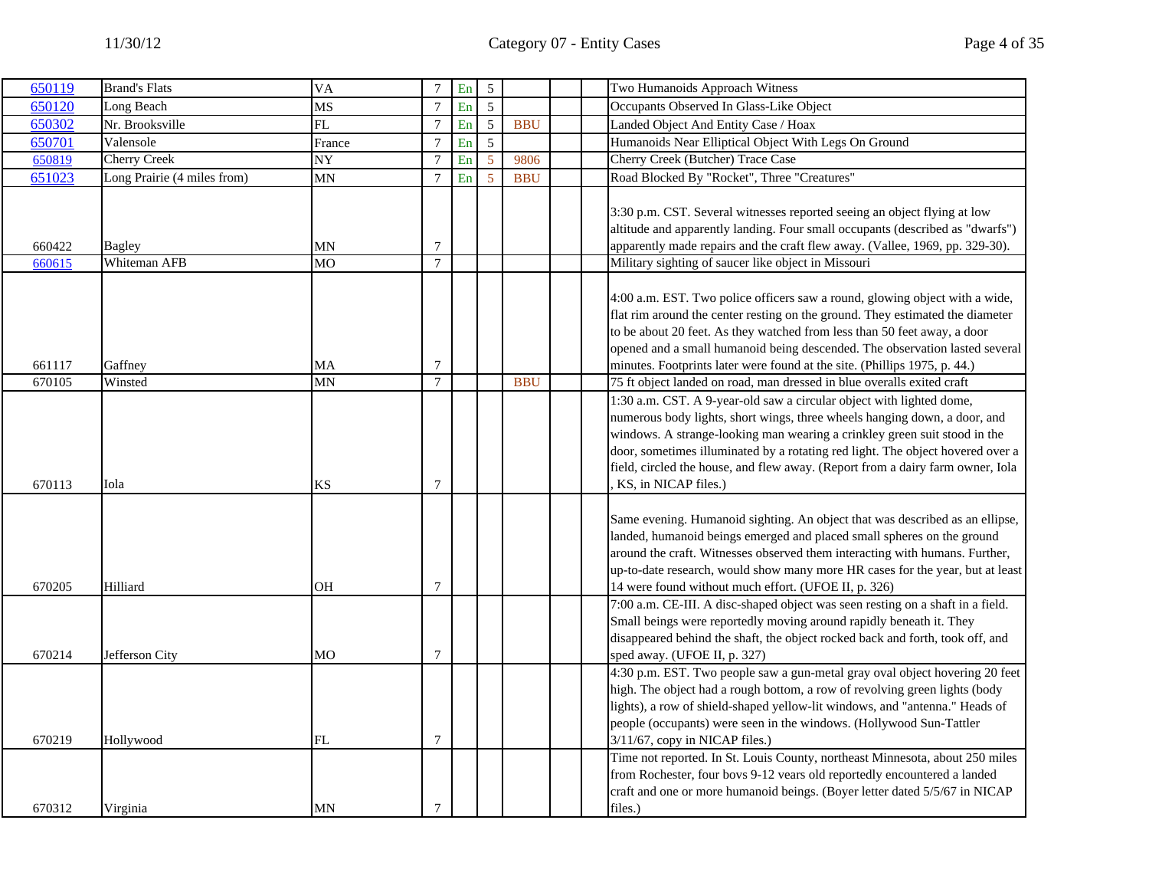| 650119           | <b>Brand's Flats</b>          | <b>VA</b>       | $7\phantom{.0}$  | En | $\overline{5}$ |            |         | Two Humanoids Approach Witness                                                                                                                                                                                                                                                                                                                                                                                             |
|------------------|-------------------------------|-----------------|------------------|----|----------------|------------|---------|----------------------------------------------------------------------------------------------------------------------------------------------------------------------------------------------------------------------------------------------------------------------------------------------------------------------------------------------------------------------------------------------------------------------------|
| 650120           | Long Beach                    | MS              | $\overline{7}$   | En | 5              |            |         | Occupants Observed In Glass-Like Object                                                                                                                                                                                                                                                                                                                                                                                    |
| 650302           | Nr. Brooksville               | FL              | $\boldsymbol{7}$ | En | 5              | <b>BBU</b> |         | Landed Object And Entity Case / Hoax                                                                                                                                                                                                                                                                                                                                                                                       |
| 650701           | Valensole                     | France          | $7\phantom{.0}$  | En | 5              |            |         | Humanoids Near Elliptical Object With Legs On Ground                                                                                                                                                                                                                                                                                                                                                                       |
| 650819           | <b>Cherry Creek</b>           | NY              | $\overline{7}$   | En | 5              | 9806       |         | <b>Cherry Creek (Butcher) Trace Case</b>                                                                                                                                                                                                                                                                                                                                                                                   |
| 651023           | Long Prairie (4 miles from)   | MΝ              | $\overline{7}$   | En | -5             | <b>BBU</b> |         | Road Blocked By "Rocket", Three "Creatures"                                                                                                                                                                                                                                                                                                                                                                                |
| 660422<br>660615 | <b>Bagley</b><br>Whiteman AFB | MΝ<br><b>MO</b> | 7<br>$\tau$      |    |                |            |         | 3:30 p.m. CST. Several witnesses reported seeing an object flying at low<br>altitude and apparently landing. Four small occupants (described as "dwarfs")<br>apparently made repairs and the craft flew away. (Vallee, 1969, pp. 329-30).<br>Military sighting of saucer like object in Missouri                                                                                                                           |
| 661117           | Gaffney                       | MA              | $\overline{7}$   |    |                |            |         | 4:00 a.m. EST. Two police officers saw a round, glowing object with a wide,<br>flat rim around the center resting on the ground. They estimated the diameter<br>to be about 20 feet. As they watched from less than 50 feet away, a door<br>opened and a small humanoid being descended. The observation lasted several<br>minutes. Footprints later were found at the site. (Phillips 1975, p. 44.)                       |
| 670105           | Winsted                       | MN              | $\overline{7}$   |    |                | <b>BBU</b> |         | 75 ft object landed on road, man dressed in blue overalls exited craft                                                                                                                                                                                                                                                                                                                                                     |
| 670113           | Iola                          | KS              | $\overline{7}$   |    |                |            |         | 1:30 a.m. CST. A 9-year-old saw a circular object with lighted dome,<br>numerous body lights, short wings, three wheels hanging down, a door, and<br>windows. A strange-looking man wearing a crinkley green suit stood in the<br>door, sometimes illuminated by a rotating red light. The object hovered over a<br>field, circled the house, and flew away. (Report from a dairy farm owner, Iola<br>KS, in NICAP files.) |
| 670205           | Hilliard                      | OН              | $\overline{7}$   |    |                |            |         | Same evening. Humanoid sighting. An object that was described as an ellipse,<br>landed, humanoid beings emerged and placed small spheres on the ground<br>around the craft. Witnesses observed them interacting with humans. Further,<br>up-to-date research, would show many more HR cases for the year, but at least<br>14 were found without much effort. (UFOE II, p. 326)                                             |
| 670214           | Jefferson City                | МO              | $\overline{7}$   |    |                |            |         | 7:00 a.m. CE-III. A disc-shaped object was seen resting on a shaft in a field.<br>Small beings were reportedly moving around rapidly beneath it. They<br>disappeared behind the shaft, the object rocked back and forth, took off, and<br>sped away. (UFOE II, p. 327)                                                                                                                                                     |
| 670219           | Hollywood                     | FL              | $\tau$           |    |                |            |         | 4:30 p.m. EST. Two people saw a gun-metal gray oval object hovering 20 feet<br>high. The object had a rough bottom, a row of revolving green lights (body<br>lights), a row of shield-shaped yellow-lit windows, and "antenna." Heads of<br>people (occupants) were seen in the windows. (Hollywood Sun-Tattler<br>3/11/67, copy in NICAP files.)                                                                          |
| 670312           | Virginia                      | MN              | $\overline{7}$   |    |                |            | files.) | Time not reported. In St. Louis County, northeast Minnesota, about 250 miles<br>from Rochester, four bovs 9-12 vears old reportedly encountered a landed<br>craft and one or more humanoid beings. (Boyer letter dated 5/5/67 in NICAP                                                                                                                                                                                     |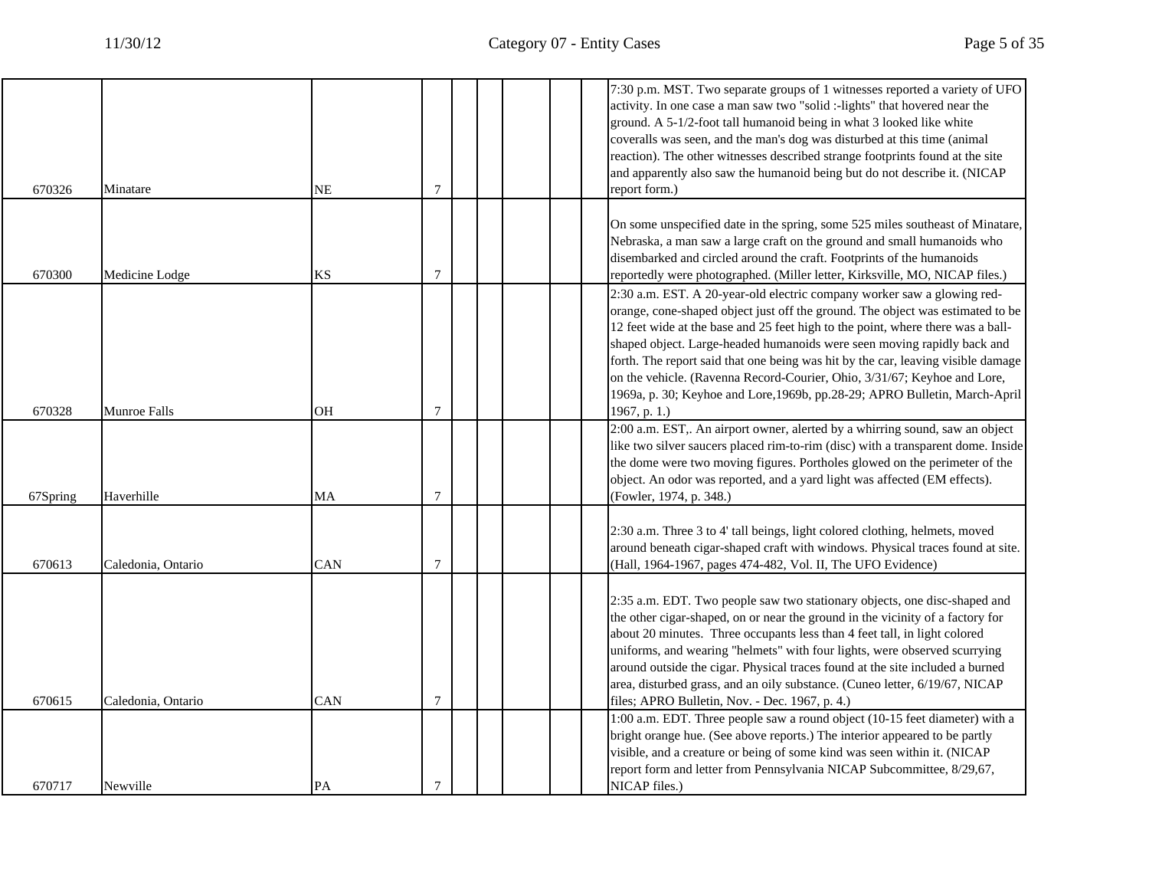|          |                    |            |                |  | 7:30 p.m. MST. Two separate groups of 1 witnesses reported a variety of UFO                                                                                   |
|----------|--------------------|------------|----------------|--|---------------------------------------------------------------------------------------------------------------------------------------------------------------|
|          |                    |            |                |  | activity. In one case a man saw two "solid :-lights" that hovered near the                                                                                    |
|          |                    |            |                |  | ground. A 5-1/2-foot tall humanoid being in what 3 looked like white<br>coveralls was seen, and the man's dog was disturbed at this time (animal              |
|          |                    |            |                |  | reaction). The other witnesses described strange footprints found at the site                                                                                 |
|          |                    |            |                |  | and apparently also saw the humanoid being but do not describe it. (NICAP                                                                                     |
| 670326   | Minatare           | NE         | 7              |  | report form.)                                                                                                                                                 |
|          |                    |            |                |  |                                                                                                                                                               |
|          |                    |            |                |  | On some unspecified date in the spring, some 525 miles southeast of Minatare,                                                                                 |
|          |                    |            |                |  | Nebraska, a man saw a large craft on the ground and small humanoids who                                                                                       |
|          |                    |            |                |  | disembarked and circled around the craft. Footprints of the humanoids                                                                                         |
| 670300   | Medicine Lodge     | <b>KS</b>  | $\overline{7}$ |  | reportedly were photographed. (Miller letter, Kirksville, MO, NICAP files.)                                                                                   |
|          |                    |            |                |  | 2:30 a.m. EST. A 20-year-old electric company worker saw a glowing red-                                                                                       |
|          |                    |            |                |  | orange, cone-shaped object just off the ground. The object was estimated to be                                                                                |
|          |                    |            |                |  | 12 feet wide at the base and 25 feet high to the point, where there was a ball-                                                                               |
|          |                    |            |                |  | shaped object. Large-headed humanoids were seen moving rapidly back and                                                                                       |
|          |                    |            |                |  | forth. The report said that one being was hit by the car, leaving visible damage                                                                              |
|          |                    |            |                |  | on the vehicle. (Ravenna Record-Courier, Ohio, 3/31/67; Keyhoe and Lore,                                                                                      |
|          |                    |            |                |  | 1969a, p. 30; Keyhoe and Lore, 1969b, pp.28-29; APRO Bulletin, March-April                                                                                    |
| 670328   | Munroe Falls       | <b>OH</b>  | $\overline{7}$ |  | 1967, p. 1.)                                                                                                                                                  |
|          |                    |            |                |  | 2:00 a.m. EST,. An airport owner, alerted by a whirring sound, saw an object                                                                                  |
|          |                    |            |                |  | like two silver saucers placed rim-to-rim (disc) with a transparent dome. Inside                                                                              |
|          |                    |            |                |  | the dome were two moving figures. Portholes glowed on the perimeter of the                                                                                    |
|          |                    |            |                |  | object. An odor was reported, and a yard light was affected (EM effects).                                                                                     |
| 67Spring | Haverhille         | MA         | 7              |  | (Fowler, 1974, p. 348.)                                                                                                                                       |
|          |                    |            |                |  |                                                                                                                                                               |
|          |                    |            |                |  | 2:30 a.m. Three 3 to 4' tall beings, light colored clothing, helmets, moved<br>around beneath cigar-shaped craft with windows. Physical traces found at site. |
| 670613   | Caledonia, Ontario | <b>CAN</b> | 7              |  | (Hall, 1964-1967, pages 474-482, Vol. II, The UFO Evidence)                                                                                                   |
|          |                    |            |                |  |                                                                                                                                                               |
|          |                    |            |                |  | 2:35 a.m. EDT. Two people saw two stationary objects, one disc-shaped and                                                                                     |
|          |                    |            |                |  | the other cigar-shaped, on or near the ground in the vicinity of a factory for                                                                                |
|          |                    |            |                |  | about 20 minutes. Three occupants less than 4 feet tall, in light colored                                                                                     |
|          |                    |            |                |  | uniforms, and wearing "helmets" with four lights, were observed scurrying                                                                                     |
|          |                    |            |                |  | around outside the cigar. Physical traces found at the site included a burned                                                                                 |
|          |                    |            |                |  | area, disturbed grass, and an oily substance. (Cuneo letter, 6/19/67, NICAP                                                                                   |
| 670615   | Caledonia, Ontario | CAN        | $\overline{7}$ |  | files; APRO Bulletin, Nov. - Dec. 1967, p. 4.)                                                                                                                |
|          |                    |            |                |  | 1:00 a.m. EDT. Three people saw a round object (10-15 feet diameter) with a                                                                                   |
|          |                    |            |                |  | bright orange hue. (See above reports.) The interior appeared to be partly                                                                                    |
|          |                    |            |                |  | visible, and a creature or being of some kind was seen within it. (NICAP                                                                                      |
|          |                    |            |                |  | report form and letter from Pennsylvania NICAP Subcommittee, 8/29,67,                                                                                         |
| 670717   | Newville           | PA         | 7              |  | NICAP files.)                                                                                                                                                 |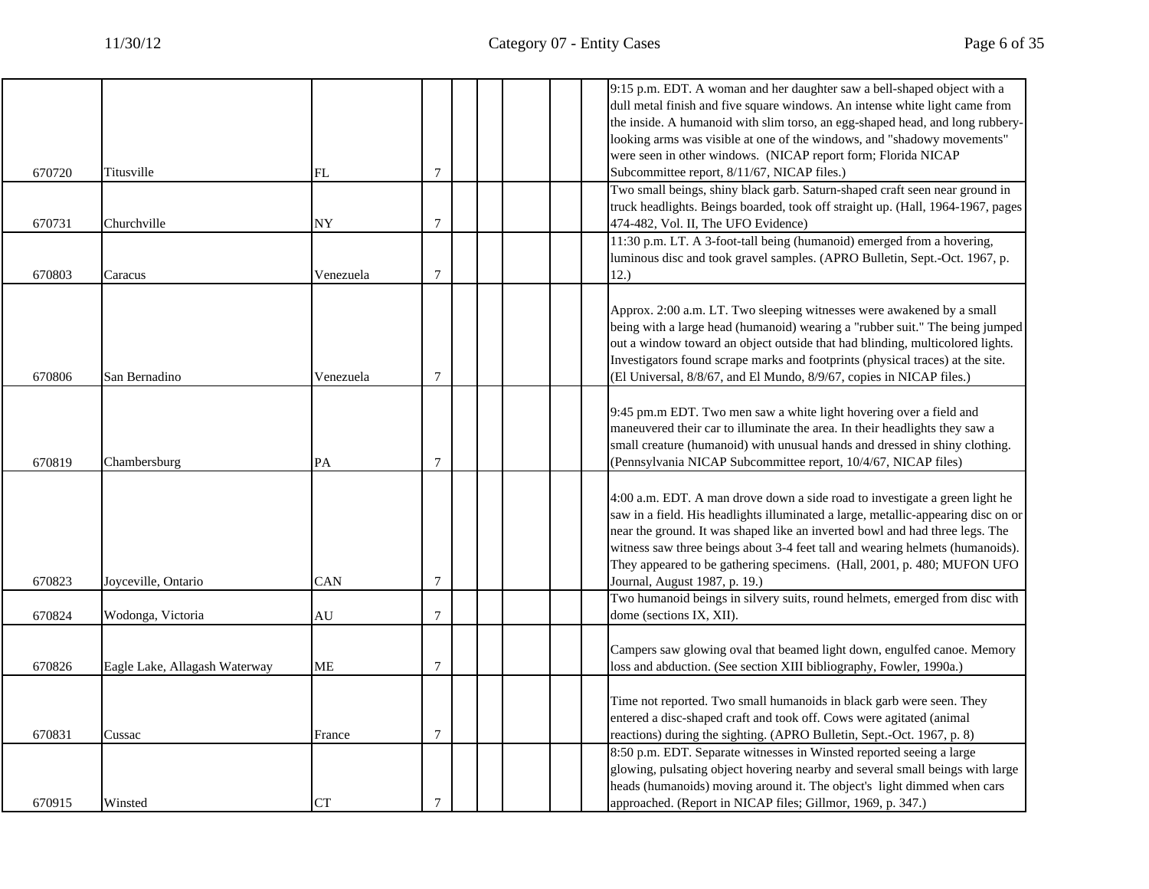|        |                               |           |                  |  |  | 9:15 p.m. EDT. A woman and her daughter saw a bell-shaped object with a<br>dull metal finish and five square windows. An intense white light came from<br>the inside. A humanoid with slim torso, an egg-shaped head, and long rubbery-                                                                                                                                                                                                       |
|--------|-------------------------------|-----------|------------------|--|--|-----------------------------------------------------------------------------------------------------------------------------------------------------------------------------------------------------------------------------------------------------------------------------------------------------------------------------------------------------------------------------------------------------------------------------------------------|
|        |                               |           |                  |  |  | looking arms was visible at one of the windows, and "shadowy movements"<br>were seen in other windows. (NICAP report form; Florida NICAP                                                                                                                                                                                                                                                                                                      |
| 670720 | Titusville                    | FL        | $\overline{7}$   |  |  | Subcommittee report, 8/11/67, NICAP files.)                                                                                                                                                                                                                                                                                                                                                                                                   |
| 670731 | Churchville                   | <b>NY</b> | $\overline{7}$   |  |  | Two small beings, shiny black garb. Saturn-shaped craft seen near ground in<br>truck headlights. Beings boarded, took off straight up. (Hall, 1964-1967, pages<br>474-482, Vol. II, The UFO Evidence)                                                                                                                                                                                                                                         |
| 670803 | Caracus                       | Venezuela | $\overline{7}$   |  |  | 11:30 p.m. LT. A 3-foot-tall being (humanoid) emerged from a hovering,<br>luminous disc and took gravel samples. (APRO Bulletin, Sept.-Oct. 1967, p.<br>12.)                                                                                                                                                                                                                                                                                  |
| 670806 | San Bernadino                 | Venezuela | 7                |  |  | Approx. 2:00 a.m. LT. Two sleeping witnesses were awakened by a small<br>being with a large head (humanoid) wearing a "rubber suit." The being jumped<br>out a window toward an object outside that had blinding, multicolored lights.<br>Investigators found scrape marks and footprints (physical traces) at the site.<br>(El Universal, 8/8/67, and El Mundo, 8/9/67, copies in NICAP files.)                                              |
| 670819 | Chambersburg                  | PA        | $\overline{7}$   |  |  | 9:45 pm.m EDT. Two men saw a white light hovering over a field and<br>maneuvered their car to illuminate the area. In their headlights they saw a<br>small creature (humanoid) with unusual hands and dressed in shiny clothing.<br>(Pennsylvania NICAP Subcommittee report, 10/4/67, NICAP files)                                                                                                                                            |
| 670823 | Joyceville, Ontario           | CAN       | 7                |  |  | 4:00 a.m. EDT. A man drove down a side road to investigate a green light he<br>saw in a field. His headlights illuminated a large, metallic-appearing disc on or<br>near the ground. It was shaped like an inverted bowl and had three legs. The<br>witness saw three beings about 3-4 feet tall and wearing helmets (humanoids).<br>They appeared to be gathering specimens. (Hall, 2001, p. 480; MUFON UFO<br>Journal, August 1987, p. 19.) |
| 670824 | Wodonga, Victoria             | AU        | $\overline{7}$   |  |  | Two humanoid beings in silvery suits, round helmets, emerged from disc with<br>dome (sections IX, XII).                                                                                                                                                                                                                                                                                                                                       |
| 670826 | Eagle Lake, Allagash Waterway | ME        | $\overline{7}$   |  |  | Campers saw glowing oval that beamed light down, engulfed canoe. Memory<br>loss and abduction. (See section XIII bibliography, Fowler, 1990a.)                                                                                                                                                                                                                                                                                                |
| 670831 | Cussac                        | France    | $\boldsymbol{7}$ |  |  | Time not reported. Two small humanoids in black garb were seen. They<br>entered a disc-shaped craft and took off. Cows were agitated (animal<br>reactions) during the sighting. (APRO Bulletin, Sept.-Oct. 1967, p. 8)                                                                                                                                                                                                                        |
| 670915 | Winsted                       | CT        | $\overline{7}$   |  |  | 8:50 p.m. EDT. Separate witnesses in Winsted reported seeing a large<br>glowing, pulsating object hovering nearby and several small beings with large<br>heads (humanoids) moving around it. The object's light dimmed when cars<br>approached. (Report in NICAP files; Gillmor, 1969, p. 347.)                                                                                                                                               |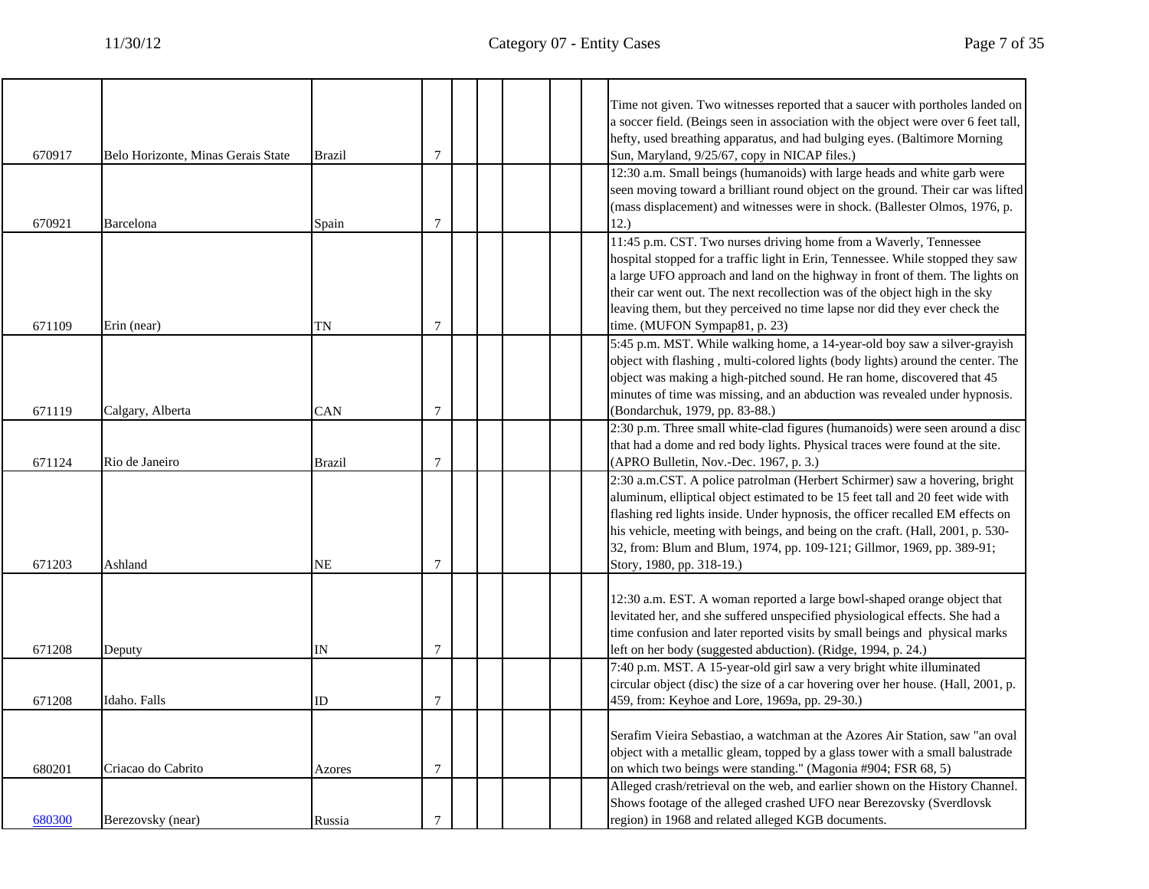|        |                                    |               |                |  |  | Time not given. Two witnesses reported that a saucer with portholes landed on<br>a soccer field. (Beings seen in association with the object were over 6 feet tall,<br>hefty, used breathing apparatus, and had bulging eyes. (Baltimore Morning                                                                                                                                                                                        |
|--------|------------------------------------|---------------|----------------|--|--|-----------------------------------------------------------------------------------------------------------------------------------------------------------------------------------------------------------------------------------------------------------------------------------------------------------------------------------------------------------------------------------------------------------------------------------------|
| 670917 | Belo Horizonte, Minas Gerais State | <b>Brazil</b> | $\overline{7}$ |  |  | Sun, Maryland, 9/25/67, copy in NICAP files.)                                                                                                                                                                                                                                                                                                                                                                                           |
| 670921 | Barcelona                          | Spain         | $\overline{7}$ |  |  | 12:30 a.m. Small beings (humanoids) with large heads and white garb were<br>seen moving toward a brilliant round object on the ground. Their car was lifted<br>(mass displacement) and witnesses were in shock. (Ballester Olmos, 1976, p.<br>12.)                                                                                                                                                                                      |
| 671109 | Erin (near)                        | TN            | 7              |  |  | 11:45 p.m. CST. Two nurses driving home from a Waverly, Tennessee<br>hospital stopped for a traffic light in Erin, Tennessee. While stopped they saw<br>a large UFO approach and land on the highway in front of them. The lights on<br>their car went out. The next recollection was of the object high in the sky<br>leaving them, but they perceived no time lapse nor did they ever check the<br>time. (MUFON Sympap81, p. 23)      |
| 671119 | Calgary, Alberta                   | CAN           | $\overline{7}$ |  |  | 5:45 p.m. MST. While walking home, a 14-year-old boy saw a silver-grayish<br>object with flashing, multi-colored lights (body lights) around the center. The<br>object was making a high-pitched sound. He ran home, discovered that 45<br>minutes of time was missing, and an abduction was revealed under hypnosis.<br>(Bondarchuk, 1979, pp. 83-88.)                                                                                 |
| 671124 | Rio de Janeiro                     | Brazil        | $\overline{7}$ |  |  | 2:30 p.m. Three small white-clad figures (humanoids) were seen around a disc<br>that had a dome and red body lights. Physical traces were found at the site.<br>(APRO Bulletin, Nov.-Dec. 1967, p. 3.)                                                                                                                                                                                                                                  |
| 671203 | Ashland                            | NΕ            | 7              |  |  | 2:30 a.m.CST. A police patrolman (Herbert Schirmer) saw a hovering, bright<br>aluminum, elliptical object estimated to be 15 feet tall and 20 feet wide with<br>flashing red lights inside. Under hypnosis, the officer recalled EM effects on<br>his vehicle, meeting with beings, and being on the craft. (Hall, 2001, p. 530-<br>32, from: Blum and Blum, 1974, pp. 109-121; Gillmor, 1969, pp. 389-91;<br>Story, 1980, pp. 318-19.) |
| 671208 | Deputy                             | IN            | $\overline{7}$ |  |  | 12:30 a.m. EST. A woman reported a large bowl-shaped orange object that<br>levitated her, and she suffered unspecified physiological effects. She had a<br>time confusion and later reported visits by small beings and physical marks<br>left on her body (suggested abduction). (Ridge, 1994, p. 24.)                                                                                                                                 |
| 671208 | Idaho. Falls                       | ID            | 7              |  |  | 7:40 p.m. MST. A 15-year-old girl saw a very bright white illuminated<br>circular object (disc) the size of a car hovering over her house. (Hall, 2001, p.<br>459, from: Keyhoe and Lore, 1969a, pp. 29-30.)                                                                                                                                                                                                                            |
| 680201 | Criacao do Cabrito                 | Azores        | $\overline{7}$ |  |  | Serafim Vieira Sebastiao, a watchman at the Azores Air Station, saw "an oval<br>object with a metallic gleam, topped by a glass tower with a small balustrade<br>on which two beings were standing." (Magonia #904; FSR 68, 5)                                                                                                                                                                                                          |
| 680300 | Berezovsky (near)                  | Russia        | 7              |  |  | Alleged crash/retrieval on the web, and earlier shown on the History Channel.<br>Shows footage of the alleged crashed UFO near Berezovsky (Sverdlovsk)<br>region) in 1968 and related alleged KGB documents.                                                                                                                                                                                                                            |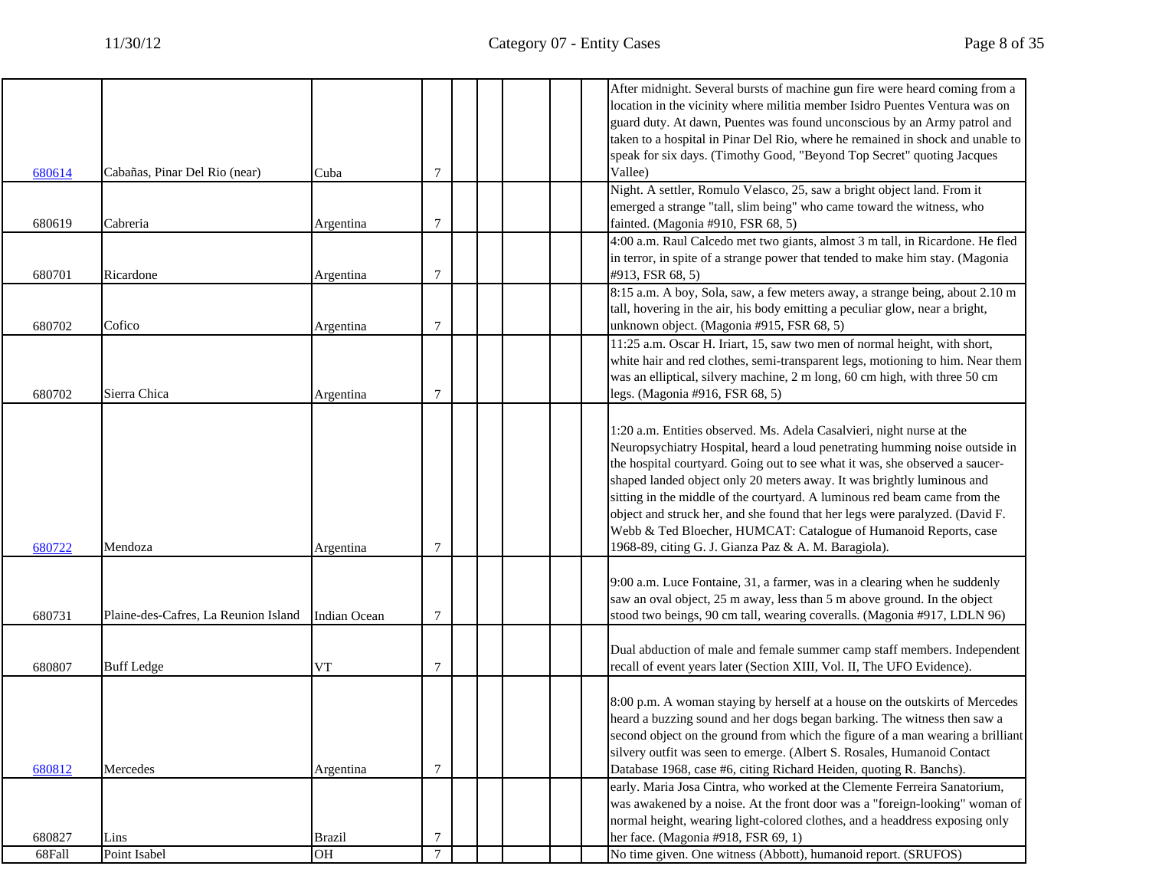$\overline{\Gamma}$ 

|        |                                      |                     |                |  | After midnight. Several bursts of machine gun fire were heard coming from a    |
|--------|--------------------------------------|---------------------|----------------|--|--------------------------------------------------------------------------------|
|        |                                      |                     |                |  | location in the vicinity where militia member Isidro Puentes Ventura was on    |
|        |                                      |                     |                |  | guard duty. At dawn, Puentes was found unconscious by an Army patrol and       |
|        |                                      |                     |                |  | taken to a hospital in Pinar Del Rio, where he remained in shock and unable to |
|        |                                      |                     |                |  | speak for six days. (Timothy Good, "Beyond Top Secret" quoting Jacques         |
| 680614 | Cabañas, Pinar Del Rio (near)        | Cuba                | 7              |  | Vallee)                                                                        |
|        |                                      |                     |                |  | Night. A settler, Romulo Velasco, 25, saw a bright object land. From it        |
|        |                                      |                     |                |  | emerged a strange "tall, slim being" who came toward the witness, who          |
| 680619 | Cabreria                             | Argentina           | 7              |  | fainted. (Magonia #910, FSR 68, 5)                                             |
|        |                                      |                     |                |  | 4:00 a.m. Raul Calcedo met two giants, almost 3 m tall, in Ricardone. He fled  |
|        |                                      |                     |                |  | in terror, in spite of a strange power that tended to make him stay. (Magonia  |
| 680701 | Ricardone                            | Argentina           | 7              |  | #913, FSR 68, 5)                                                               |
|        |                                      |                     |                |  | 8:15 a.m. A boy, Sola, saw, a few meters away, a strange being, about 2.10 m   |
|        |                                      |                     |                |  | tall, hovering in the air, his body emitting a peculiar glow, near a bright,   |
| 680702 | Cofico                               | Argentina           | $\tau$         |  | unknown object. (Magonia #915, FSR 68, 5)                                      |
|        |                                      |                     |                |  | 11:25 a.m. Oscar H. Iriart, 15, saw two men of normal height, with short,      |
|        |                                      |                     |                |  | white hair and red clothes, semi-transparent legs, motioning to him. Near them |
|        |                                      |                     |                |  | was an elliptical, silvery machine, 2 m long, 60 cm high, with three 50 cm     |
| 680702 | Sierra Chica                         | Argentina           | 7              |  | legs. (Magonia #916, FSR 68, 5)                                                |
|        |                                      |                     |                |  |                                                                                |
|        |                                      |                     |                |  | 1:20 a.m. Entities observed. Ms. Adela Casalvieri, night nurse at the          |
|        |                                      |                     |                |  | Neuropsychiatry Hospital, heard a loud penetrating humming noise outside in    |
|        |                                      |                     |                |  | the hospital courtyard. Going out to see what it was, she observed a saucer-   |
|        |                                      |                     |                |  | shaped landed object only 20 meters away. It was brightly luminous and         |
|        |                                      |                     |                |  | sitting in the middle of the courtyard. A luminous red beam came from the      |
|        |                                      |                     |                |  | object and struck her, and she found that her legs were paralyzed. (David F.   |
|        |                                      |                     |                |  | Webb & Ted Bloecher, HUMCAT: Catalogue of Humanoid Reports, case               |
| 680722 | Mendoza                              | Argentina           | $\tau$         |  | 1968-89, citing G. J. Gianza Paz & A. M. Baragiola).                           |
|        |                                      |                     |                |  |                                                                                |
|        |                                      |                     |                |  | 9:00 a.m. Luce Fontaine, 31, a farmer, was in a clearing when he suddenly      |
|        |                                      |                     |                |  | saw an oval object, 25 m away, less than 5 m above ground. In the object       |
| 680731 | Plaine-des-Cafres, La Reunion Island | <b>Indian Ocean</b> | 7              |  | stood two beings, 90 cm tall, wearing coveralls. (Magonia #917, LDLN 96)       |
|        |                                      |                     |                |  |                                                                                |
|        |                                      |                     |                |  | Dual abduction of male and female summer camp staff members. Independent       |
| 680807 | <b>Buff</b> Ledge                    | VT                  | 7              |  | recall of event years later (Section XIII, Vol. II, The UFO Evidence).         |
|        |                                      |                     |                |  |                                                                                |
|        |                                      |                     |                |  | 8:00 p.m. A woman staying by herself at a house on the outskirts of Mercedes   |
|        |                                      |                     |                |  | heard a buzzing sound and her dogs began barking. The witness then saw a       |
|        |                                      |                     |                |  | second object on the ground from which the figure of a man wearing a brilliant |
|        |                                      |                     |                |  | silvery outfit was seen to emerge. (Albert S. Rosales, Humanoid Contact        |
| 680812 | Mercedes                             | Argentina           | 7              |  | Database 1968, case #6, citing Richard Heiden, quoting R. Banchs).             |
|        |                                      |                     |                |  | early. Maria Josa Cintra, who worked at the Clemente Ferreira Sanatorium,      |
|        |                                      |                     |                |  | was awakened by a noise. At the front door was a "foreign-looking" woman of    |
|        |                                      |                     |                |  | normal height, wearing light-colored clothes, and a headdress exposing only    |
| 680827 | Lins                                 | <b>Brazil</b>       | $\tau$         |  | her face. (Magonia #918, FSR 69, 1)                                            |
| 68Fall | Point Isabel                         | O <sub>H</sub>      | $\overline{7}$ |  | No time given. One witness (Abbott), humanoid report. (SRUFOS)                 |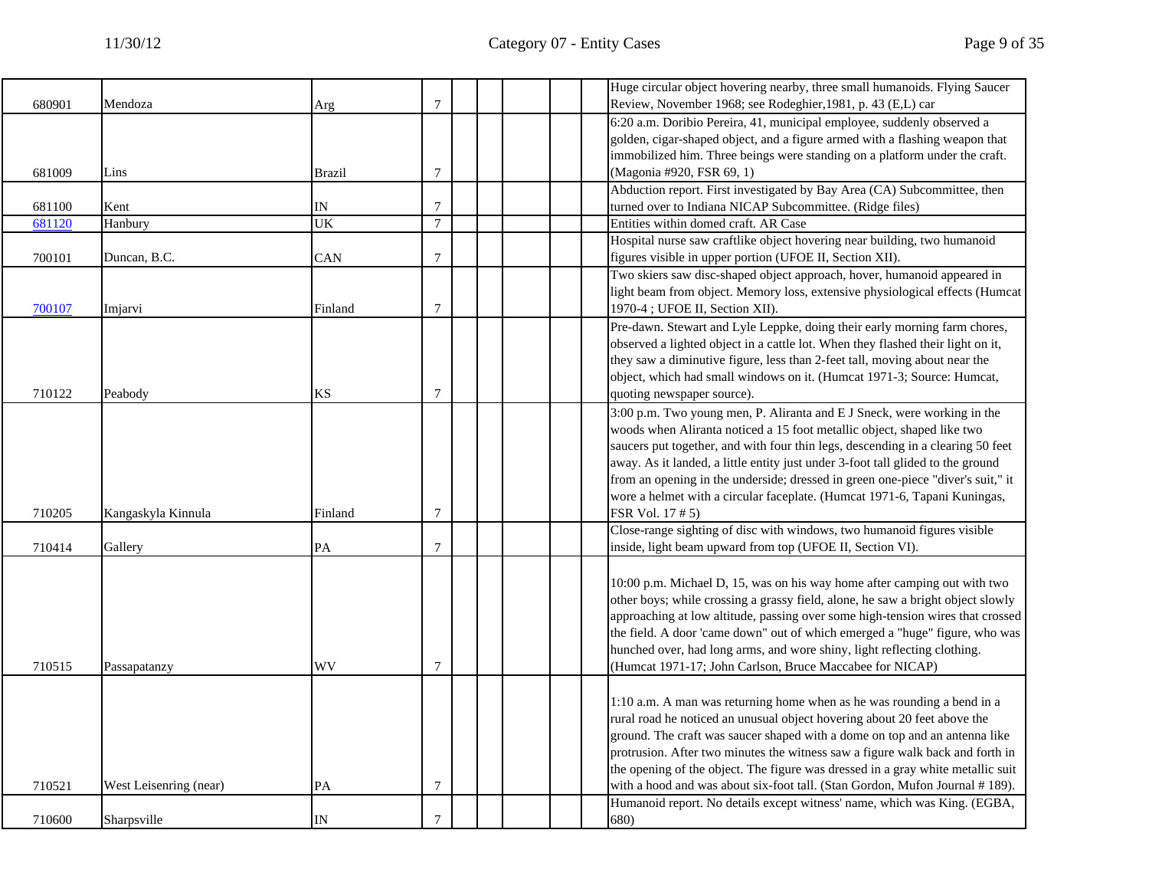|        |                        |               |                |  | Huge circular object hovering nearby, three small humanoids. Flying Saucer      |
|--------|------------------------|---------------|----------------|--|---------------------------------------------------------------------------------|
| 680901 | Mendoza                | Arg           | $\tau$         |  | Review, November 1968; see Rodeghier, 1981, p. 43 (E,L) car                     |
|        |                        |               |                |  | 6:20 a.m. Doribio Pereira, 41, municipal employee, suddenly observed a          |
|        |                        |               |                |  | golden, cigar-shaped object, and a figure armed with a flashing weapon that     |
|        |                        |               |                |  | immobilized him. Three beings were standing on a platform under the craft.      |
| 681009 | Lins                   | <b>Brazil</b> | $\overline{7}$ |  | (Magonia #920, FSR 69, 1)                                                       |
|        |                        |               |                |  | Abduction report. First investigated by Bay Area (CA) Subcommittee, then        |
| 681100 | Kent                   | IN            | $\tau$         |  | turned over to Indiana NICAP Subcommittee. (Ridge files)                        |
| 681120 | Hanbury                | UK            | $\tau$         |  | Entities within domed craft. AR Case                                            |
|        |                        |               |                |  | Hospital nurse saw craftlike object hovering near building, two humanoid        |
| 700101 | Duncan, B.C.           | CAN           | $\overline{7}$ |  | figures visible in upper portion (UFOE II, Section XII).                        |
|        |                        |               |                |  | Two skiers saw disc-shaped object approach, hover, humanoid appeared in         |
|        |                        |               |                |  | light beam from object. Memory loss, extensive physiological effects (Humcat    |
| 700107 | Imjarvi                | Finland       | 7              |  | 1970-4 ; UFOE II, Section XII).                                                 |
|        |                        |               |                |  | Pre-dawn. Stewart and Lyle Leppke, doing their early morning farm chores,       |
|        |                        |               |                |  | observed a lighted object in a cattle lot. When they flashed their light on it, |
|        |                        |               |                |  | they saw a diminutive figure, less than 2-feet tall, moving about near the      |
|        |                        |               |                |  | object, which had small windows on it. (Humcat 1971-3; Source: Humcat,          |
| 710122 | Peabody                | KS            | 7              |  | quoting newspaper source).                                                      |
|        |                        |               |                |  | 3:00 p.m. Two young men, P. Aliranta and E J Sneck, were working in the         |
|        |                        |               |                |  | woods when Aliranta noticed a 15 foot metallic object, shaped like two          |
|        |                        |               |                |  | saucers put together, and with four thin legs, descending in a clearing 50 feet |
|        |                        |               |                |  | away. As it landed, a little entity just under 3-foot tall glided to the ground |
|        |                        |               |                |  | from an opening in the underside; dressed in green one-piece "diver's suit," it |
|        |                        |               |                |  | wore a helmet with a circular faceplate. (Humcat 1971-6, Tapani Kuningas,       |
| 710205 | Kangaskyla Kinnula     | Finland       | 7              |  | FSR Vol. 17 # 5)                                                                |
|        |                        |               |                |  | Close-range sighting of disc with windows, two humanoid figures visible         |
| 710414 | Gallery                | PA            | $\tau$         |  | inside, light beam upward from top (UFOE II, Section VI).                       |
|        |                        |               |                |  |                                                                                 |
|        |                        |               |                |  | 10:00 p.m. Michael D, 15, was on his way home after camping out with two        |
|        |                        |               |                |  | other boys; while crossing a grassy field, alone, he saw a bright object slowly |
|        |                        |               |                |  | approaching at low altitude, passing over some high-tension wires that crossed  |
|        |                        |               |                |  | the field. A door 'came down" out of which emerged a "huge" figure, who was     |
|        |                        |               |                |  | hunched over, had long arms, and wore shiny, light reflecting clothing.         |
| 710515 | Passapatanzy           | WV            | $\overline{7}$ |  | (Humcat 1971-17; John Carlson, Bruce Maccabee for NICAP)                        |
|        |                        |               |                |  |                                                                                 |
|        |                        |               |                |  | 1:10 a.m. A man was returning home when as he was rounding a bend in a          |
|        |                        |               |                |  | rural road he noticed an unusual object hovering about 20 feet above the        |
|        |                        |               |                |  | ground. The craft was saucer shaped with a dome on top and an antenna like      |
|        |                        |               |                |  | protrusion. After two minutes the witness saw a figure walk back and forth in   |
|        |                        |               |                |  | the opening of the object. The figure was dressed in a gray white metallic suit |
| 710521 | West Leisenring (near) | PA            | 7              |  | with a hood and was about six-foot tall. (Stan Gordon, Mufon Journal #189).     |
|        |                        |               |                |  | Humanoid report. No details except witness' name, which was King. (EGBA,        |
| 710600 | Sharpsville            | IN            | 7              |  | 680)                                                                            |
|        |                        |               |                |  |                                                                                 |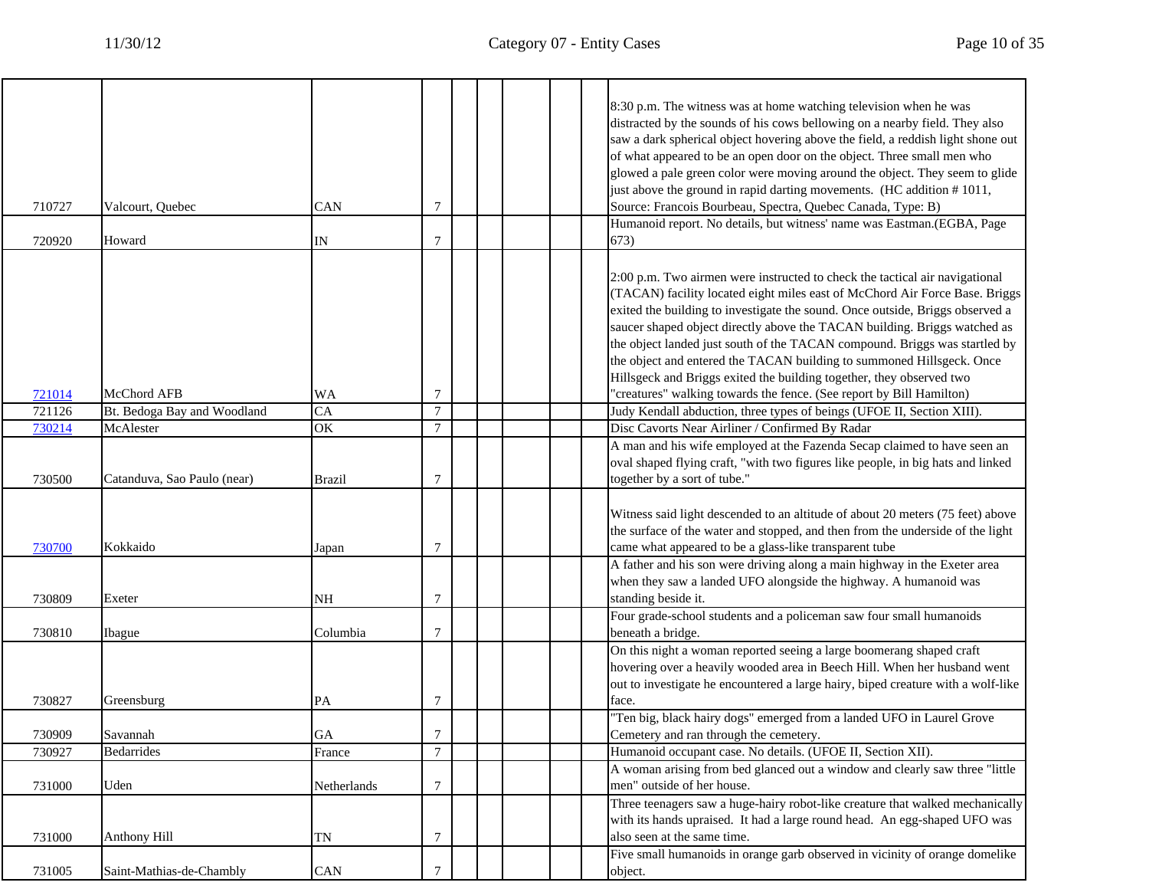$\overline{a}$ 

|        |                             |               |                  |  | 8:30 p.m. The witness was at home watching television when he was                |
|--------|-----------------------------|---------------|------------------|--|----------------------------------------------------------------------------------|
|        |                             |               |                  |  | distracted by the sounds of his cows bellowing on a nearby field. They also      |
|        |                             |               |                  |  | saw a dark spherical object hovering above the field, a reddish light shone out  |
|        |                             |               |                  |  | of what appeared to be an open door on the object. Three small men who           |
|        |                             |               |                  |  | glowed a pale green color were moving around the object. They seem to glide      |
|        |                             |               |                  |  | just above the ground in rapid darting movements. (HC addition #1011,            |
| 710727 | Valcourt, Quebec            | <b>CAN</b>    | 7                |  | Source: Francois Bourbeau, Spectra, Quebec Canada, Type: B)                      |
|        |                             |               |                  |  | Humanoid report. No details, but witness' name was Eastman.(EGBA, Page           |
| 720920 | Howard                      | IN            | 7                |  | 673)                                                                             |
|        |                             |               |                  |  | 2:00 p.m. Two airmen were instructed to check the tactical air navigational      |
|        |                             |               |                  |  | (TACAN) facility located eight miles east of McChord Air Force Base. Briggs      |
|        |                             |               |                  |  | exited the building to investigate the sound. Once outside, Briggs observed a    |
|        |                             |               |                  |  | saucer shaped object directly above the TACAN building. Briggs watched as        |
|        |                             |               |                  |  | the object landed just south of the TACAN compound. Briggs was startled by       |
|        |                             |               |                  |  | the object and entered the TACAN building to summoned Hillsgeck. Once            |
|        |                             |               |                  |  | Hillsgeck and Briggs exited the building together, they observed two             |
| 721014 | McChord AFB                 | WA            | 7                |  | "creatures" walking towards the fence. (See report by Bill Hamilton)             |
| 721126 | Bt. Bedoga Bay and Woodland | CA            | $\tau$           |  | Judy Kendall abduction, three types of beings (UFOE II, Section XIII).           |
| 730214 | McAlester                   | OK            | $\tau$           |  | Disc Cavorts Near Airliner / Confirmed By Radar                                  |
|        |                             |               |                  |  | A man and his wife employed at the Fazenda Secap claimed to have seen an         |
|        |                             |               |                  |  | oval shaped flying craft, "with two figures like people, in big hats and linked  |
| 730500 | Catanduva, Sao Paulo (near) | <b>Brazil</b> | 7                |  | together by a sort of tube."                                                     |
|        |                             |               |                  |  | Witness said light descended to an altitude of about 20 meters (75 feet) above   |
|        |                             |               |                  |  | the surface of the water and stopped, and then from the underside of the light   |
| 730700 | Kokkaido                    | Japan         | 7                |  | came what appeared to be a glass-like transparent tube                           |
|        |                             |               |                  |  | A father and his son were driving along a main highway in the Exeter area        |
|        |                             |               |                  |  | when they saw a landed UFO alongside the highway. A humanoid was                 |
| 730809 | Exeter                      | <b>NH</b>     | 7                |  | standing beside it.                                                              |
|        |                             |               |                  |  | Four grade-school students and a policeman saw four small humanoids              |
| 730810 | Ibague                      | Columbia      | 7                |  | beneath a bridge.                                                                |
|        |                             |               |                  |  | On this night a woman reported seeing a large boomerang shaped craft             |
|        |                             |               |                  |  | hovering over a heavily wooded area in Beech Hill. When her husband went         |
|        |                             |               |                  |  | out to investigate he encountered a large hairy, biped creature with a wolf-like |
| 730827 | Greensburg                  | PA            | $\tau$           |  | face.<br>"Ten big, black hairy dogs" emerged from a landed UFO in Laurel Grove   |
| 730909 | Savannah                    | GA            | $\boldsymbol{7}$ |  | Cemetery and ran through the cemetery.                                           |
| 730927 | Bedarrides                  | France        | $\tau$           |  | Humanoid occupant case. No details. (UFOE II, Section XII).                      |
|        |                             |               |                  |  | A woman arising from bed glanced out a window and clearly saw three "little      |
| 731000 | Uden                        | Netherlands   | $\tau$           |  | men" outside of her house.                                                       |
|        |                             |               |                  |  | Three teenagers saw a huge-hairy robot-like creature that walked mechanically    |
|        |                             |               |                  |  | with its hands upraised. It had a large round head. An egg-shaped UFO was        |
| 731000 | Anthony Hill                | TN            | 7                |  | also seen at the same time.                                                      |
|        |                             |               |                  |  | Five small humanoids in orange garb observed in vicinity of orange domelike      |
| 731005 | Saint-Mathias-de-Chambly    | CAN           | 7                |  | object.                                                                          |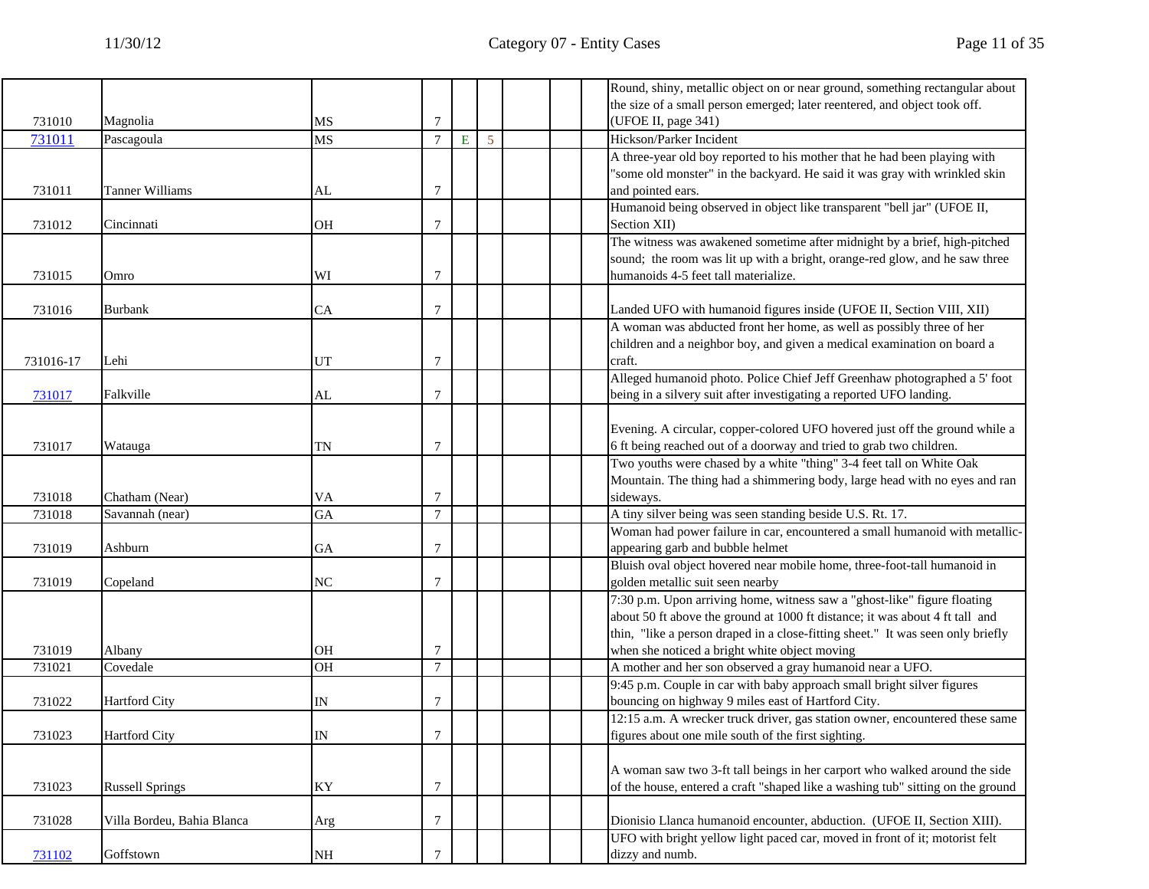|           |                            |           |                |   |   |  | Round, shiny, metallic object on or near ground, something rectangular about    |
|-----------|----------------------------|-----------|----------------|---|---|--|---------------------------------------------------------------------------------|
|           |                            |           |                |   |   |  | the size of a small person emerged; later reentered, and object took off.       |
| 731010    | Magnolia                   | MS        | 7              |   |   |  | (UFOE II, page 341)                                                             |
| 731011    | Pascagoula                 | <b>MS</b> | $\overline{7}$ | E | 5 |  | Hickson/Parker Incident                                                         |
|           |                            |           |                |   |   |  | A three-year old boy reported to his mother that he had been playing with       |
|           |                            |           |                |   |   |  | 'some old monster" in the backyard. He said it was gray with wrinkled skin      |
| 731011    | <b>Tanner Williams</b>     | AL        | $\tau$         |   |   |  | and pointed ears.                                                               |
|           |                            |           |                |   |   |  | Humanoid being observed in object like transparent "bell jar" (UFOE II,         |
| 731012    | Cincinnati                 | OH        | 7              |   |   |  | Section XII)                                                                    |
|           |                            |           |                |   |   |  | The witness was awakened sometime after midnight by a brief, high-pitched       |
|           |                            |           |                |   |   |  | sound; the room was lit up with a bright, orange-red glow, and he saw three     |
| 731015    | Omro                       | WI        | 7              |   |   |  | humanoids 4-5 feet tall materialize.                                            |
|           |                            |           |                |   |   |  |                                                                                 |
| 731016    | Burbank                    | СA        | 7              |   |   |  | Landed UFO with humanoid figures inside (UFOE II, Section VIII, XII)            |
|           |                            |           |                |   |   |  | A woman was abducted front her home, as well as possibly three of her           |
|           |                            |           |                |   |   |  | children and a neighbor boy, and given a medical examination on board a         |
| 731016-17 | Lehi                       | UT        | 7              |   |   |  | craft.                                                                          |
|           |                            |           |                |   |   |  | Alleged humanoid photo. Police Chief Jeff Greenhaw photographed a 5' foot       |
| 731017    | Falkville                  | AL        | 7              |   |   |  | being in a silvery suit after investigating a reported UFO landing.             |
|           |                            |           |                |   |   |  |                                                                                 |
|           |                            |           |                |   |   |  | Evening. A circular, copper-colored UFO hovered just off the ground while a     |
| 731017    | Watauga                    | TN        | $\overline{7}$ |   |   |  | 6 ft being reached out of a doorway and tried to grab two children.             |
|           |                            |           |                |   |   |  | Two youths were chased by a white "thing" 3-4 feet tall on White Oak            |
|           |                            |           |                |   |   |  | Mountain. The thing had a shimmering body, large head with no eyes and ran      |
| 731018    | Chatham (Near)             | VA        | $\overline{7}$ |   |   |  | sideways.                                                                       |
| 731018    | Savannah (near)            | GA        | $\overline{7}$ |   |   |  | A tiny silver being was seen standing beside U.S. Rt. 17.                       |
|           |                            |           |                |   |   |  | Woman had power failure in car, encountered a small humanoid with metallic-     |
| 731019    | Ashburn                    | GA        | $\overline{7}$ |   |   |  | appearing garb and bubble helmet                                                |
|           |                            |           |                |   |   |  | Bluish oval object hovered near mobile home, three-foot-tall humanoid in        |
| 731019    | Copeland                   | NC        | $\overline{7}$ |   |   |  | golden metallic suit seen nearby                                                |
|           |                            |           |                |   |   |  | 7:30 p.m. Upon arriving home, witness saw a "ghost-like" figure floating        |
|           |                            |           |                |   |   |  | about 50 ft above the ground at 1000 ft distance; it was about 4 ft tall and    |
|           |                            |           |                |   |   |  | thin, "like a person draped in a close-fitting sheet." It was seen only briefly |
| 731019    | Albany                     | <b>OH</b> | 7              |   |   |  | when she noticed a bright white object moving                                   |
| 731021    | Covedale                   | <b>OH</b> | $\overline{7}$ |   |   |  | A mother and her son observed a gray humanoid near a UFO.                       |
|           |                            |           |                |   |   |  | 9:45 p.m. Couple in car with baby approach small bright silver figures          |
| 731022    | <b>Hartford City</b>       | IN        | 7              |   |   |  | bouncing on highway 9 miles east of Hartford City.                              |
|           |                            |           |                |   |   |  | 12:15 a.m. A wrecker truck driver, gas station owner, encountered these same    |
| 731023    | <b>Hartford City</b>       | IN        |                |   |   |  | figures about one mile south of the first sighting.                             |
|           |                            |           |                |   |   |  |                                                                                 |
|           |                            |           |                |   |   |  | A woman saw two 3-ft tall beings in her carport who walked around the side      |
| 731023    | <b>Russell Springs</b>     | KY        | $\tau$         |   |   |  | of the house, entered a craft "shaped like a washing tub" sitting on the ground |
|           |                            |           |                |   |   |  |                                                                                 |
| 731028    | Villa Bordeu, Bahia Blanca | Arg       | $\overline{7}$ |   |   |  | Dionisio Llanca humanoid encounter, abduction. (UFOE II, Section XIII).         |
|           |                            |           |                |   |   |  | UFO with bright yellow light paced car, moved in front of it; motorist felt     |
| 731102    | Goffstown                  | $\rm NH$  | $\overline{7}$ |   |   |  | dizzy and numb.                                                                 |
|           |                            |           |                |   |   |  |                                                                                 |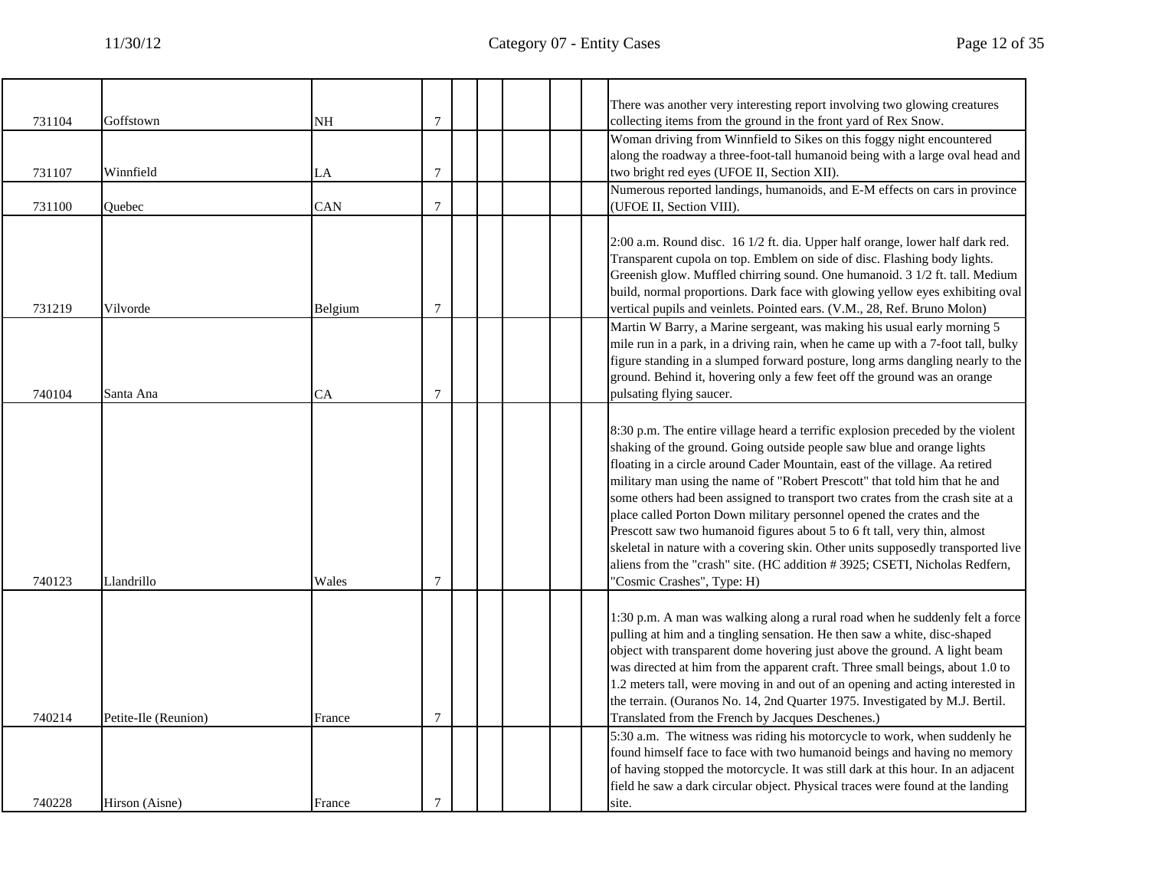| 731104 | Goffstown            | NΗ      | 7 |  |  | There was another very interesting report involving two glowing creatures<br>collecting items from the ground in the front yard of Rex Snow.                                                                                                                                                                                                                                                                                                                                                                                                                                                                                                                                                                                                                   |
|--------|----------------------|---------|---|--|--|----------------------------------------------------------------------------------------------------------------------------------------------------------------------------------------------------------------------------------------------------------------------------------------------------------------------------------------------------------------------------------------------------------------------------------------------------------------------------------------------------------------------------------------------------------------------------------------------------------------------------------------------------------------------------------------------------------------------------------------------------------------|
|        |                      |         |   |  |  | Woman driving from Winnfield to Sikes on this foggy night encountered                                                                                                                                                                                                                                                                                                                                                                                                                                                                                                                                                                                                                                                                                          |
|        |                      |         |   |  |  | along the roadway a three-foot-tall humanoid being with a large oval head and                                                                                                                                                                                                                                                                                                                                                                                                                                                                                                                                                                                                                                                                                  |
| 731107 | Winnfield            | LA      | 7 |  |  | two bright red eyes (UFOE II, Section XII).                                                                                                                                                                                                                                                                                                                                                                                                                                                                                                                                                                                                                                                                                                                    |
|        |                      |         |   |  |  | Numerous reported landings, humanoids, and E-M effects on cars in province                                                                                                                                                                                                                                                                                                                                                                                                                                                                                                                                                                                                                                                                                     |
| 731100 | Quebec               | CAN     | 7 |  |  | (UFOE II, Section VIII).                                                                                                                                                                                                                                                                                                                                                                                                                                                                                                                                                                                                                                                                                                                                       |
| 731219 | Vilvorde             | Belgium | 7 |  |  | 2:00 a.m. Round disc. 16 1/2 ft. dia. Upper half orange, lower half dark red.<br>Transparent cupola on top. Emblem on side of disc. Flashing body lights.<br>Greenish glow. Muffled chirring sound. One humanoid. 3 1/2 ft. tall. Medium<br>build, normal proportions. Dark face with glowing yellow eyes exhibiting oval<br>vertical pupils and veinlets. Pointed ears. (V.M., 28, Ref. Bruno Molon)                                                                                                                                                                                                                                                                                                                                                          |
| 740104 | Santa Ana            | CA      | 7 |  |  | Martin W Barry, a Marine sergeant, was making his usual early morning 5<br>mile run in a park, in a driving rain, when he came up with a 7-foot tall, bulky<br>figure standing in a slumped forward posture, long arms dangling nearly to the<br>ground. Behind it, hovering only a few feet off the ground was an orange<br>pulsating flying saucer.                                                                                                                                                                                                                                                                                                                                                                                                          |
| 740123 | Llandrillo           | Wales   | 7 |  |  | 8:30 p.m. The entire village heard a terrific explosion preceded by the violent<br>shaking of the ground. Going outside people saw blue and orange lights<br>floating in a circle around Cader Mountain, east of the village. Aa retired<br>military man using the name of "Robert Prescott" that told him that he and<br>some others had been assigned to transport two crates from the crash site at a<br>place called Porton Down military personnel opened the crates and the<br>Prescott saw two humanoid figures about 5 to 6 ft tall, very thin, almost<br>skeletal in nature with a covering skin. Other units supposedly transported live<br>aliens from the "crash" site. (HC addition #3925; CSETI, Nicholas Redfern,<br>'Cosmic Crashes", Type: H) |
| 740214 | Petite-Ile (Reunion) | France  | 7 |  |  | 1:30 p.m. A man was walking along a rural road when he suddenly felt a force<br>pulling at him and a tingling sensation. He then saw a white, disc-shaped<br>object with transparent dome hovering just above the ground. A light beam<br>was directed at him from the apparent craft. Three small beings, about 1.0 to<br>1.2 meters tall, were moving in and out of an opening and acting interested in<br>the terrain. (Ouranos No. 14, 2nd Quarter 1975. Investigated by M.J. Bertil.<br>Translated from the French by Jacques Deschenes.)                                                                                                                                                                                                                 |
| 740228 | Hirson (Aisne)       | France  | 7 |  |  | 5:30 a.m. The witness was riding his motorcycle to work, when suddenly he<br>found himself face to face with two humanoid beings and having no memory<br>of having stopped the motorcycle. It was still dark at this hour. In an adjacent<br>field he saw a dark circular object. Physical traces were found at the landing<br>site.                                                                                                                                                                                                                                                                                                                                                                                                                           |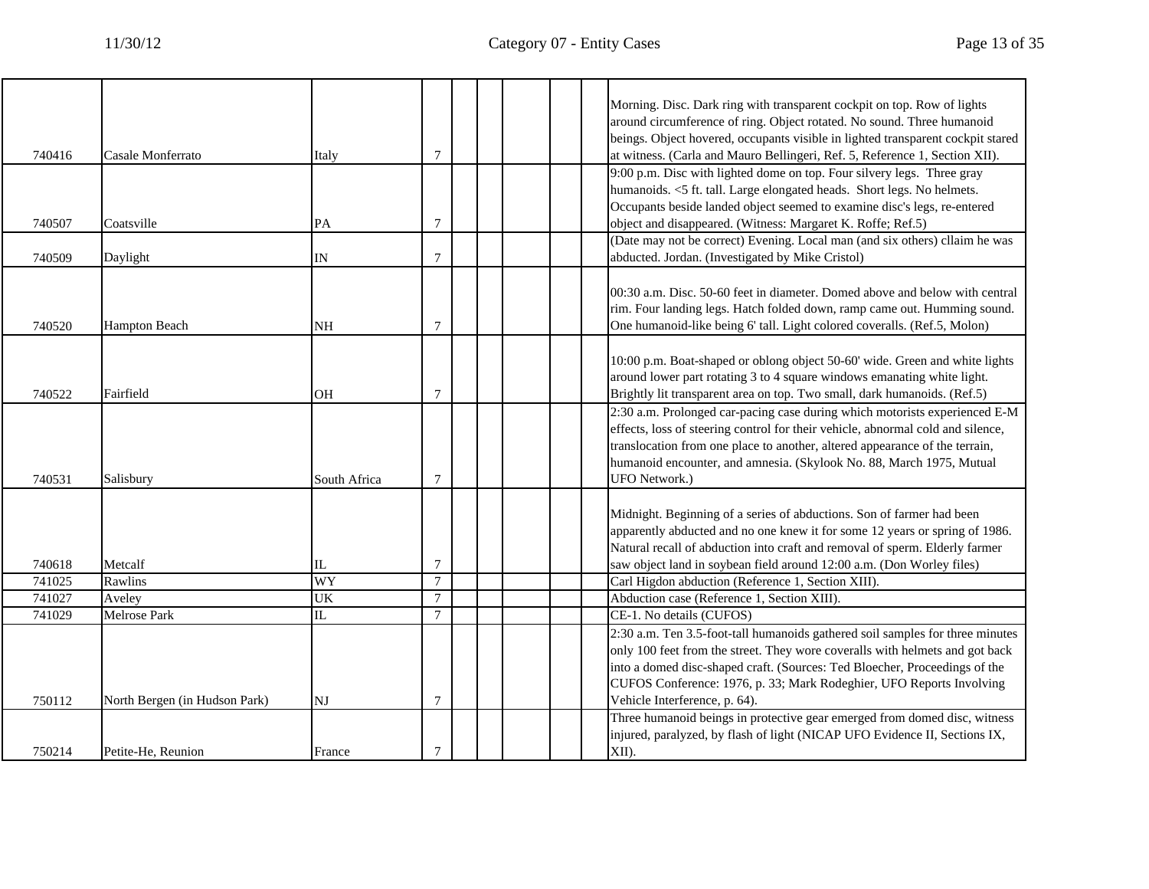Т

┑

|        |                               |              |                  |  | Morning. Disc. Dark ring with transparent cockpit on top. Row of lights<br>around circumference of ring. Object rotated. No sound. Three humanoid    |
|--------|-------------------------------|--------------|------------------|--|------------------------------------------------------------------------------------------------------------------------------------------------------|
|        |                               |              |                  |  | beings. Object hovered, occupants visible in lighted transparent cockpit stared                                                                      |
| 740416 | Casale Monferrato             | Italy        | $\tau$           |  | at witness. (Carla and Mauro Bellingeri, Ref. 5, Reference 1, Section XII).                                                                          |
|        |                               |              |                  |  | 9:00 p.m. Disc with lighted dome on top. Four silvery legs. Three gray<br>humanoids. <5 ft. tall. Large elongated heads. Short legs. No helmets.     |
|        |                               |              |                  |  | Occupants beside landed object seemed to examine disc's legs, re-entered                                                                             |
| 740507 | Coatsville                    | PA           | $\boldsymbol{7}$ |  | object and disappeared. (Witness: Margaret K. Roffe; Ref.5)                                                                                          |
| 740509 | Daylight                      | IN           | $7\phantom{.0}$  |  | (Date may not be correct) Evening. Local man (and six others) cllaim he was<br>abducted. Jordan. (Investigated by Mike Cristol)                      |
|        |                               |              |                  |  | 00:30 a.m. Disc. 50-60 feet in diameter. Domed above and below with central                                                                          |
| 740520 | <b>Hampton Beach</b>          | NΗ           | $7\phantom{.0}$  |  | rim. Four landing legs. Hatch folded down, ramp came out. Humming sound.<br>One humanoid-like being 6' tall. Light colored coveralls. (Ref.5, Molon) |
|        |                               |              |                  |  |                                                                                                                                                      |
|        |                               |              |                  |  | 10:00 p.m. Boat-shaped or oblong object 50-60' wide. Green and white lights                                                                          |
|        |                               |              |                  |  | around lower part rotating 3 to 4 square windows emanating white light.                                                                              |
| 740522 | Fairfield                     | OH           | $\tau$           |  | Brightly lit transparent area on top. Two small, dark humanoids. (Ref.5)                                                                             |
|        |                               |              |                  |  | 2:30 a.m. Prolonged car-pacing case during which motorists experienced E-M                                                                           |
|        |                               |              |                  |  | effects, loss of steering control for their vehicle, abnormal cold and silence,                                                                      |
|        |                               |              |                  |  | translocation from one place to another, altered appearance of the terrain,                                                                          |
|        |                               |              |                  |  | humanoid encounter, and amnesia. (Skylook No. 88, March 1975, Mutual                                                                                 |
| 740531 | Salisbury                     | South Africa | $\tau$           |  | UFO Network.)                                                                                                                                        |
|        |                               |              |                  |  |                                                                                                                                                      |
|        |                               |              |                  |  | Midnight. Beginning of a series of abductions. Son of farmer had been                                                                                |
|        |                               |              |                  |  | apparently abducted and no one knew it for some 12 years or spring of 1986.                                                                          |
|        |                               |              |                  |  | Natural recall of abduction into craft and removal of sperm. Elderly farmer                                                                          |
| 740618 | Metcalf                       | IL           | $\tau$           |  | saw object land in soybean field around 12:00 a.m. (Don Worley files)                                                                                |
| 741025 | Rawlins                       | <b>WY</b>    | $\overline{7}$   |  | Carl Higdon abduction (Reference 1, Section XIII).                                                                                                   |
| 741027 | Aveley                        | UK           | $\tau$           |  | Abduction case (Reference 1, Section XIII).                                                                                                          |
| 741029 | Melrose Park                  | $\rm IL$     | $7\phantom{.0}$  |  | CE-1. No details (CUFOS)                                                                                                                             |
|        |                               |              |                  |  | 2:30 a.m. Ten 3.5-foot-tall humanoids gathered soil samples for three minutes                                                                        |
|        |                               |              |                  |  | only 100 feet from the street. They wore coveralls with helmets and got back                                                                         |
|        |                               |              |                  |  | into a domed disc-shaped craft. (Sources: Ted Bloecher, Proceedings of the                                                                           |
|        |                               |              |                  |  | CUFOS Conference: 1976, p. 33; Mark Rodeghier, UFO Reports Involving                                                                                 |
| 750112 | North Bergen (in Hudson Park) | NJ           | $\overline{7}$   |  | Vehicle Interference, p. 64).                                                                                                                        |
|        |                               |              |                  |  | Three humanoid beings in protective gear emerged from domed disc, witness                                                                            |
|        |                               |              |                  |  | injured, paralyzed, by flash of light (NICAP UFO Evidence II, Sections IX,                                                                           |
| 750214 | Petite-He, Reunion            | France       | 7                |  | XII).                                                                                                                                                |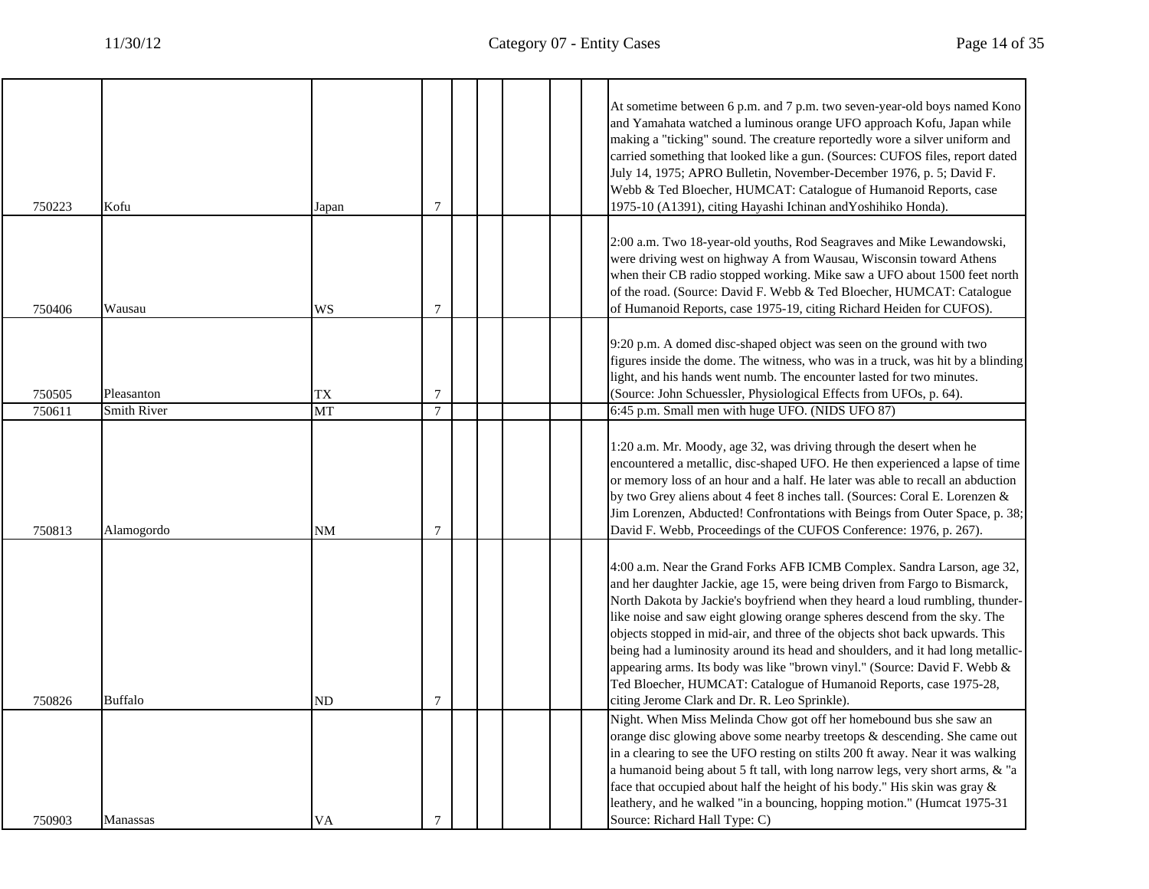| 750223           | Kofu                             | Japan           | 7                   |  |  | At sometime between 6 p.m. and 7 p.m. two seven-year-old boys named Kono<br>and Yamahata watched a luminous orange UFO approach Kofu, Japan while<br>making a "ticking" sound. The creature reportedly wore a silver uniform and<br>carried something that looked like a gun. (Sources: CUFOS files, report dated<br>July 14, 1975; APRO Bulletin, November-December 1976, p. 5; David F.<br>Webb & Ted Bloecher, HUMCAT: Catalogue of Humanoid Reports, case<br>1975-10 (A1391), citing Hayashi Ichinan and Yoshihiko Honda).                                                                                                                                                            |
|------------------|----------------------------------|-----------------|---------------------|--|--|-------------------------------------------------------------------------------------------------------------------------------------------------------------------------------------------------------------------------------------------------------------------------------------------------------------------------------------------------------------------------------------------------------------------------------------------------------------------------------------------------------------------------------------------------------------------------------------------------------------------------------------------------------------------------------------------|
| 750406           | Wausau                           | WS              | 7                   |  |  | 2:00 a.m. Two 18-year-old youths, Rod Seagraves and Mike Lewandowski,<br>were driving west on highway A from Wausau, Wisconsin toward Athens<br>when their CB radio stopped working. Mike saw a UFO about 1500 feet north<br>of the road. (Source: David F. Webb & Ted Bloecher, HUMCAT: Catalogue<br>of Humanoid Reports, case 1975-19, citing Richard Heiden for CUFOS).                                                                                                                                                                                                                                                                                                                |
| 750505           | Pleasanton                       | TX              | 7<br>$\overline{7}$ |  |  | 9:20 p.m. A domed disc-shaped object was seen on the ground with two<br>figures inside the dome. The witness, who was in a truck, was hit by a blinding<br>light, and his hands went numb. The encounter lasted for two minutes.<br>(Source: John Schuessler, Physiological Effects from UFOs, p. 64).                                                                                                                                                                                                                                                                                                                                                                                    |
| 750611<br>750813 | <b>Smith River</b><br>Alamogordo | MT<br><b>NM</b> | $\overline{7}$      |  |  | 6:45 p.m. Small men with huge UFO. (NIDS UFO 87)<br>1:20 a.m. Mr. Moody, age 32, was driving through the desert when he<br>encountered a metallic, disc-shaped UFO. He then experienced a lapse of time<br>or memory loss of an hour and a half. He later was able to recall an abduction<br>by two Grey aliens about 4 feet 8 inches tall. (Sources: Coral E. Lorenzen &<br>Jim Lorenzen, Abducted! Confrontations with Beings from Outer Space, p. 38;<br>David F. Webb, Proceedings of the CUFOS Conference: 1976, p. 267).                                                                                                                                                            |
| 750826           | <b>Buffalo</b>                   | ND              | $\overline{7}$      |  |  | 4:00 a.m. Near the Grand Forks AFB ICMB Complex. Sandra Larson, age 32,<br>and her daughter Jackie, age 15, were being driven from Fargo to Bismarck,<br>North Dakota by Jackie's boyfriend when they heard a loud rumbling, thunder-<br>like noise and saw eight glowing orange spheres descend from the sky. The<br>objects stopped in mid-air, and three of the objects shot back upwards. This<br>being had a luminosity around its head and shoulders, and it had long metallic-<br>appearing arms. Its body was like "brown vinyl." (Source: David F. Webb &<br>Ted Bloecher, HUMCAT: Catalogue of Humanoid Reports, case 1975-28,<br>citing Jerome Clark and Dr. R. Leo Sprinkle). |
| 750903           | Manassas                         | VA              | $\tau$              |  |  | Night. When Miss Melinda Chow got off her homebound bus she saw an<br>orange disc glowing above some nearby treetops $\&$ descending. She came out<br>in a clearing to see the UFO resting on stilts 200 ft away. Near it was walking<br>a humanoid being about 5 ft tall, with long narrow legs, very short arms, & "a<br>face that occupied about half the height of his body." His skin was gray &<br>leathery, and he walked "in a bouncing, hopping motion." (Humcat 1975-31<br>Source: Richard Hall Type: C)                                                                                                                                                                        |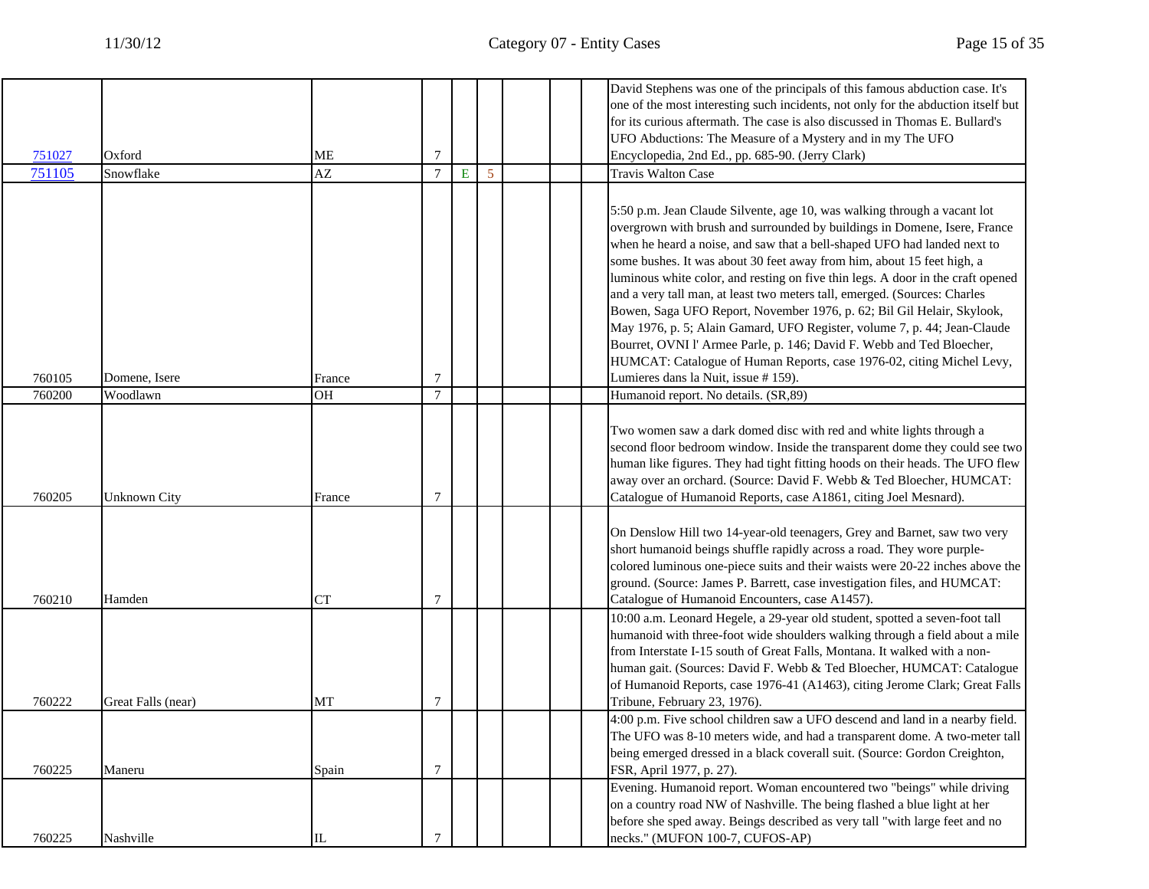|        |                     |                        |                  |           |                |  | David Stephens was one of the principals of this famous abduction case. It's      |
|--------|---------------------|------------------------|------------------|-----------|----------------|--|-----------------------------------------------------------------------------------|
|        |                     |                        |                  |           |                |  | one of the most interesting such incidents, not only for the abduction itself but |
|        |                     |                        |                  |           |                |  | for its curious aftermath. The case is also discussed in Thomas E. Bullard's      |
|        |                     |                        |                  |           |                |  | UFO Abductions: The Measure of a Mystery and in my The UFO                        |
| 751027 | Oxford              | ME                     | 7                |           |                |  | Encyclopedia, 2nd Ed., pp. 685-90. (Jerry Clark)                                  |
| 751105 | Snowflake           | $\mathbf{A}\mathbf{Z}$ | $\overline{7}$   | ${\bf E}$ | $\overline{5}$ |  | <b>Travis Walton Case</b>                                                         |
|        |                     |                        |                  |           |                |  |                                                                                   |
|        |                     |                        |                  |           |                |  | 5:50 p.m. Jean Claude Silvente, age 10, was walking through a vacant lot          |
|        |                     |                        |                  |           |                |  | overgrown with brush and surrounded by buildings in Domene, Isere, France         |
|        |                     |                        |                  |           |                |  | when he heard a noise, and saw that a bell-shaped UFO had landed next to          |
|        |                     |                        |                  |           |                |  | some bushes. It was about 30 feet away from him, about 15 feet high, a            |
|        |                     |                        |                  |           |                |  | luminous white color, and resting on five thin legs. A door in the craft opened   |
|        |                     |                        |                  |           |                |  | and a very tall man, at least two meters tall, emerged. (Sources: Charles         |
|        |                     |                        |                  |           |                |  | Bowen, Saga UFO Report, November 1976, p. 62; Bil Gil Helair, Skylook,            |
|        |                     |                        |                  |           |                |  | May 1976, p. 5; Alain Gamard, UFO Register, volume 7, p. 44; Jean-Claude          |
|        |                     |                        |                  |           |                |  | Bourret, OVNI l'Armee Parle, p. 146; David F. Webb and Ted Bloecher,              |
|        |                     |                        |                  |           |                |  | HUMCAT: Catalogue of Human Reports, case 1976-02, citing Michel Levy,             |
| 760105 | Domene, Isere       | France                 | 7                |           |                |  | Lumieres dans la Nuit, issue # 159).                                              |
| 760200 | Woodlawn            | OH                     | $\overline{7}$   |           |                |  | Humanoid report. No details. (SR,89)                                              |
|        |                     |                        |                  |           |                |  |                                                                                   |
|        |                     |                        |                  |           |                |  | Two women saw a dark domed disc with red and white lights through a               |
|        |                     |                        |                  |           |                |  | second floor bedroom window. Inside the transparent dome they could see two       |
|        |                     |                        |                  |           |                |  | human like figures. They had tight fitting hoods on their heads. The UFO flew     |
|        |                     |                        |                  |           |                |  | away over an orchard. (Source: David F. Webb & Ted Bloecher, HUMCAT:              |
| 760205 | <b>Unknown City</b> | France                 | 7                |           |                |  | Catalogue of Humanoid Reports, case A1861, citing Joel Mesnard).                  |
|        |                     |                        |                  |           |                |  |                                                                                   |
|        |                     |                        |                  |           |                |  | On Denslow Hill two 14-year-old teenagers, Grey and Barnet, saw two very          |
|        |                     |                        |                  |           |                |  | short humanoid beings shuffle rapidly across a road. They wore purple-            |
|        |                     |                        |                  |           |                |  | colored luminous one-piece suits and their waists were 20-22 inches above the     |
|        |                     |                        |                  |           |                |  | ground. (Source: James P. Barrett, case investigation files, and HUMCAT:          |
| 760210 | Hamden              | CT                     | 7                |           |                |  | Catalogue of Humanoid Encounters, case A1457).                                    |
|        |                     |                        |                  |           |                |  | 10:00 a.m. Leonard Hegele, a 29-year old student, spotted a seven-foot tall       |
|        |                     |                        |                  |           |                |  | humanoid with three-foot wide shoulders walking through a field about a mile      |
|        |                     |                        |                  |           |                |  | from Interstate I-15 south of Great Falls, Montana. It walked with a non-         |
|        |                     |                        |                  |           |                |  | human gait. (Sources: David F. Webb & Ted Bloecher, HUMCAT: Catalogue             |
|        |                     |                        |                  |           |                |  | of Humanoid Reports, case 1976-41 (A1463), citing Jerome Clark; Great Falls       |
| 760222 | Great Falls (near)  | MT                     | 7                |           |                |  | Tribune, February 23, 1976).                                                      |
|        |                     |                        |                  |           |                |  | 4:00 p.m. Five school children saw a UFO descend and land in a nearby field.      |
|        |                     |                        |                  |           |                |  | The UFO was 8-10 meters wide, and had a transparent dome. A two-meter tall        |
|        |                     |                        |                  |           |                |  | being emerged dressed in a black coverall suit. (Source: Gordon Creighton,        |
| 760225 | Maneru              | Spain                  | 7                |           |                |  | FSR, April 1977, p. 27).                                                          |
|        |                     |                        |                  |           |                |  | Evening. Humanoid report. Woman encountered two "beings" while driving            |
|        |                     |                        |                  |           |                |  | on a country road NW of Nashville. The being flashed a blue light at her          |
|        |                     |                        |                  |           |                |  | before she sped away. Beings described as very tall "with large feet and no       |
| 760225 | Nashville           | $\mathbf{I}$           | $\boldsymbol{7}$ |           |                |  | necks." (MUFON 100-7, CUFOS-AP)                                                   |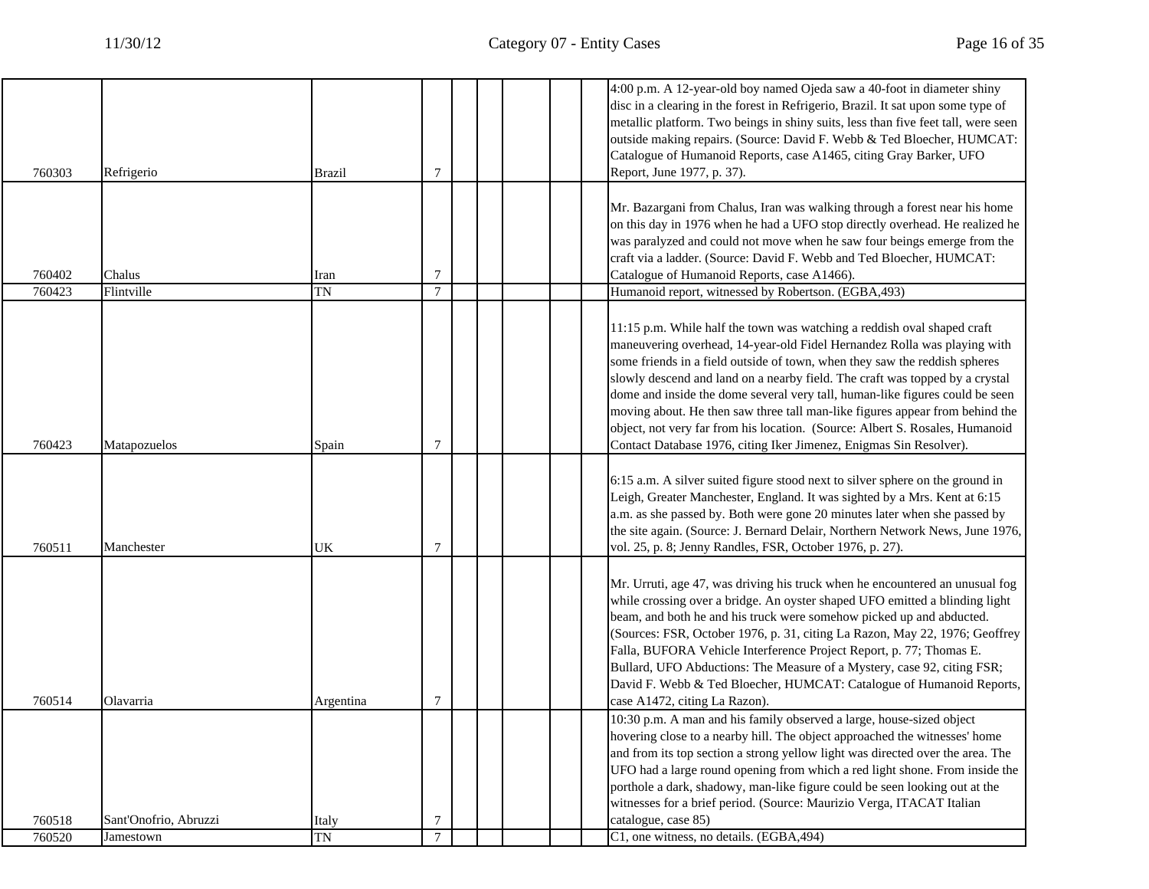|                  |                       |                    |                     |  |  | 4:00 p.m. A 12-year-old boy named Ojeda saw a 40-foot in diameter shiny<br>disc in a clearing in the forest in Refrigerio, Brazil. It sat upon some type of<br>metallic platform. Two beings in shiny suits, less than five feet tall, were seen<br>outside making repairs. (Source: David F. Webb & Ted Bloecher, HUMCAT:<br>Catalogue of Humanoid Reports, case A1465, citing Gray Barker, UFO                                                                                                                                                                                                                                        |
|------------------|-----------------------|--------------------|---------------------|--|--|-----------------------------------------------------------------------------------------------------------------------------------------------------------------------------------------------------------------------------------------------------------------------------------------------------------------------------------------------------------------------------------------------------------------------------------------------------------------------------------------------------------------------------------------------------------------------------------------------------------------------------------------|
| 760303           | Refrigerio            | <b>Brazil</b>      | $\tau$              |  |  | Report, June 1977, p. 37).                                                                                                                                                                                                                                                                                                                                                                                                                                                                                                                                                                                                              |
| 760402           | Chalus                | Iran               | 7                   |  |  | Mr. Bazargani from Chalus, Iran was walking through a forest near his home<br>on this day in 1976 when he had a UFO stop directly overhead. He realized he<br>was paralyzed and could not move when he saw four beings emerge from the<br>craft via a ladder. (Source: David F. Webb and Ted Bloecher, HUMCAT:<br>Catalogue of Humanoid Reports, case A1466).                                                                                                                                                                                                                                                                           |
| 760423           | Flintville            | <b>TN</b>          | $\tau$              |  |  | Humanoid report, witnessed by Robertson. (EGBA, 493)                                                                                                                                                                                                                                                                                                                                                                                                                                                                                                                                                                                    |
| 760423           | Matapozuelos          | Spain              | 7                   |  |  | 11:15 p.m. While half the town was watching a reddish oval shaped craft<br>maneuvering overhead, 14-year-old Fidel Hernandez Rolla was playing with<br>some friends in a field outside of town, when they saw the reddish spheres<br>slowly descend and land on a nearby field. The craft was topped by a crystal<br>dome and inside the dome several very tall, human-like figures could be seen<br>moving about. He then saw three tall man-like figures appear from behind the<br>object, not very far from his location. (Source: Albert S. Rosales, Humanoid<br>Contact Database 1976, citing Iker Jimenez, Enigmas Sin Resolver). |
| 760511           | Manchester            | UK                 | $\tau$              |  |  | 6:15 a.m. A silver suited figure stood next to silver sphere on the ground in<br>Leigh, Greater Manchester, England. It was sighted by a Mrs. Kent at 6:15<br>a.m. as she passed by. Both were gone 20 minutes later when she passed by<br>the site again. (Source: J. Bernard Delair, Northern Network News, June 1976,<br>vol. 25, p. 8; Jenny Randles, FSR, October 1976, p. 27).                                                                                                                                                                                                                                                    |
| 760514           | Olavarria             | Argentina          | 7                   |  |  | Mr. Urruti, age 47, was driving his truck when he encountered an unusual fog<br>while crossing over a bridge. An oyster shaped UFO emitted a blinding light<br>beam, and both he and his truck were somehow picked up and abducted.<br>(Sources: FSR, October 1976, p. 31, citing La Razon, May 22, 1976; Geoffrey<br>Falla, BUFORA Vehicle Interference Project Report, p. 77; Thomas E.<br>Bullard, UFO Abductions: The Measure of a Mystery, case 92, citing FSR;<br>David F. Webb & Ted Bloecher, HUMCAT: Catalogue of Humanoid Reports,<br>case A1472, citing La Razon).                                                           |
|                  |                       |                    |                     |  |  | 10:30 p.m. A man and his family observed a large, house-sized object<br>hovering close to a nearby hill. The object approached the witnesses' home<br>and from its top section a strong yellow light was directed over the area. The<br>UFO had a large round opening from which a red light shone. From inside the<br>porthole a dark, shadowy, man-like figure could be seen looking out at the<br>witnesses for a brief period. (Source: Maurizio Verga, ITACAT Italian                                                                                                                                                              |
| 760518<br>760520 | Sant'Onofrio, Abruzzi | Italy<br><b>TN</b> | 7<br>$\overline{7}$ |  |  | catalogue, case 85)<br>C1, one witness, no details. (EGBA, 494)                                                                                                                                                                                                                                                                                                                                                                                                                                                                                                                                                                         |
|                  | Jamestown             |                    |                     |  |  |                                                                                                                                                                                                                                                                                                                                                                                                                                                                                                                                                                                                                                         |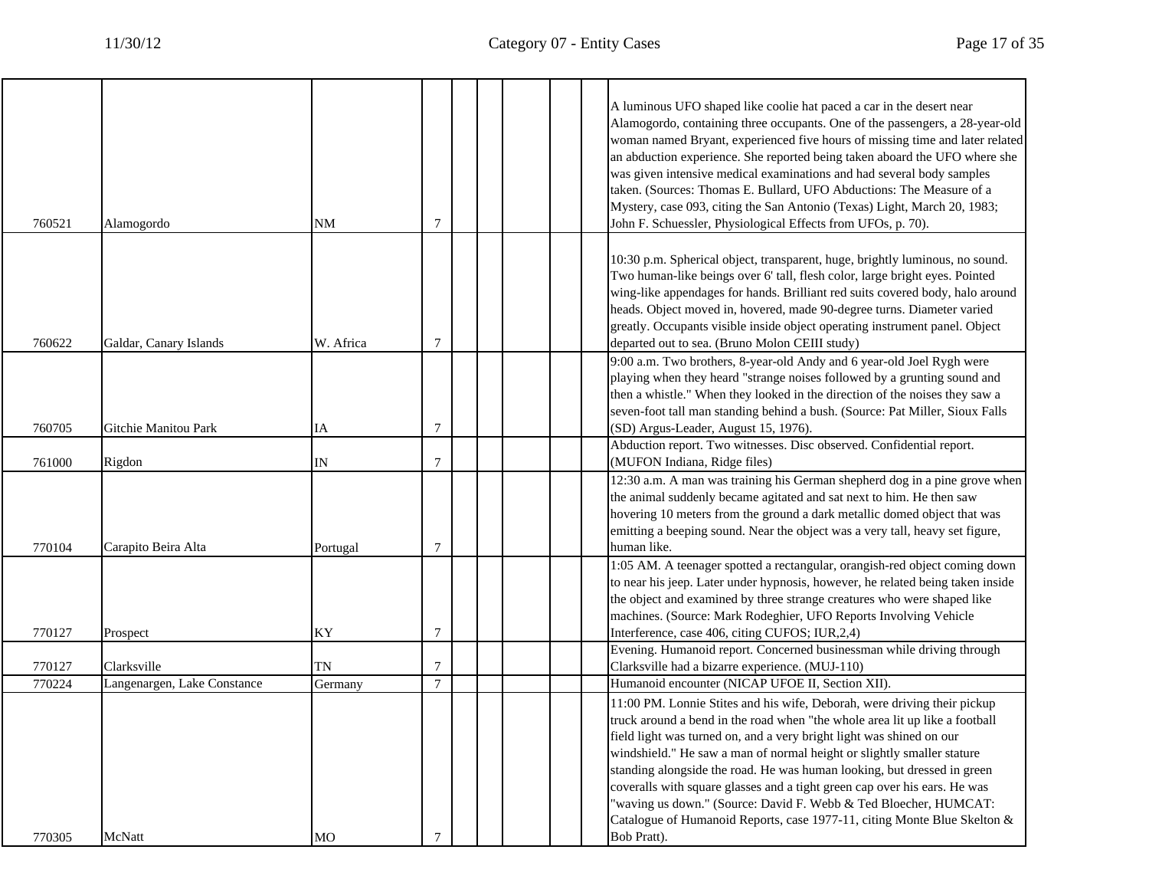┱

٦

| 760521           | Alamogordo                                 | <b>NM</b>     | 7              |  |  | A luminous UFO shaped like coolie hat paced a car in the desert near<br>Alamogordo, containing three occupants. One of the passengers, a 28-year-old<br>woman named Bryant, experienced five hours of missing time and later related<br>an abduction experience. She reported being taken aboard the UFO where she<br>was given intensive medical examinations and had several body samples<br>taken. (Sources: Thomas E. Bullard, UFO Abductions: The Measure of a<br>Mystery, case 093, citing the San Antonio (Texas) Light, March 20, 1983;<br>John F. Schuessler, Physiological Effects from UFOs, p. 70).   |
|------------------|--------------------------------------------|---------------|----------------|--|--|-------------------------------------------------------------------------------------------------------------------------------------------------------------------------------------------------------------------------------------------------------------------------------------------------------------------------------------------------------------------------------------------------------------------------------------------------------------------------------------------------------------------------------------------------------------------------------------------------------------------|
| 760622           | Galdar, Canary Islands                     | W. Africa     | 7              |  |  | 10:30 p.m. Spherical object, transparent, huge, brightly luminous, no sound.<br>Two human-like beings over 6' tall, flesh color, large bright eyes. Pointed<br>wing-like appendages for hands. Brilliant red suits covered body, halo around<br>heads. Object moved in, hovered, made 90-degree turns. Diameter varied<br>greatly. Occupants visible inside object operating instrument panel. Object<br>departed out to sea. (Bruno Molon CEIII study)                                                                                                                                                           |
| 760705           | Gitchie Manitou Park                       | IA            | 7              |  |  | 9:00 a.m. Two brothers, 8-year-old Andy and 6 year-old Joel Rygh were<br>playing when they heard "strange noises followed by a grunting sound and<br>then a whistle." When they looked in the direction of the noises they saw a<br>seven-foot tall man standing behind a bush. (Source: Pat Miller, Sioux Falls<br>(SD) Argus-Leader, August 15, 1976).                                                                                                                                                                                                                                                          |
| 761000           | Rigdon                                     | IN            | 7              |  |  | Abduction report. Two witnesses. Disc observed. Confidential report.<br>(MUFON Indiana, Ridge files)                                                                                                                                                                                                                                                                                                                                                                                                                                                                                                              |
| 770104           | Carapito Beira Alta                        | Portugal      | 7              |  |  | 12:30 a.m. A man was training his German shepherd dog in a pine grove when<br>the animal suddenly became agitated and sat next to him. He then saw<br>hovering 10 meters from the ground a dark metallic domed object that was<br>emitting a beeping sound. Near the object was a very tall, heavy set figure,<br>human like.                                                                                                                                                                                                                                                                                     |
| 770127           | Prospect                                   | KY            | $\overline{7}$ |  |  | 1:05 AM. A teenager spotted a rectangular, orangish-red object coming down<br>to near his jeep. Later under hypnosis, however, he related being taken inside<br>the object and examined by three strange creatures who were shaped like<br>machines. (Source: Mark Rodeghier, UFO Reports Involving Vehicle<br>Interference, case 406, citing CUFOS; IUR,2,4)                                                                                                                                                                                                                                                     |
|                  |                                            |               |                |  |  | Evening. Humanoid report. Concerned businessman while driving through                                                                                                                                                                                                                                                                                                                                                                                                                                                                                                                                             |
| 770127<br>770224 | Clarksville<br>Langenargen, Lake Constance | TN<br>Germany | 7<br>$\tau$    |  |  | Clarksville had a bizarre experience. (MUJ-110)<br>Humanoid encounter (NICAP UFOE II, Section XII).                                                                                                                                                                                                                                                                                                                                                                                                                                                                                                               |
|                  |                                            |               |                |  |  | 11:00 PM. Lonnie Stites and his wife, Deborah, were driving their pickup<br>truck around a bend in the road when "the whole area lit up like a football<br>field light was turned on, and a very bright light was shined on our<br>windshield." He saw a man of normal height or slightly smaller stature<br>standing alongside the road. He was human looking, but dressed in green<br>coveralls with square glasses and a tight green cap over his ears. He was<br>"waving us down." (Source: David F. Webb & Ted Bloecher, HUMCAT:<br>Catalogue of Humanoid Reports, case 1977-11, citing Monte Blue Skelton & |
| 770305           | McNatt                                     | MO            | 7              |  |  | Bob Pratt).                                                                                                                                                                                                                                                                                                                                                                                                                                                                                                                                                                                                       |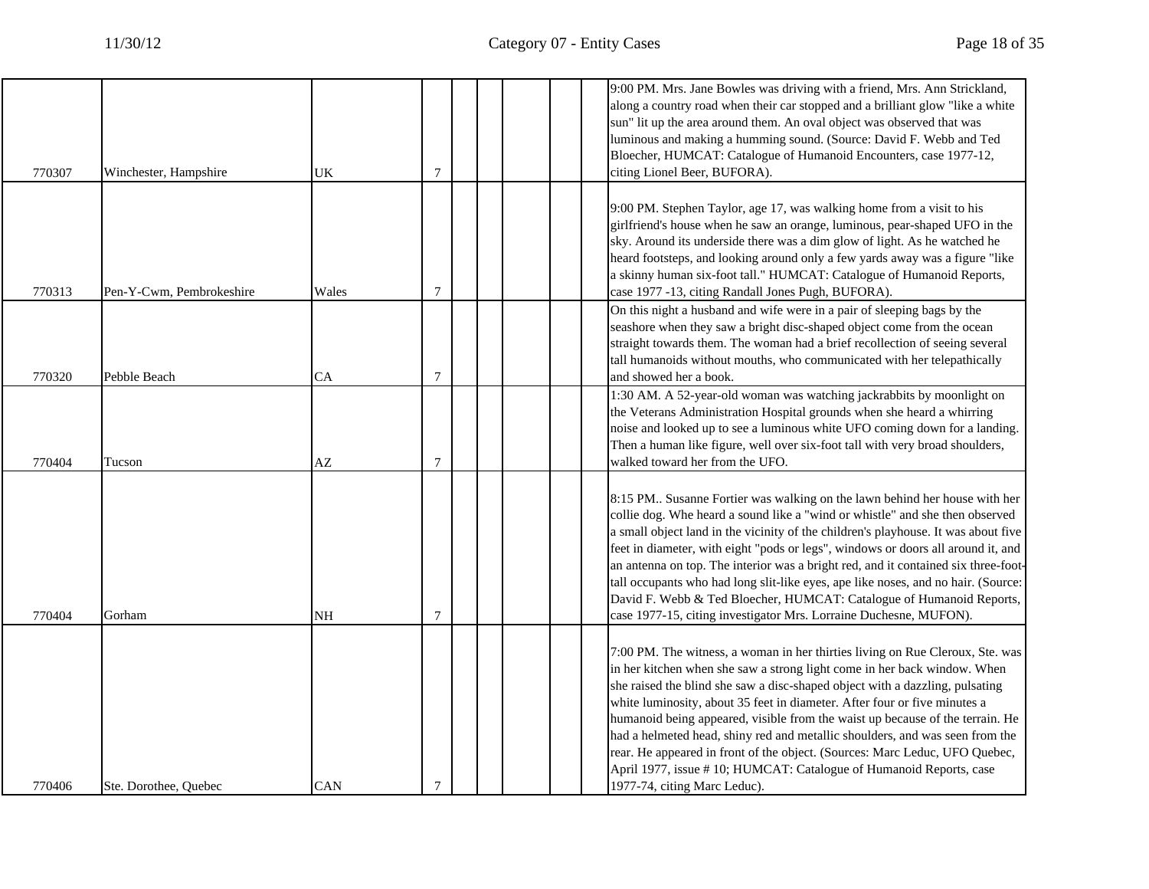| 770307 | Winchester, Hampshire    | UK    | 7              |  |  | 9:00 PM. Mrs. Jane Bowles was driving with a friend, Mrs. Ann Strickland,<br>along a country road when their car stopped and a brilliant glow "like a white<br>sun" lit up the area around them. An oval object was observed that was<br>luminous and making a humming sound. (Source: David F. Webb and Ted<br>Bloecher, HUMCAT: Catalogue of Humanoid Encounters, case 1977-12,<br>citing Lionel Beer, BUFORA).                                                                                                                                                                                                                                                            |
|--------|--------------------------|-------|----------------|--|--|------------------------------------------------------------------------------------------------------------------------------------------------------------------------------------------------------------------------------------------------------------------------------------------------------------------------------------------------------------------------------------------------------------------------------------------------------------------------------------------------------------------------------------------------------------------------------------------------------------------------------------------------------------------------------|
| 770313 | Pen-Y-Cwm, Pembrokeshire | Wales | 7              |  |  | 9:00 PM. Stephen Taylor, age 17, was walking home from a visit to his<br>girlfriend's house when he saw an orange, luminous, pear-shaped UFO in the<br>sky. Around its underside there was a dim glow of light. As he watched he<br>heard footsteps, and looking around only a few yards away was a figure "like<br>a skinny human six-foot tall." HUMCAT: Catalogue of Humanoid Reports,<br>case 1977 -13, citing Randall Jones Pugh, BUFORA).                                                                                                                                                                                                                              |
| 770320 | Pebble Beach             | CА    | 7              |  |  | On this night a husband and wife were in a pair of sleeping bags by the<br>seashore when they saw a bright disc-shaped object come from the ocean<br>straight towards them. The woman had a brief recollection of seeing several<br>tall humanoids without mouths, who communicated with her telepathically<br>and showed her a book.                                                                                                                                                                                                                                                                                                                                        |
| 770404 | Tucson                   | AZ    | $\overline{7}$ |  |  | 1:30 AM. A 52-year-old woman was watching jackrabbits by moonlight on<br>the Veterans Administration Hospital grounds when she heard a whirring<br>noise and looked up to see a luminous white UFO coming down for a landing.<br>Then a human like figure, well over six-foot tall with very broad shoulders,<br>walked toward her from the UFO.                                                                                                                                                                                                                                                                                                                             |
| 770404 | Gorham                   | NH    | 7              |  |  | 8:15 PM Susanne Fortier was walking on the lawn behind her house with her<br>collie dog. Whe heard a sound like a "wind or whistle" and she then observed<br>a small object land in the vicinity of the children's playhouse. It was about five<br>feet in diameter, with eight "pods or legs", windows or doors all around it, and<br>an antenna on top. The interior was a bright red, and it contained six three-foot-<br>tall occupants who had long slit-like eyes, ape like noses, and no hair. (Source:<br>David F. Webb & Ted Bloecher, HUMCAT: Catalogue of Humanoid Reports,<br>case 1977-15, citing investigator Mrs. Lorraine Duchesne, MUFON).                  |
| 770406 | Ste. Dorothee, Ouebec    | CAN   | 7              |  |  | 7:00 PM. The witness, a woman in her thirties living on Rue Cleroux, Ste. was<br>in her kitchen when she saw a strong light come in her back window. When<br>she raised the blind she saw a disc-shaped object with a dazzling, pulsating<br>white luminosity, about 35 feet in diameter. After four or five minutes a<br>humanoid being appeared, visible from the waist up because of the terrain. He<br>had a helmeted head, shiny red and metallic shoulders, and was seen from the<br>rear. He appeared in front of the object. (Sources: Marc Leduc, UFO Quebec,<br>April 1977, issue #10; HUMCAT: Catalogue of Humanoid Reports, case<br>1977-74, citing Marc Leduc). |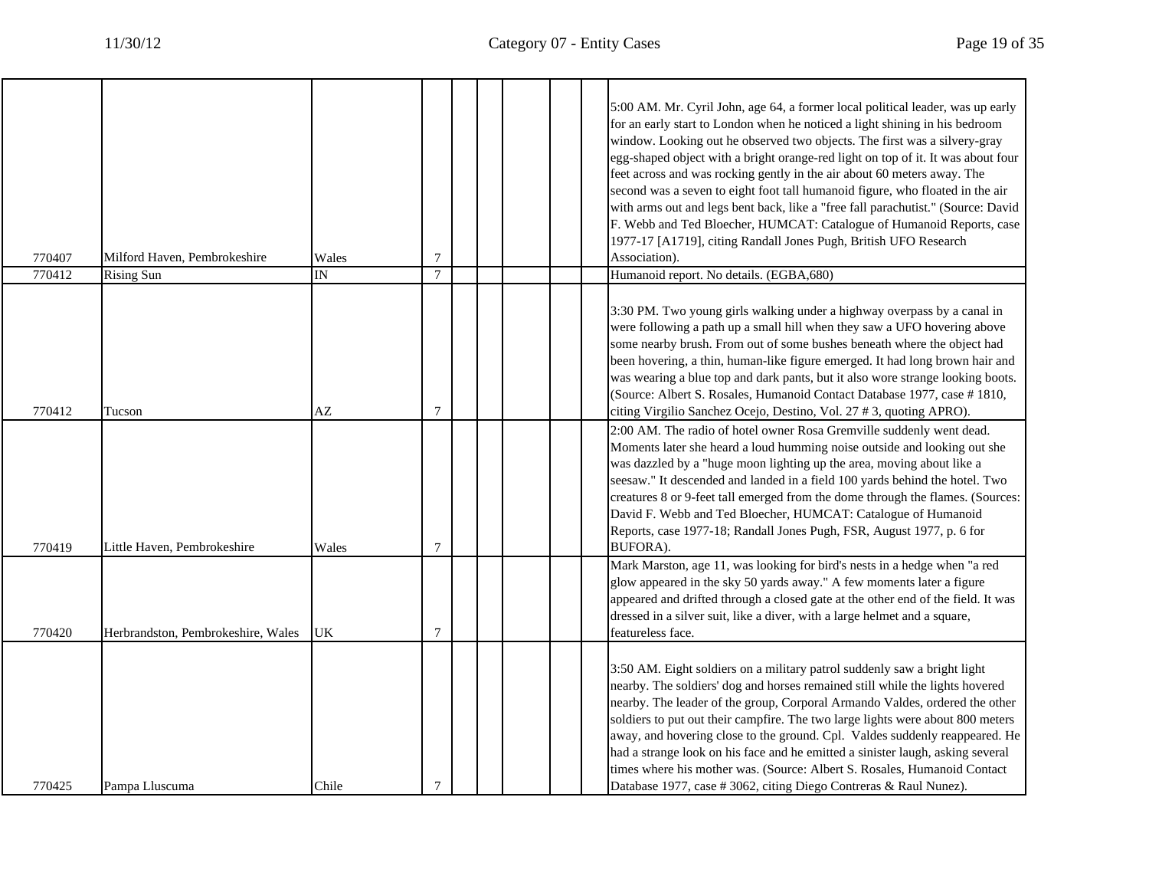┱

| 770407 | Milford Haven, Pembrokeshire       | Wales                   | 7              |  |  | 5:00 AM. Mr. Cyril John, age 64, a former local political leader, was up early<br>for an early start to London when he noticed a light shining in his bedroom<br>window. Looking out he observed two objects. The first was a silvery-gray<br>egg-shaped object with a bright orange-red light on top of it. It was about four<br>feet across and was rocking gently in the air about 60 meters away. The<br>second was a seven to eight foot tall humanoid figure, who floated in the air<br>with arms out and legs bent back, like a "free fall parachutist." (Source: David<br>F. Webb and Ted Bloecher, HUMCAT: Catalogue of Humanoid Reports, case<br>1977-17 [A1719], citing Randall Jones Pugh, British UFO Research<br>Association). |
|--------|------------------------------------|-------------------------|----------------|--|--|----------------------------------------------------------------------------------------------------------------------------------------------------------------------------------------------------------------------------------------------------------------------------------------------------------------------------------------------------------------------------------------------------------------------------------------------------------------------------------------------------------------------------------------------------------------------------------------------------------------------------------------------------------------------------------------------------------------------------------------------|
| 770412 | <b>Rising Sun</b>                  | $\overline{\mathbb{N}}$ | $\overline{7}$ |  |  | Humanoid report. No details. (EGBA,680)                                                                                                                                                                                                                                                                                                                                                                                                                                                                                                                                                                                                                                                                                                      |
| 770412 | Tucson                             | AZ                      | 7              |  |  | 3:30 PM. Two young girls walking under a highway overpass by a canal in<br>were following a path up a small hill when they saw a UFO hovering above<br>some nearby brush. From out of some bushes beneath where the object had<br>been hovering, a thin, human-like figure emerged. It had long brown hair and<br>was wearing a blue top and dark pants, but it also wore strange looking boots.<br>(Source: Albert S. Rosales, Humanoid Contact Database 1977, case #1810,<br>citing Virgilio Sanchez Ocejo, Destino, Vol. 27 # 3, quoting APRO).                                                                                                                                                                                           |
| 770419 | Little Haven, Pembrokeshire        | Wales                   | $\overline{7}$ |  |  | 2:00 AM. The radio of hotel owner Rosa Gremville suddenly went dead.<br>Moments later she heard a loud humming noise outside and looking out she<br>was dazzled by a "huge moon lighting up the area, moving about like a<br>seesaw." It descended and landed in a field 100 yards behind the hotel. Two<br>creatures 8 or 9-feet tall emerged from the dome through the flames. (Sources:<br>David F. Webb and Ted Bloecher, HUMCAT: Catalogue of Humanoid<br>Reports, case 1977-18; Randall Jones Pugh, FSR, August 1977, p. 6 for<br>BUFORA).                                                                                                                                                                                             |
| 770420 | Herbrandston, Pembrokeshire, Wales | UK                      | $\overline{7}$ |  |  | Mark Marston, age 11, was looking for bird's nests in a hedge when "a red<br>glow appeared in the sky 50 yards away." A few moments later a figure<br>appeared and drifted through a closed gate at the other end of the field. It was<br>dressed in a silver suit, like a diver, with a large helmet and a square,<br>featureless face.                                                                                                                                                                                                                                                                                                                                                                                                     |
| 770425 | Pampa Lluscuma                     | Chile                   | 7              |  |  | 3:50 AM. Eight soldiers on a military patrol suddenly saw a bright light<br>nearby. The soldiers' dog and horses remained still while the lights hovered<br>nearby. The leader of the group, Corporal Armando Valdes, ordered the other<br>soldiers to put out their campfire. The two large lights were about 800 meters<br>away, and hovering close to the ground. Cpl. Valdes suddenly reappeared. He<br>had a strange look on his face and he emitted a sinister laugh, asking several<br>times where his mother was. (Source: Albert S. Rosales, Humanoid Contact<br>Database 1977, case # 3062, citing Diego Contreras & Raul Nunez).                                                                                                  |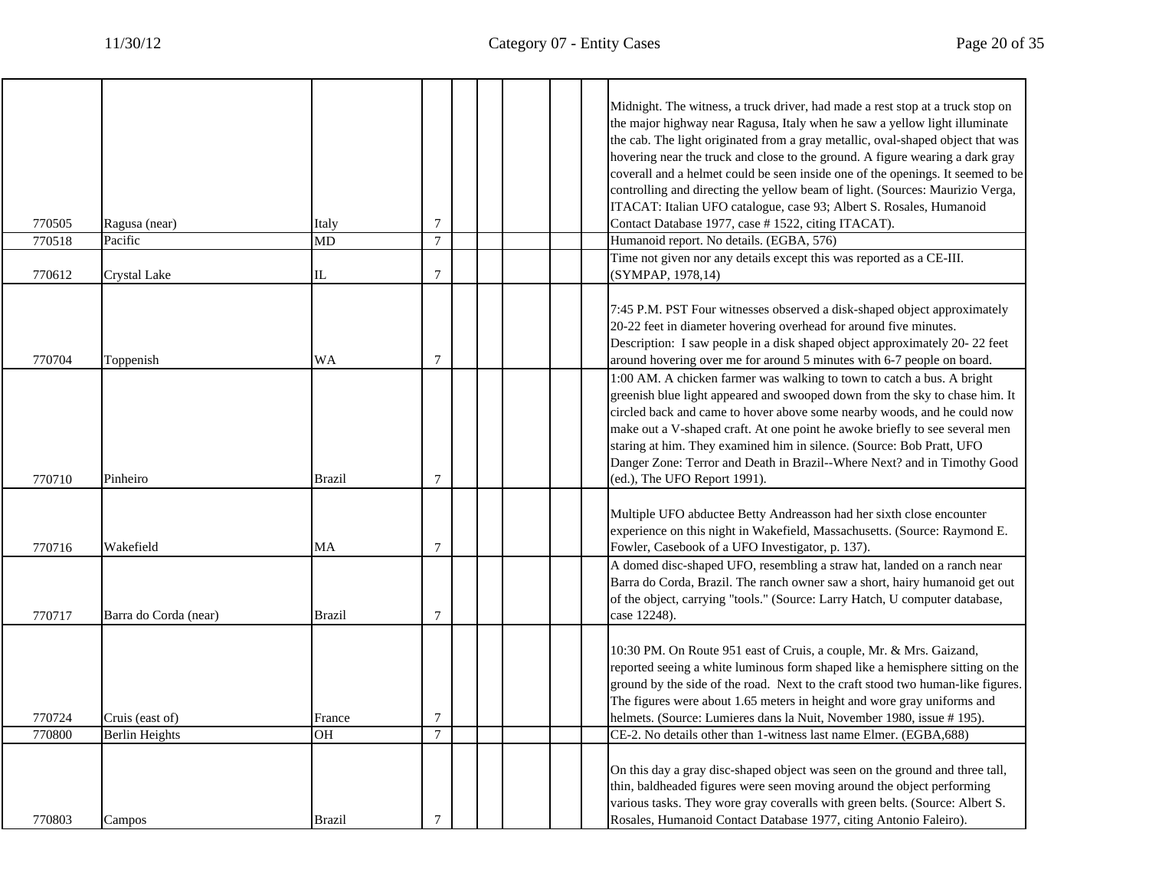|        |                       |               |                 |  | Midnight. The witness, a truck driver, had made a rest stop at a truck stop on<br>the major highway near Ragusa, Italy when he saw a yellow light illuminate<br>the cab. The light originated from a gray metallic, oval-shaped object that was<br>hovering near the truck and close to the ground. A figure wearing a dark gray<br>coverall and a helmet could be seen inside one of the openings. It seemed to be                                                                                   |
|--------|-----------------------|---------------|-----------------|--|-------------------------------------------------------------------------------------------------------------------------------------------------------------------------------------------------------------------------------------------------------------------------------------------------------------------------------------------------------------------------------------------------------------------------------------------------------------------------------------------------------|
|        |                       |               |                 |  | controlling and directing the yellow beam of light. (Sources: Maurizio Verga,<br>ITACAT: Italian UFO catalogue, case 93; Albert S. Rosales, Humanoid                                                                                                                                                                                                                                                                                                                                                  |
| 770505 | Ragusa (near)         | Italy         | 7               |  | Contact Database 1977, case # 1522, citing ITACAT).                                                                                                                                                                                                                                                                                                                                                                                                                                                   |
| 770518 | Pacific               | MD            | $\overline{7}$  |  | Humanoid report. No details. (EGBA, 576)                                                                                                                                                                                                                                                                                                                                                                                                                                                              |
| 770612 | Crystal Lake          | IL            | $\overline{7}$  |  | Time not given nor any details except this was reported as a CE-III.<br>(SYMPAP, 1978,14)                                                                                                                                                                                                                                                                                                                                                                                                             |
| 770704 | Toppenish             | WA            | 7               |  | 7:45 P.M. PST Four witnesses observed a disk-shaped object approximately<br>20-22 feet in diameter hovering overhead for around five minutes.<br>Description: I saw people in a disk shaped object approximately 20-22 feet<br>around hovering over me for around 5 minutes with 6-7 people on board.                                                                                                                                                                                                 |
| 770710 | Pinheiro              | <b>Brazil</b> | 7               |  | 1:00 AM. A chicken farmer was walking to town to catch a bus. A bright<br>greenish blue light appeared and swooped down from the sky to chase him. It<br>circled back and came to hover above some nearby woods, and he could now<br>make out a V-shaped craft. At one point he awoke briefly to see several men<br>staring at him. They examined him in silence. (Source: Bob Pratt, UFO<br>Danger Zone: Terror and Death in Brazil--Where Next? and in Timothy Good<br>(ed.), The UFO Report 1991). |
| 770716 | Wakefield             | MA            | $\tau$          |  | Multiple UFO abductee Betty Andreasson had her sixth close encounter<br>experience on this night in Wakefield, Massachusetts. (Source: Raymond E.<br>Fowler, Casebook of a UFO Investigator, p. 137).                                                                                                                                                                                                                                                                                                 |
| 770717 | Barra do Corda (near) | <b>Brazil</b> | $\overline{7}$  |  | A domed disc-shaped UFO, resembling a straw hat, landed on a ranch near<br>Barra do Corda, Brazil. The ranch owner saw a short, hairy humanoid get out<br>of the object, carrying "tools." (Source: Larry Hatch, U computer database,<br>case 12248).                                                                                                                                                                                                                                                 |
| 770724 | Cruis (east of)       | France        | 7               |  | 10:30 PM. On Route 951 east of Cruis, a couple, Mr. & Mrs. Gaizand,<br>reported seeing a white luminous form shaped like a hemisphere sitting on the<br>ground by the side of the road. Next to the craft stood two human-like figures.<br>The figures were about 1.65 meters in height and wore gray uniforms and<br>helmets. (Source: Lumieres dans la Nuit, November 1980, issue # 195).                                                                                                           |
| 770800 | <b>Berlin Heights</b> | <b>OH</b>     | $7\phantom{.0}$ |  | CE-2. No details other than 1-witness last name Elmer. (EGBA,688)                                                                                                                                                                                                                                                                                                                                                                                                                                     |
| 770803 | Campos                | <b>Brazil</b> | $\tau$          |  | On this day a gray disc-shaped object was seen on the ground and three tall,<br>thin, baldheaded figures were seen moving around the object performing<br>various tasks. They wore gray coveralls with green belts. (Source: Albert S.<br>Rosales, Humanoid Contact Database 1977, citing Antonio Faleiro).                                                                                                                                                                                           |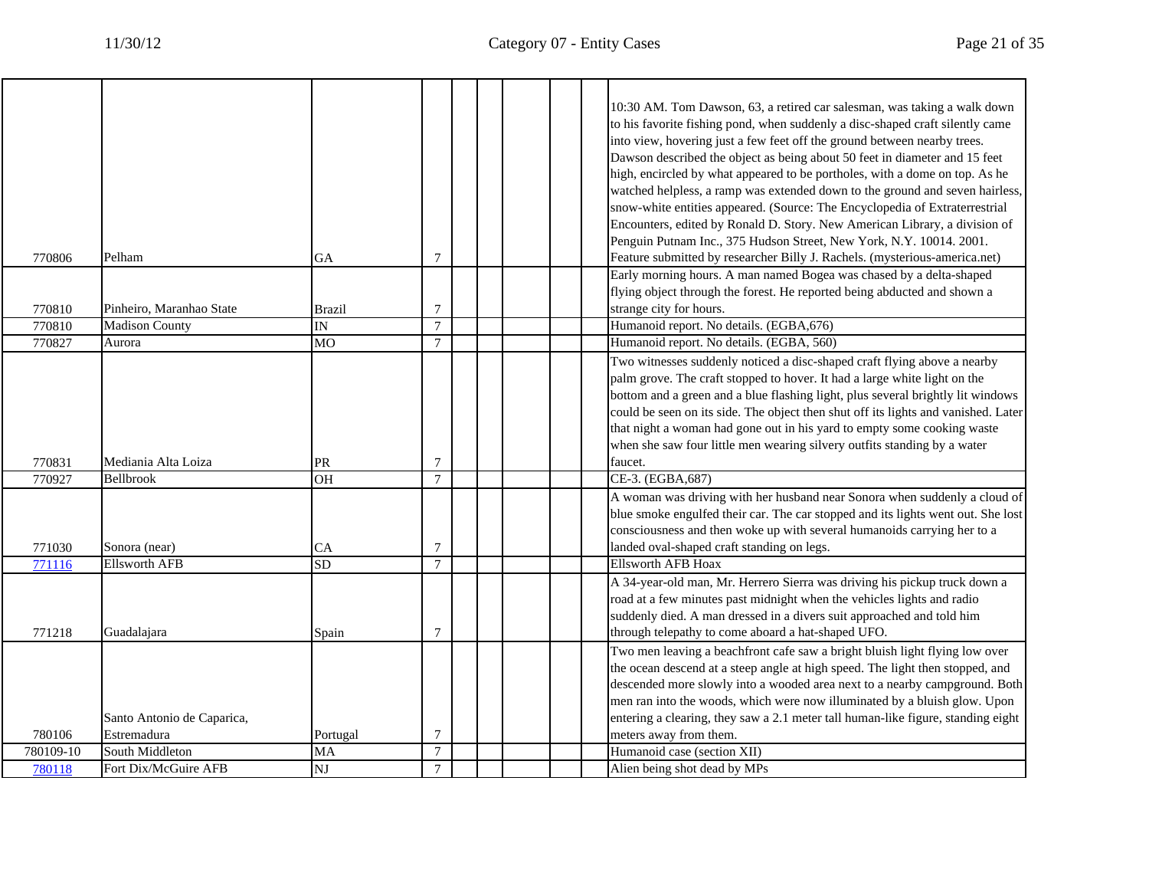٦

| Encounters, edited by Ronald D. Story. New American Library, a division of<br>Penguin Putnam Inc., 375 Hudson Street, New York, N.Y. 10014. 2001.<br>Feature submitted by researcher Billy J. Rachels. (mysterious-america.net)<br>Pelham<br>$\tau$<br>770806<br>GA<br>Early morning hours. A man named Bogea was chased by a delta-shaped<br>flying object through the forest. He reported being abducted and shown a<br>$\overline{7}$<br>strange city for hours.<br>Pinheiro, Maranhao State<br>770810<br><b>Brazil</b><br>$\overline{7}$<br><b>Madison County</b><br>Humanoid report. No details. (EGBA, 676)<br>770810<br>IN<br>$\overline{7}$<br>770827<br>MO<br>Humanoid report. No details. (EGBA, 560)<br>Aurora<br>Two witnesses suddenly noticed a disc-shaped craft flying above a nearby<br>palm grove. The craft stopped to hover. It had a large white light on the<br>bottom and a green and a blue flashing light, plus several brightly lit windows<br>could be seen on its side. The object then shut off its lights and vanished. Later<br>that night a woman had gone out in his yard to empty some cooking waste<br>when she saw four little men wearing silvery outfits standing by a water<br>Mediania Alta Loiza<br>faucet.<br>770831<br>PR<br>$\tau$<br><b>OH</b><br>$\tau$<br>CE-3. (EGBA, 687)<br>770927<br>Bellbrook<br>A woman was driving with her husband near Sonora when suddenly a cloud of<br>blue smoke engulfed their car. The car stopped and its lights went out. She lost<br>consciousness and then woke up with several humanoids carrying her to a<br>$\overline{7}$<br>landed oval-shaped craft standing on legs.<br>771030<br>Sonora (near)<br><b>CA</b><br><b>SD</b><br>$\tau$<br><b>Ellsworth AFB Hoax</b><br>771116<br><b>Ellsworth AFB</b><br>A 34-year-old man, Mr. Herrero Sierra was driving his pickup truck down a<br>road at a few minutes past midnight when the vehicles lights and radio<br>suddenly died. A man dressed in a divers suit approached and told him<br>771218<br>$\overline{7}$<br>Guadalajara<br>through telepathy to come aboard a hat-shaped UFO.<br>Spain<br>Two men leaving a beachfront cafe saw a bright bluish light flying low over<br>the ocean descend at a steep angle at high speed. The light then stopped, and<br>descended more slowly into a wooded area next to a nearby campground. Both<br>men ran into the woods, which were now illuminated by a bluish glow. Upon<br>entering a clearing, they saw a 2.1 meter tall human-like figure, standing eight<br>Santo Antonio de Caparica,<br>780106<br>$\tau$<br>Estremadura<br>Portugal<br>meters away from them.<br>Humanoid case (section XII)<br>South Middleton<br>$7\phantom{.0}$<br>780109-10<br>MA<br>$\overline{\text{N}}$<br>$\tau$<br>Fort Dix/McGuire AFB<br>Alien being shot dead by MPs<br>780118 |  |  |  | 10:30 AM. Tom Dawson, 63, a retired car salesman, was taking a walk down<br>to his favorite fishing pond, when suddenly a disc-shaped craft silently came<br>into view, hovering just a few feet off the ground between nearby trees.<br>Dawson described the object as being about 50 feet in diameter and 15 feet<br>high, encircled by what appeared to be portholes, with a dome on top. As he<br>watched helpless, a ramp was extended down to the ground and seven hairless,<br>snow-white entities appeared. (Source: The Encyclopedia of Extraterrestrial |
|----------------------------------------------------------------------------------------------------------------------------------------------------------------------------------------------------------------------------------------------------------------------------------------------------------------------------------------------------------------------------------------------------------------------------------------------------------------------------------------------------------------------------------------------------------------------------------------------------------------------------------------------------------------------------------------------------------------------------------------------------------------------------------------------------------------------------------------------------------------------------------------------------------------------------------------------------------------------------------------------------------------------------------------------------------------------------------------------------------------------------------------------------------------------------------------------------------------------------------------------------------------------------------------------------------------------------------------------------------------------------------------------------------------------------------------------------------------------------------------------------------------------------------------------------------------------------------------------------------------------------------------------------------------------------------------------------------------------------------------------------------------------------------------------------------------------------------------------------------------------------------------------------------------------------------------------------------------------------------------------------------------------------------------------------------------------------------------------------------------------------------------------------------------------------------------------------------------------------------------------------------------------------------------------------------------------------------------------------------------------------------------------------------------------------------------------------------------------------------------------------------------------------------------------------------------------------------------------------------------------------------------------------------------------------------------------------------------------------------------------------------------------------------------------------------------------------------------------------------|--|--|--|-------------------------------------------------------------------------------------------------------------------------------------------------------------------------------------------------------------------------------------------------------------------------------------------------------------------------------------------------------------------------------------------------------------------------------------------------------------------------------------------------------------------------------------------------------------------|
|                                                                                                                                                                                                                                                                                                                                                                                                                                                                                                                                                                                                                                                                                                                                                                                                                                                                                                                                                                                                                                                                                                                                                                                                                                                                                                                                                                                                                                                                                                                                                                                                                                                                                                                                                                                                                                                                                                                                                                                                                                                                                                                                                                                                                                                                                                                                                                                                                                                                                                                                                                                                                                                                                                                                                                                                                                                          |  |  |  |                                                                                                                                                                                                                                                                                                                                                                                                                                                                                                                                                                   |
|                                                                                                                                                                                                                                                                                                                                                                                                                                                                                                                                                                                                                                                                                                                                                                                                                                                                                                                                                                                                                                                                                                                                                                                                                                                                                                                                                                                                                                                                                                                                                                                                                                                                                                                                                                                                                                                                                                                                                                                                                                                                                                                                                                                                                                                                                                                                                                                                                                                                                                                                                                                                                                                                                                                                                                                                                                                          |  |  |  |                                                                                                                                                                                                                                                                                                                                                                                                                                                                                                                                                                   |
|                                                                                                                                                                                                                                                                                                                                                                                                                                                                                                                                                                                                                                                                                                                                                                                                                                                                                                                                                                                                                                                                                                                                                                                                                                                                                                                                                                                                                                                                                                                                                                                                                                                                                                                                                                                                                                                                                                                                                                                                                                                                                                                                                                                                                                                                                                                                                                                                                                                                                                                                                                                                                                                                                                                                                                                                                                                          |  |  |  |                                                                                                                                                                                                                                                                                                                                                                                                                                                                                                                                                                   |
|                                                                                                                                                                                                                                                                                                                                                                                                                                                                                                                                                                                                                                                                                                                                                                                                                                                                                                                                                                                                                                                                                                                                                                                                                                                                                                                                                                                                                                                                                                                                                                                                                                                                                                                                                                                                                                                                                                                                                                                                                                                                                                                                                                                                                                                                                                                                                                                                                                                                                                                                                                                                                                                                                                                                                                                                                                                          |  |  |  |                                                                                                                                                                                                                                                                                                                                                                                                                                                                                                                                                                   |
|                                                                                                                                                                                                                                                                                                                                                                                                                                                                                                                                                                                                                                                                                                                                                                                                                                                                                                                                                                                                                                                                                                                                                                                                                                                                                                                                                                                                                                                                                                                                                                                                                                                                                                                                                                                                                                                                                                                                                                                                                                                                                                                                                                                                                                                                                                                                                                                                                                                                                                                                                                                                                                                                                                                                                                                                                                                          |  |  |  |                                                                                                                                                                                                                                                                                                                                                                                                                                                                                                                                                                   |
|                                                                                                                                                                                                                                                                                                                                                                                                                                                                                                                                                                                                                                                                                                                                                                                                                                                                                                                                                                                                                                                                                                                                                                                                                                                                                                                                                                                                                                                                                                                                                                                                                                                                                                                                                                                                                                                                                                                                                                                                                                                                                                                                                                                                                                                                                                                                                                                                                                                                                                                                                                                                                                                                                                                                                                                                                                                          |  |  |  |                                                                                                                                                                                                                                                                                                                                                                                                                                                                                                                                                                   |
|                                                                                                                                                                                                                                                                                                                                                                                                                                                                                                                                                                                                                                                                                                                                                                                                                                                                                                                                                                                                                                                                                                                                                                                                                                                                                                                                                                                                                                                                                                                                                                                                                                                                                                                                                                                                                                                                                                                                                                                                                                                                                                                                                                                                                                                                                                                                                                                                                                                                                                                                                                                                                                                                                                                                                                                                                                                          |  |  |  |                                                                                                                                                                                                                                                                                                                                                                                                                                                                                                                                                                   |
|                                                                                                                                                                                                                                                                                                                                                                                                                                                                                                                                                                                                                                                                                                                                                                                                                                                                                                                                                                                                                                                                                                                                                                                                                                                                                                                                                                                                                                                                                                                                                                                                                                                                                                                                                                                                                                                                                                                                                                                                                                                                                                                                                                                                                                                                                                                                                                                                                                                                                                                                                                                                                                                                                                                                                                                                                                                          |  |  |  |                                                                                                                                                                                                                                                                                                                                                                                                                                                                                                                                                                   |
|                                                                                                                                                                                                                                                                                                                                                                                                                                                                                                                                                                                                                                                                                                                                                                                                                                                                                                                                                                                                                                                                                                                                                                                                                                                                                                                                                                                                                                                                                                                                                                                                                                                                                                                                                                                                                                                                                                                                                                                                                                                                                                                                                                                                                                                                                                                                                                                                                                                                                                                                                                                                                                                                                                                                                                                                                                                          |  |  |  |                                                                                                                                                                                                                                                                                                                                                                                                                                                                                                                                                                   |
|                                                                                                                                                                                                                                                                                                                                                                                                                                                                                                                                                                                                                                                                                                                                                                                                                                                                                                                                                                                                                                                                                                                                                                                                                                                                                                                                                                                                                                                                                                                                                                                                                                                                                                                                                                                                                                                                                                                                                                                                                                                                                                                                                                                                                                                                                                                                                                                                                                                                                                                                                                                                                                                                                                                                                                                                                                                          |  |  |  |                                                                                                                                                                                                                                                                                                                                                                                                                                                                                                                                                                   |
|                                                                                                                                                                                                                                                                                                                                                                                                                                                                                                                                                                                                                                                                                                                                                                                                                                                                                                                                                                                                                                                                                                                                                                                                                                                                                                                                                                                                                                                                                                                                                                                                                                                                                                                                                                                                                                                                                                                                                                                                                                                                                                                                                                                                                                                                                                                                                                                                                                                                                                                                                                                                                                                                                                                                                                                                                                                          |  |  |  |                                                                                                                                                                                                                                                                                                                                                                                                                                                                                                                                                                   |
|                                                                                                                                                                                                                                                                                                                                                                                                                                                                                                                                                                                                                                                                                                                                                                                                                                                                                                                                                                                                                                                                                                                                                                                                                                                                                                                                                                                                                                                                                                                                                                                                                                                                                                                                                                                                                                                                                                                                                                                                                                                                                                                                                                                                                                                                                                                                                                                                                                                                                                                                                                                                                                                                                                                                                                                                                                                          |  |  |  |                                                                                                                                                                                                                                                                                                                                                                                                                                                                                                                                                                   |
|                                                                                                                                                                                                                                                                                                                                                                                                                                                                                                                                                                                                                                                                                                                                                                                                                                                                                                                                                                                                                                                                                                                                                                                                                                                                                                                                                                                                                                                                                                                                                                                                                                                                                                                                                                                                                                                                                                                                                                                                                                                                                                                                                                                                                                                                                                                                                                                                                                                                                                                                                                                                                                                                                                                                                                                                                                                          |  |  |  |                                                                                                                                                                                                                                                                                                                                                                                                                                                                                                                                                                   |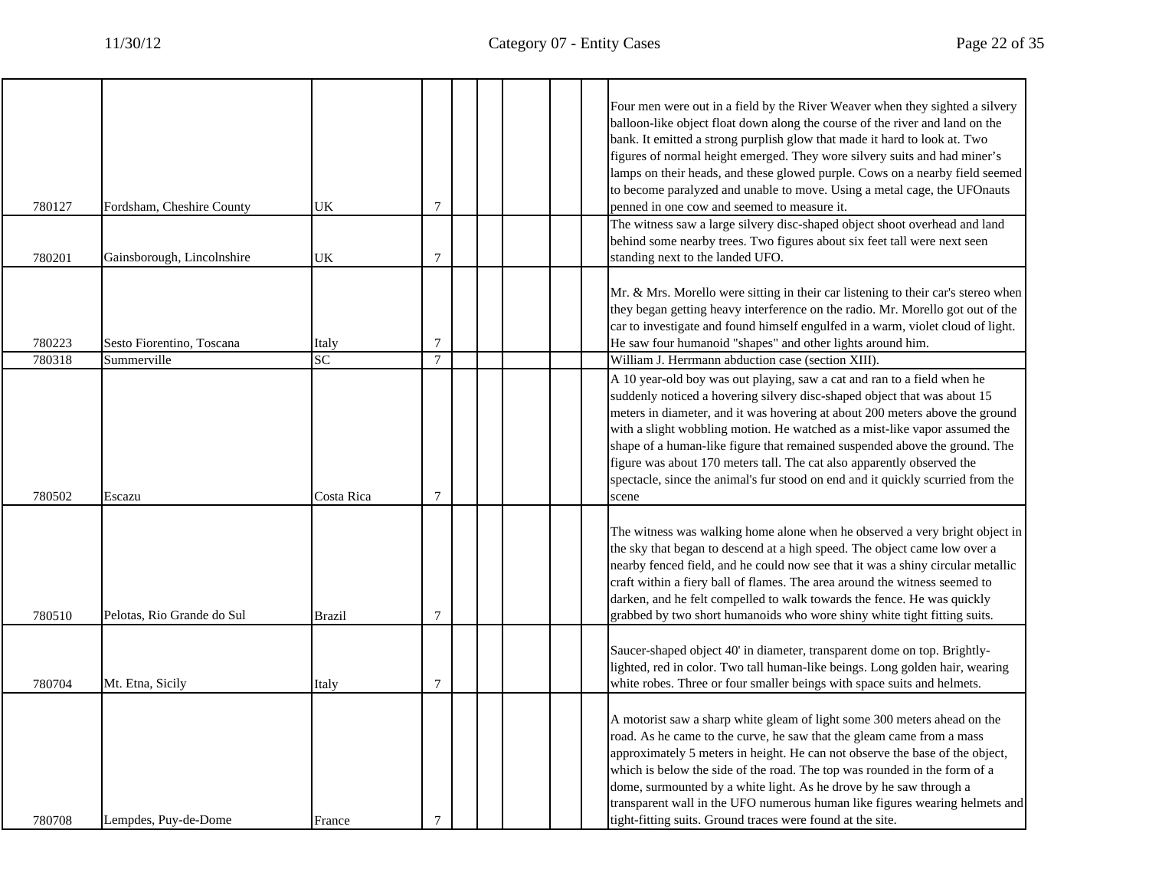|        |                            |                 |                |  | Four men were out in a field by the River Weaver when they sighted a silvery<br>balloon-like object float down along the course of the river and land on the<br>bank. It emitted a strong purplish glow that made it hard to look at. Two<br>figures of normal height emerged. They wore silvery suits and had miner's                                                                                                                                                                                                                                                |
|--------|----------------------------|-----------------|----------------|--|-----------------------------------------------------------------------------------------------------------------------------------------------------------------------------------------------------------------------------------------------------------------------------------------------------------------------------------------------------------------------------------------------------------------------------------------------------------------------------------------------------------------------------------------------------------------------|
|        |                            |                 |                |  | lamps on their heads, and these glowed purple. Cows on a nearby field seemed                                                                                                                                                                                                                                                                                                                                                                                                                                                                                          |
| 780127 | Fordsham, Cheshire County  | UK              | $\tau$         |  | to become paralyzed and unable to move. Using a metal cage, the UFOnauts<br>penned in one cow and seemed to measure it.                                                                                                                                                                                                                                                                                                                                                                                                                                               |
|        |                            |                 |                |  | The witness saw a large silvery disc-shaped object shoot overhead and land                                                                                                                                                                                                                                                                                                                                                                                                                                                                                            |
| 780201 | Gainsborough, Lincolnshire | UK              | $\tau$         |  | behind some nearby trees. Two figures about six feet tall were next seen<br>standing next to the landed UFO.                                                                                                                                                                                                                                                                                                                                                                                                                                                          |
|        |                            |                 |                |  |                                                                                                                                                                                                                                                                                                                                                                                                                                                                                                                                                                       |
|        |                            |                 |                |  | Mr. & Mrs. Morello were sitting in their car listening to their car's stereo when<br>they began getting heavy interference on the radio. Mr. Morello got out of the<br>car to investigate and found himself engulfed in a warm, violet cloud of light.                                                                                                                                                                                                                                                                                                                |
| 780223 | Sesto Fiorentino, Toscana  | Italy           | $\overline{7}$ |  | He saw four humanoid "shapes" and other lights around him.                                                                                                                                                                                                                                                                                                                                                                                                                                                                                                            |
| 780318 | Summerville                | $\overline{SC}$ | $\tau$         |  | William J. Herrmann abduction case (section XIII).                                                                                                                                                                                                                                                                                                                                                                                                                                                                                                                    |
| 780502 | Escazu                     | Costa Rica      | $\overline{7}$ |  | A 10 year-old boy was out playing, saw a cat and ran to a field when he<br>suddenly noticed a hovering silvery disc-shaped object that was about 15<br>meters in diameter, and it was hovering at about 200 meters above the ground<br>with a slight wobbling motion. He watched as a mist-like vapor assumed the<br>shape of a human-like figure that remained suspended above the ground. The<br>figure was about 170 meters tall. The cat also apparently observed the<br>spectacle, since the animal's fur stood on end and it quickly scurried from the<br>scene |
| 780510 | Pelotas, Rio Grande do Sul | <b>Brazil</b>   | $\overline{7}$ |  | The witness was walking home alone when he observed a very bright object in<br>the sky that began to descend at a high speed. The object came low over a<br>nearby fenced field, and he could now see that it was a shiny circular metallic<br>craft within a fiery ball of flames. The area around the witness seemed to<br>darken, and he felt compelled to walk towards the fence. He was quickly<br>grabbed by two short humanoids who wore shiny white tight fitting suits.                                                                                      |
| 780704 | Mt. Etna, Sicily           | Italy           | $\overline{7}$ |  | Saucer-shaped object 40' in diameter, transparent dome on top. Brightly-<br>lighted, red in color. Two tall human-like beings. Long golden hair, wearing<br>white robes. Three or four smaller beings with space suits and helmets.                                                                                                                                                                                                                                                                                                                                   |
| 780708 | Lempdes, Puy-de-Dome       | France          | $\overline{7}$ |  | A motorist saw a sharp white gleam of light some 300 meters ahead on the<br>road. As he came to the curve, he saw that the gleam came from a mass<br>approximately 5 meters in height. He can not observe the base of the object,<br>which is below the side of the road. The top was rounded in the form of a<br>dome, surmounted by a white light. As he drove by he saw through a<br>transparent wall in the UFO numerous human like figures wearing helmets and<br>tight-fitting suits. Ground traces were found at the site.                                     |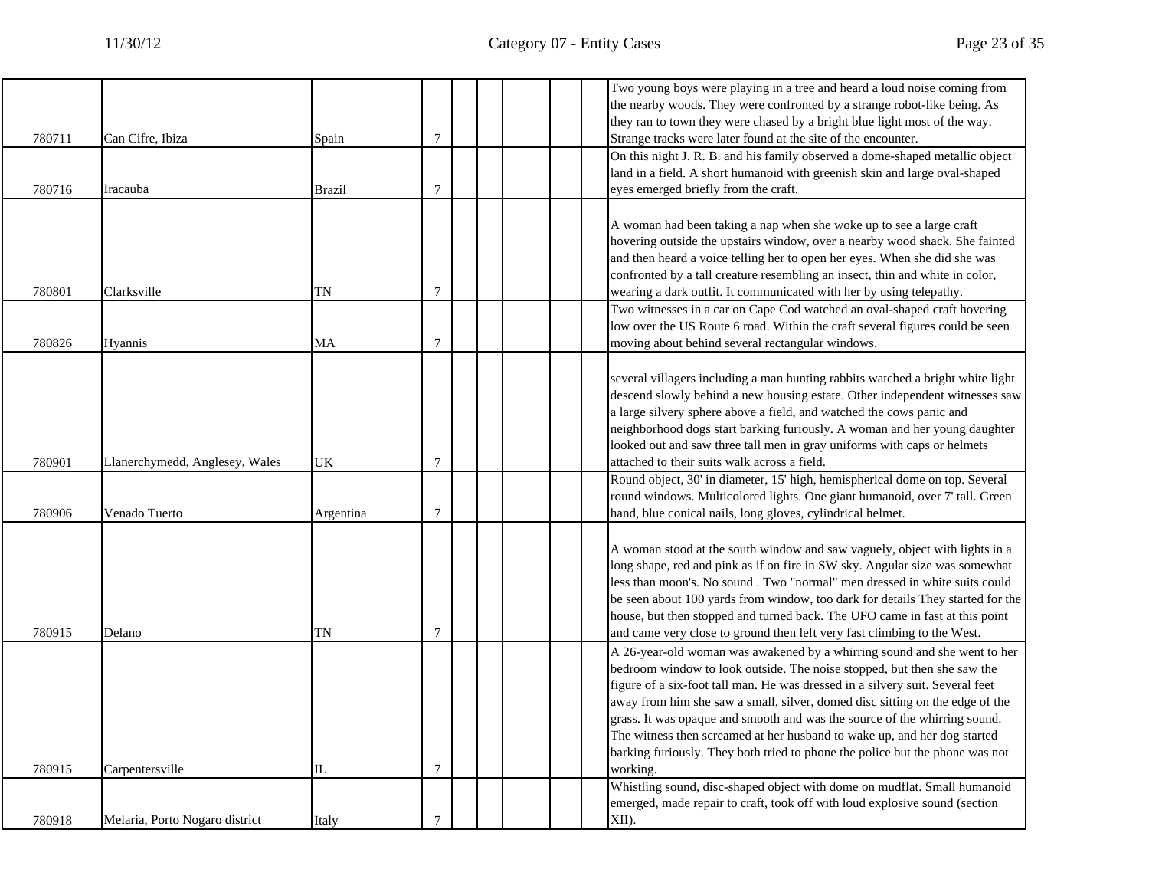|        |                                |           |                |  |  | Two young boys were playing in a tree and heard a loud noise coming from       |
|--------|--------------------------------|-----------|----------------|--|--|--------------------------------------------------------------------------------|
|        |                                |           |                |  |  | the nearby woods. They were confronted by a strange robot-like being. As       |
|        |                                |           |                |  |  | they ran to town they were chased by a bright blue light most of the way.      |
| 780711 | Can Cifre, Ibiza               | Spain     | 7              |  |  | Strange tracks were later found at the site of the encounter.                  |
|        |                                |           |                |  |  | On this night J. R. B. and his family observed a dome-shaped metallic object   |
|        |                                |           |                |  |  | land in a field. A short humanoid with greenish skin and large oval-shaped     |
| 780716 | Iracauba                       | Brazil    | 7              |  |  | eyes emerged briefly from the craft.                                           |
|        |                                |           |                |  |  | A woman had been taking a nap when she woke up to see a large craft            |
|        |                                |           |                |  |  | hovering outside the upstairs window, over a nearby wood shack. She fainted    |
|        |                                |           |                |  |  | and then heard a voice telling her to open her eyes. When she did she was      |
|        |                                |           |                |  |  | confronted by a tall creature resembling an insect, thin and white in color,   |
|        |                                |           |                |  |  |                                                                                |
| 780801 | Clarksville                    | TN        | 7              |  |  | wearing a dark outfit. It communicated with her by using telepathy.            |
|        |                                |           |                |  |  | Two witnesses in a car on Cape Cod watched an oval-shaped craft hovering       |
|        |                                |           |                |  |  | low over the US Route 6 road. Within the craft several figures could be seen   |
| 780826 | <b>Hyannis</b>                 | MA        | 7              |  |  | moving about behind several rectangular windows.                               |
|        |                                |           |                |  |  | several villagers including a man hunting rabbits watched a bright white light |
|        |                                |           |                |  |  | descend slowly behind a new housing estate. Other independent witnesses saw    |
|        |                                |           |                |  |  | a large silvery sphere above a field, and watched the cows panic and           |
|        |                                |           |                |  |  | neighborhood dogs start barking furiously. A woman and her young daughter      |
|        |                                |           |                |  |  | looked out and saw three tall men in gray uniforms with caps or helmets        |
| 780901 | Llanerchymedd, Anglesey, Wales | UK        | 7              |  |  | attached to their suits walk across a field.                                   |
|        |                                |           |                |  |  | Round object, 30' in diameter, 15' high, hemispherical dome on top. Several    |
|        |                                |           |                |  |  | round windows. Multicolored lights. One giant humanoid, over 7' tall. Green    |
| 780906 | Venado Tuerto                  | Argentina | $\overline{7}$ |  |  | hand, blue conical nails, long gloves, cylindrical helmet.                     |
|        |                                |           |                |  |  |                                                                                |
|        |                                |           |                |  |  | A woman stood at the south window and saw vaguely, object with lights in a     |
|        |                                |           |                |  |  | long shape, red and pink as if on fire in SW sky. Angular size was somewhat    |
|        |                                |           |                |  |  | less than moon's. No sound . Two "normal" men dressed in white suits could     |
|        |                                |           |                |  |  | be seen about 100 yards from window, too dark for details They started for the |
|        |                                |           |                |  |  | house, but then stopped and turned back. The UFO came in fast at this point    |
| 780915 | Delano                         | TN        | 7              |  |  | and came very close to ground then left very fast climbing to the West.        |
|        |                                |           |                |  |  | A 26-year-old woman was awakened by a whirring sound and she went to her       |
|        |                                |           |                |  |  | bedroom window to look outside. The noise stopped, but then she saw the        |
|        |                                |           |                |  |  | figure of a six-foot tall man. He was dressed in a silvery suit. Several feet  |
|        |                                |           |                |  |  | away from him she saw a small, silver, domed disc sitting on the edge of the   |
|        |                                |           |                |  |  | grass. It was opaque and smooth and was the source of the whirring sound.      |
|        |                                |           |                |  |  | The witness then screamed at her husband to wake up, and her dog started       |
|        |                                |           |                |  |  | barking furiously. They both tried to phone the police but the phone was not   |
| 780915 | Carpentersville                | IL        | 7              |  |  | working.                                                                       |
|        |                                |           |                |  |  | Whistling sound, disc-shaped object with dome on mudflat. Small humanoid       |
|        |                                |           |                |  |  | emerged, made repair to craft, took off with loud explosive sound (section     |
| 780918 | Melaria, Porto Nogaro district | Italy     | $\overline{7}$ |  |  | XII).                                                                          |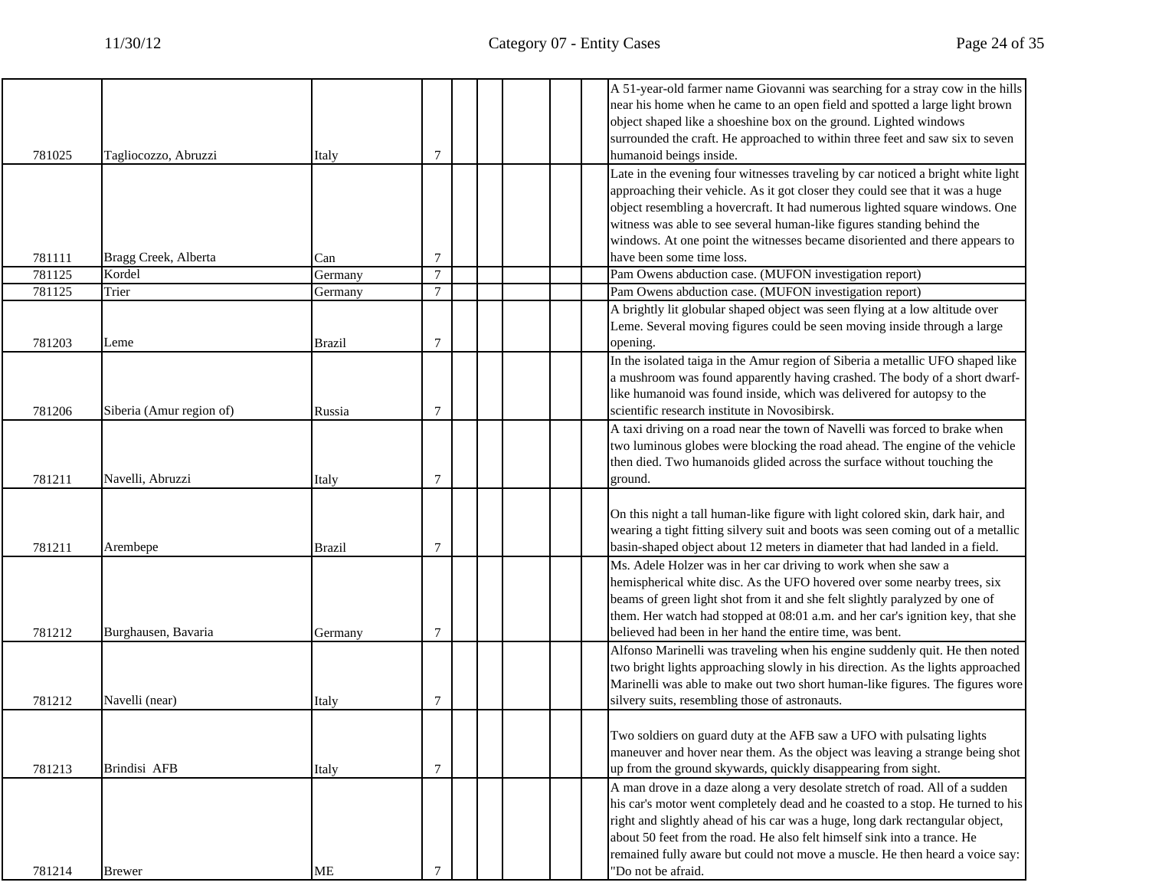|        |                          |         |                |  |  | A 51-year-old farmer name Giovanni was searching for a stray cow in the hills    |
|--------|--------------------------|---------|----------------|--|--|----------------------------------------------------------------------------------|
|        |                          |         |                |  |  | near his home when he came to an open field and spotted a large light brown      |
|        |                          |         |                |  |  | object shaped like a shoeshine box on the ground. Lighted windows                |
|        |                          |         |                |  |  | surrounded the craft. He approached to within three feet and saw six to seven    |
| 781025 | Tagliocozzo, Abruzzi     | Italy   | 7              |  |  | humanoid beings inside.                                                          |
|        |                          |         |                |  |  | Late in the evening four witnesses traveling by car noticed a bright white light |
|        |                          |         |                |  |  | approaching their vehicle. As it got closer they could see that it was a huge    |
|        |                          |         |                |  |  | object resembling a hovercraft. It had numerous lighted square windows. One      |
|        |                          |         |                |  |  | witness was able to see several human-like figures standing behind the           |
|        |                          |         |                |  |  | windows. At one point the witnesses became disoriented and there appears to      |
| 781111 | Bragg Creek, Alberta     | Can     | 7              |  |  | have been some time loss.                                                        |
| 781125 | Kordel                   | Germany | $\overline{7}$ |  |  | Pam Owens abduction case. (MUFON investigation report)                           |
| 781125 | Trier                    | Germany | 7              |  |  | Pam Owens abduction case. (MUFON investigation report)                           |
|        |                          |         |                |  |  | A brightly lit globular shaped object was seen flying at a low altitude over     |
|        |                          |         |                |  |  | Leme. Several moving figures could be seen moving inside through a large         |
| 781203 | Leme                     | Brazil  | 7              |  |  | opening.                                                                         |
|        |                          |         |                |  |  | In the isolated taiga in the Amur region of Siberia a metallic UFO shaped like   |
|        |                          |         |                |  |  | a mushroom was found apparently having crashed. The body of a short dwarf-       |
|        |                          |         |                |  |  | like humanoid was found inside, which was delivered for autopsy to the           |
| 781206 | Siberia (Amur region of) | Russia  | 7              |  |  | scientific research institute in Novosibirsk.                                    |
|        |                          |         |                |  |  | A taxi driving on a road near the town of Navelli was forced to brake when       |
|        |                          |         |                |  |  | two luminous globes were blocking the road ahead. The engine of the vehicle      |
|        |                          |         |                |  |  | then died. Two humanoids glided across the surface without touching the          |
| 781211 | Navelli, Abruzzi         | Italy   | 7              |  |  | ground.                                                                          |
|        |                          |         |                |  |  |                                                                                  |
|        |                          |         |                |  |  | On this night a tall human-like figure with light colored skin, dark hair, and   |
|        |                          |         |                |  |  | wearing a tight fitting silvery suit and boots was seen coming out of a metallic |
| 781211 | Arembepe                 | Brazil  | 7              |  |  | basin-shaped object about 12 meters in diameter that had landed in a field.      |
|        |                          |         |                |  |  | Ms. Adele Holzer was in her car driving to work when she saw a                   |
|        |                          |         |                |  |  | hemispherical white disc. As the UFO hovered over some nearby trees, six         |
|        |                          |         |                |  |  | beams of green light shot from it and she felt slightly paralyzed by one of      |
|        |                          |         |                |  |  |                                                                                  |
|        |                          |         |                |  |  | them. Her watch had stopped at 08:01 a.m. and her car's ignition key, that she   |
| 781212 | Burghausen, Bavaria      | Germany | 7              |  |  | believed had been in her hand the entire time, was bent.                         |
|        |                          |         |                |  |  | Alfonso Marinelli was traveling when his engine suddenly quit. He then noted     |
|        |                          |         |                |  |  | two bright lights approaching slowly in his direction. As the lights approached  |
|        |                          |         |                |  |  | Marinelli was able to make out two short human-like figures. The figures wore    |
| 781212 | Navelli (near)           | Italy   | 7              |  |  | silvery suits, resembling those of astronauts.                                   |
|        |                          |         |                |  |  |                                                                                  |
|        |                          |         |                |  |  | Two soldiers on guard duty at the AFB saw a UFO with pulsating lights            |
|        |                          |         |                |  |  | maneuver and hover near them. As the object was leaving a strange being shot     |
| 781213 | Brindisi AFB             | Italy   | 7              |  |  | up from the ground skywards, quickly disappearing from sight.                    |
|        |                          |         |                |  |  | A man drove in a daze along a very desolate stretch of road. All of a sudden     |
|        |                          |         |                |  |  | his car's motor went completely dead and he coasted to a stop. He turned to his  |
|        |                          |         |                |  |  | right and slightly ahead of his car was a huge, long dark rectangular object,    |
|        |                          |         |                |  |  | about 50 feet from the road. He also felt himself sink into a trance. He         |
|        |                          |         |                |  |  | remained fully aware but could not move a muscle. He then heard a voice say:     |
| 781214 | <b>Brewer</b>            | ME      | 7              |  |  | "Do not be afraid.                                                               |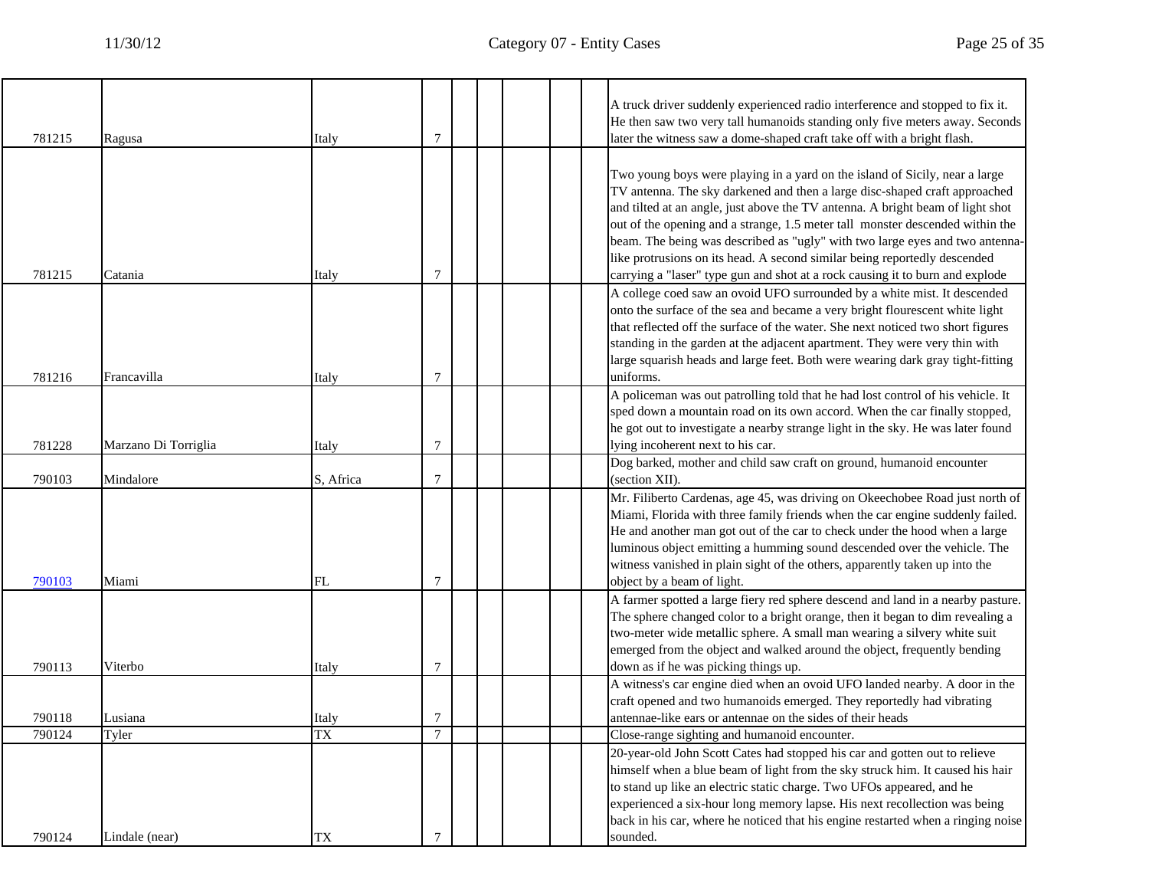|        |                      |           |               |  |  | A truck driver suddenly experienced radio interference and stopped to fix it.<br>He then saw two very tall humanoids standing only five meters away. Seconds                                                                                                                                                                                                                                                                                                                                                                                                               |
|--------|----------------------|-----------|---------------|--|--|----------------------------------------------------------------------------------------------------------------------------------------------------------------------------------------------------------------------------------------------------------------------------------------------------------------------------------------------------------------------------------------------------------------------------------------------------------------------------------------------------------------------------------------------------------------------------|
| 781215 | Ragusa               | Italy     | 7             |  |  | later the witness saw a dome-shaped craft take off with a bright flash.                                                                                                                                                                                                                                                                                                                                                                                                                                                                                                    |
| 781215 | Catania              | Italy     | 7             |  |  | Two young boys were playing in a yard on the island of Sicily, near a large<br>TV antenna. The sky darkened and then a large disc-shaped craft approached<br>and tilted at an angle, just above the TV antenna. A bright beam of light shot<br>out of the opening and a strange, 1.5 meter tall monster descended within the<br>beam. The being was described as "ugly" with two large eyes and two antenna-<br>like protrusions on its head. A second similar being reportedly descended<br>carrying a "laser" type gun and shot at a rock causing it to burn and explode |
| 781216 | Francavilla          | Italy     | 7             |  |  | A college coed saw an ovoid UFO surrounded by a white mist. It descended<br>onto the surface of the sea and became a very bright flourescent white light<br>that reflected off the surface of the water. She next noticed two short figures<br>standing in the garden at the adjacent apartment. They were very thin with<br>large squarish heads and large feet. Both were wearing dark gray tight-fitting<br>uniforms.                                                                                                                                                   |
| 781228 | Marzano Di Torriglia | Italy     | 7             |  |  | A policeman was out patrolling told that he had lost control of his vehicle. It<br>sped down a mountain road on its own accord. When the car finally stopped,<br>he got out to investigate a nearby strange light in the sky. He was later found<br>lying incoherent next to his car.                                                                                                                                                                                                                                                                                      |
| 790103 | Mindalore            | S, Africa | 7             |  |  | Dog barked, mother and child saw craft on ground, humanoid encounter<br>(section XII).                                                                                                                                                                                                                                                                                                                                                                                                                                                                                     |
| 790103 | Miami                | <b>FL</b> | 7             |  |  | Mr. Filiberto Cardenas, age 45, was driving on Okeechobee Road just north of<br>Miami, Florida with three family friends when the car engine suddenly failed.<br>He and another man got out of the car to check under the hood when a large<br>luminous object emitting a humming sound descended over the vehicle. The<br>witness vanished in plain sight of the others, apparently taken up into the<br>object by a beam of light.                                                                                                                                       |
| 790113 | Viterbo              | Italy     | 7             |  |  | A farmer spotted a large fiery red sphere descend and land in a nearby pasture.<br>The sphere changed color to a bright orange, then it began to dim revealing a<br>two-meter wide metallic sphere. A small man wearing a silvery white suit<br>emerged from the object and walked around the object, frequently bending<br>down as if he was picking things up.                                                                                                                                                                                                           |
|        |                      |           |               |  |  | A witness's car engine died when an ovoid UFO landed nearby. A door in the<br>craft opened and two humanoids emerged. They reportedly had vibrating                                                                                                                                                                                                                                                                                                                                                                                                                        |
| 790118 | Lusiana              | Italy     | 7             |  |  | antennae-like ears or antennae on the sides of their heads                                                                                                                                                                                                                                                                                                                                                                                                                                                                                                                 |
| 790124 | Tyler                | <b>TX</b> | $\mathcal{I}$ |  |  | Close-range sighting and humanoid encounter.                                                                                                                                                                                                                                                                                                                                                                                                                                                                                                                               |
| 790124 | Lindale (near)       | TX        |               |  |  | 20-year-old John Scott Cates had stopped his car and gotten out to relieve<br>himself when a blue beam of light from the sky struck him. It caused his hair<br>to stand up like an electric static charge. Two UFOs appeared, and he<br>experienced a six-hour long memory lapse. His next recollection was being<br>back in his car, where he noticed that his engine restarted when a ringing noise<br>sounded.                                                                                                                                                          |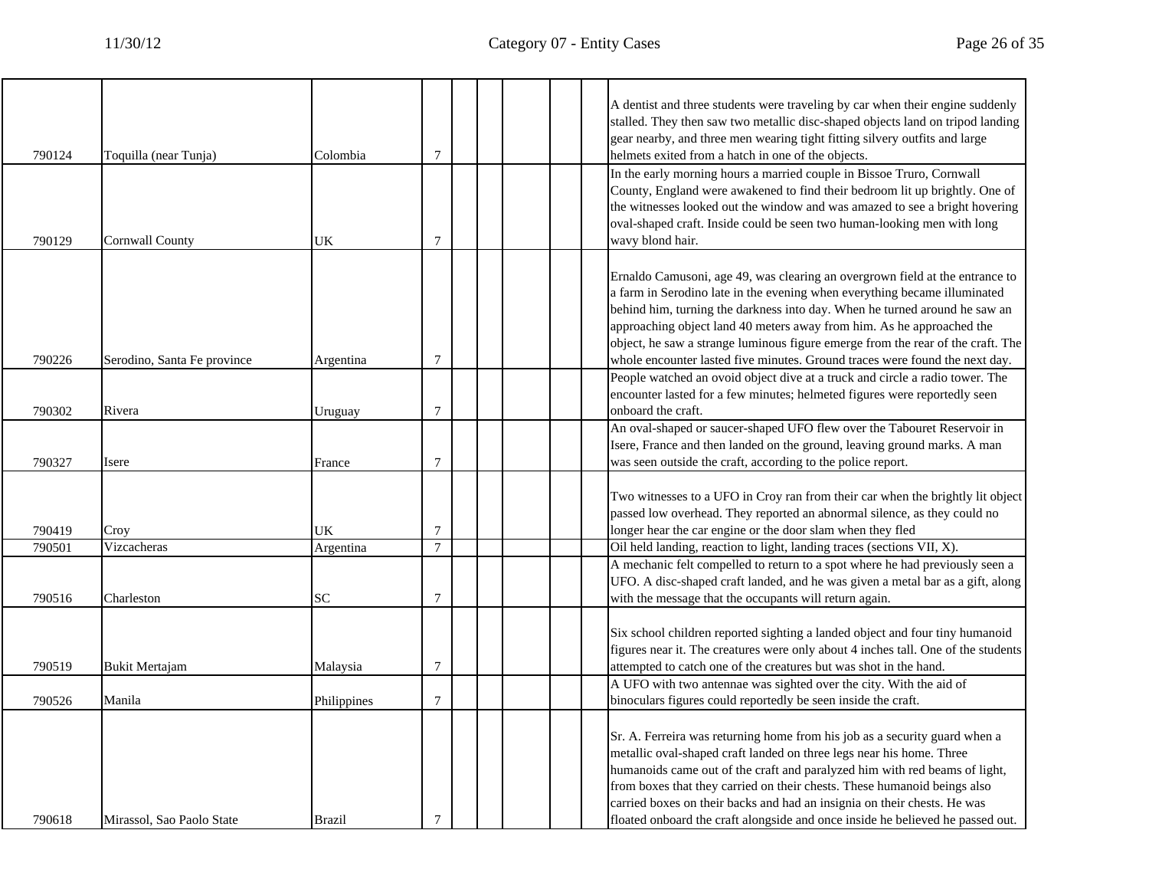|        |                             |               |                |  |  | A dentist and three students were traveling by car when their engine suddenly<br>stalled. They then saw two metallic disc-shaped objects land on tripod landing                                                                                                                                                                                                                                                                                                                    |
|--------|-----------------------------|---------------|----------------|--|--|------------------------------------------------------------------------------------------------------------------------------------------------------------------------------------------------------------------------------------------------------------------------------------------------------------------------------------------------------------------------------------------------------------------------------------------------------------------------------------|
| 790124 | Toquilla (near Tunja)       | Colombia      | $\overline{7}$ |  |  | gear nearby, and three men wearing tight fitting silvery outfits and large<br>helmets exited from a hatch in one of the objects.                                                                                                                                                                                                                                                                                                                                                   |
| 790129 | <b>Cornwall County</b>      | UK            | 7              |  |  | In the early morning hours a married couple in Bissoe Truro, Cornwall<br>County, England were awakened to find their bedroom lit up brightly. One of<br>the witnesses looked out the window and was amazed to see a bright hovering<br>oval-shaped craft. Inside could be seen two human-looking men with long<br>wavy blond hair.                                                                                                                                                 |
| 790226 | Serodino, Santa Fe province | Argentina     | $\overline{7}$ |  |  | Ernaldo Camusoni, age 49, was clearing an overgrown field at the entrance to<br>a farm in Serodino late in the evening when everything became illuminated<br>behind him, turning the darkness into day. When he turned around he saw an<br>approaching object land 40 meters away from him. As he approached the<br>object, he saw a strange luminous figure emerge from the rear of the craft. The<br>whole encounter lasted five minutes. Ground traces were found the next day. |
|        |                             |               |                |  |  | People watched an ovoid object dive at a truck and circle a radio tower. The<br>encounter lasted for a few minutes; helmeted figures were reportedly seen                                                                                                                                                                                                                                                                                                                          |
| 790302 | Rivera                      | Uruguay       | 7              |  |  | onboard the craft.<br>An oval-shaped or saucer-shaped UFO flew over the Tabouret Reservoir in                                                                                                                                                                                                                                                                                                                                                                                      |
| 790327 | Isere                       | France        | 7              |  |  | Isere, France and then landed on the ground, leaving ground marks. A man<br>was seen outside the craft, according to the police report.                                                                                                                                                                                                                                                                                                                                            |
| 790419 | Croy                        | UK            | $\overline{7}$ |  |  | Two witnesses to a UFO in Croy ran from their car when the brightly lit object<br>passed low overhead. They reported an abnormal silence, as they could no<br>longer hear the car engine or the door slam when they fled                                                                                                                                                                                                                                                           |
| 790501 | Vizcacheras                 | Argentina     | $\overline{7}$ |  |  | Oil held landing, reaction to light, landing traces (sections VII, X).                                                                                                                                                                                                                                                                                                                                                                                                             |
| 790516 | Charleston                  | <b>SC</b>     | $\overline{7}$ |  |  | A mechanic felt compelled to return to a spot where he had previously seen a<br>UFO. A disc-shaped craft landed, and he was given a metal bar as a gift, along<br>with the message that the occupants will return again.                                                                                                                                                                                                                                                           |
| 790519 | <b>Bukit Mertajam</b>       | Malaysia      | 7              |  |  | Six school children reported sighting a landed object and four tiny humanoid<br>figures near it. The creatures were only about 4 inches tall. One of the students<br>attempted to catch one of the creatures but was shot in the hand.                                                                                                                                                                                                                                             |
| 790526 | Manila                      | Philippines   | $\overline{7}$ |  |  | A UFO with two antennae was sighted over the city. With the aid of<br>binoculars figures could reportedly be seen inside the craft.                                                                                                                                                                                                                                                                                                                                                |
| 790618 | Mirassol. Sao Paolo State   | <b>Brazil</b> | $\tau$         |  |  | Sr. A. Ferreira was returning home from his job as a security guard when a<br>metallic oval-shaped craft landed on three legs near his home. Three<br>humanoids came out of the craft and paralyzed him with red beams of light,<br>from boxes that they carried on their chests. These humanoid beings also<br>carried boxes on their backs and had an insignia on their chests. He was<br>floated onboard the craft alongside and once inside he believed he passed out.         |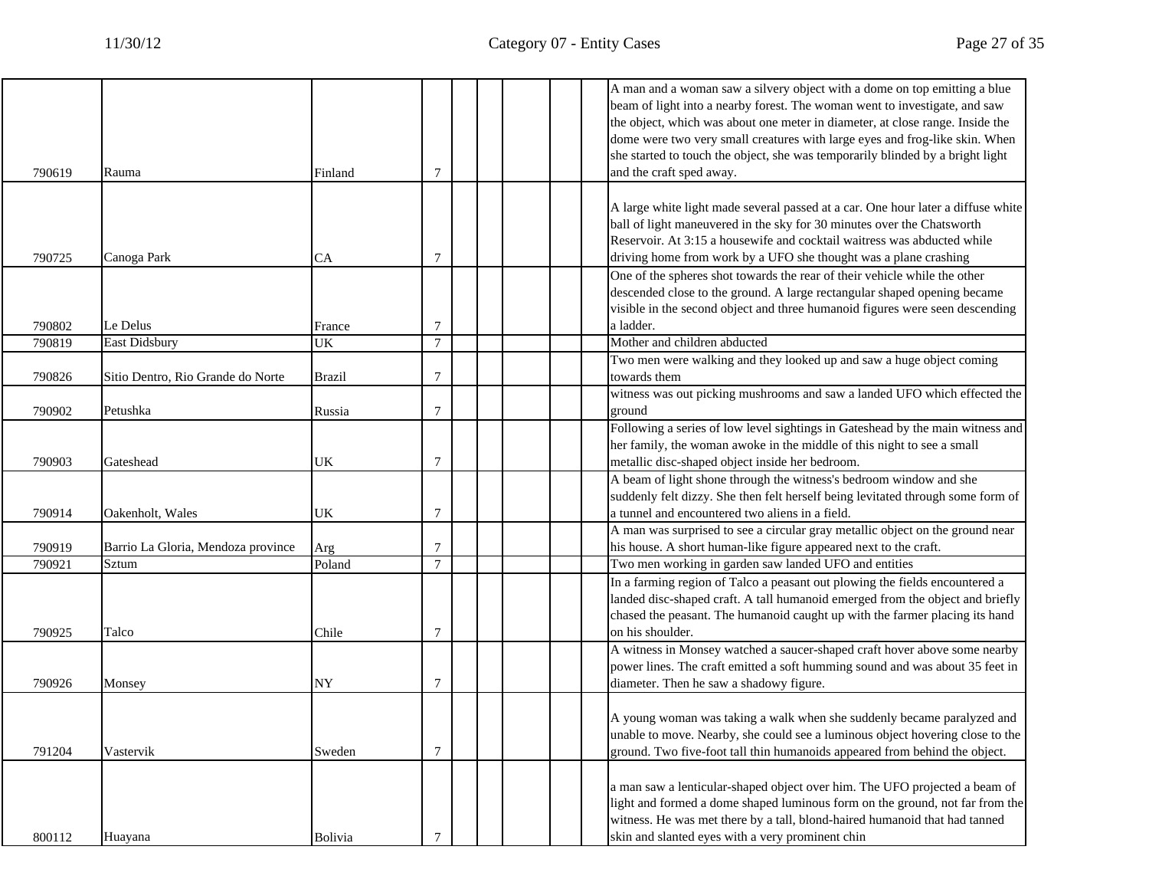|        |                                    |               |                |  |  | A man and a woman saw a silvery object with a dome on top emitting a blue                                                                                   |
|--------|------------------------------------|---------------|----------------|--|--|-------------------------------------------------------------------------------------------------------------------------------------------------------------|
|        |                                    |               |                |  |  | beam of light into a nearby forest. The woman went to investigate, and saw<br>the object, which was about one meter in diameter, at close range. Inside the |
|        |                                    |               |                |  |  | dome were two very small creatures with large eyes and frog-like skin. When                                                                                 |
|        |                                    |               |                |  |  |                                                                                                                                                             |
| 790619 |                                    |               | 7              |  |  | she started to touch the object, she was temporarily blinded by a bright light                                                                              |
|        | Rauma                              | Finland       |                |  |  | and the craft sped away.                                                                                                                                    |
|        |                                    |               |                |  |  |                                                                                                                                                             |
|        |                                    |               |                |  |  | A large white light made several passed at a car. One hour later a diffuse white                                                                            |
|        |                                    |               |                |  |  | ball of light maneuvered in the sky for 30 minutes over the Chatsworth                                                                                      |
|        |                                    |               |                |  |  | Reservoir. At 3:15 a housewife and cocktail waitress was abducted while                                                                                     |
| 790725 | Canoga Park                        | CA            | 7              |  |  | driving home from work by a UFO she thought was a plane crashing                                                                                            |
|        |                                    |               |                |  |  | One of the spheres shot towards the rear of their vehicle while the other                                                                                   |
|        |                                    |               |                |  |  | descended close to the ground. A large rectangular shaped opening became                                                                                    |
|        |                                    |               |                |  |  | visible in the second object and three humanoid figures were seen descending                                                                                |
| 790802 | Le Delus                           | France        | 7              |  |  | a ladder.                                                                                                                                                   |
| 790819 | East Didsbury                      | UK            | $\overline{7}$ |  |  | Mother and children abducted                                                                                                                                |
|        |                                    |               |                |  |  | Two men were walking and they looked up and saw a huge object coming                                                                                        |
| 790826 | Sitio Dentro, Rio Grande do Norte  | <b>Brazil</b> | 7              |  |  | towards them                                                                                                                                                |
|        |                                    |               |                |  |  | witness was out picking mushrooms and saw a landed UFO which effected the                                                                                   |
| 790902 | Petushka                           | Russia        | $\overline{7}$ |  |  | ground                                                                                                                                                      |
|        |                                    |               |                |  |  | Following a series of low level sightings in Gateshead by the main witness and                                                                              |
|        |                                    |               |                |  |  | her family, the woman awoke in the middle of this night to see a small                                                                                      |
| 790903 | Gateshead                          | UK            | 7              |  |  | metallic disc-shaped object inside her bedroom.                                                                                                             |
|        |                                    |               |                |  |  | A beam of light shone through the witness's bedroom window and she                                                                                          |
|        |                                    |               |                |  |  | suddenly felt dizzy. She then felt herself being levitated through some form of                                                                             |
| 790914 | Oakenholt, Wales                   | UK            | 7              |  |  | a tunnel and encountered two aliens in a field.                                                                                                             |
|        |                                    |               |                |  |  | A man was surprised to see a circular gray metallic object on the ground near                                                                               |
| 790919 | Barrio La Gloria, Mendoza province | Arg           |                |  |  | his house. A short human-like figure appeared next to the craft.                                                                                            |
| 790921 | Sztum                              | Poland        | $\tau$         |  |  | Two men working in garden saw landed UFO and entities                                                                                                       |
|        |                                    |               |                |  |  | In a farming region of Talco a peasant out plowing the fields encountered a                                                                                 |
|        |                                    |               |                |  |  | landed disc-shaped craft. A tall humanoid emerged from the object and briefly                                                                               |
|        |                                    |               |                |  |  | chased the peasant. The humanoid caught up with the farmer placing its hand                                                                                 |
| 790925 | Talco                              | Chile         | 7              |  |  | on his shoulder.                                                                                                                                            |
|        |                                    |               |                |  |  | A witness in Monsey watched a saucer-shaped craft hover above some nearby                                                                                   |
|        |                                    |               |                |  |  | power lines. The craft emitted a soft humming sound and was about 35 feet in                                                                                |
| 790926 | Monsey                             | NY            | 7              |  |  | diameter. Then he saw a shadowy figure.                                                                                                                     |
|        |                                    |               |                |  |  |                                                                                                                                                             |
|        |                                    |               |                |  |  | A young woman was taking a walk when she suddenly became paralyzed and                                                                                      |
|        |                                    |               |                |  |  | unable to move. Nearby, she could see a luminous object hovering close to the                                                                               |
| 791204 | Vastervik                          | Sweden        | $\overline{7}$ |  |  | ground. Two five-foot tall thin humanoids appeared from behind the object.                                                                                  |
|        |                                    |               |                |  |  |                                                                                                                                                             |
|        |                                    |               |                |  |  | a man saw a lenticular-shaped object over him. The UFO projected a beam of                                                                                  |
|        |                                    |               |                |  |  | light and formed a dome shaped luminous form on the ground, not far from the                                                                                |
|        |                                    |               |                |  |  | witness. He was met there by a tall, blond-haired humanoid that had tanned                                                                                  |
| 800112 | Huayana                            | Bolivia       | $\tau$         |  |  | skin and slanted eyes with a very prominent chin                                                                                                            |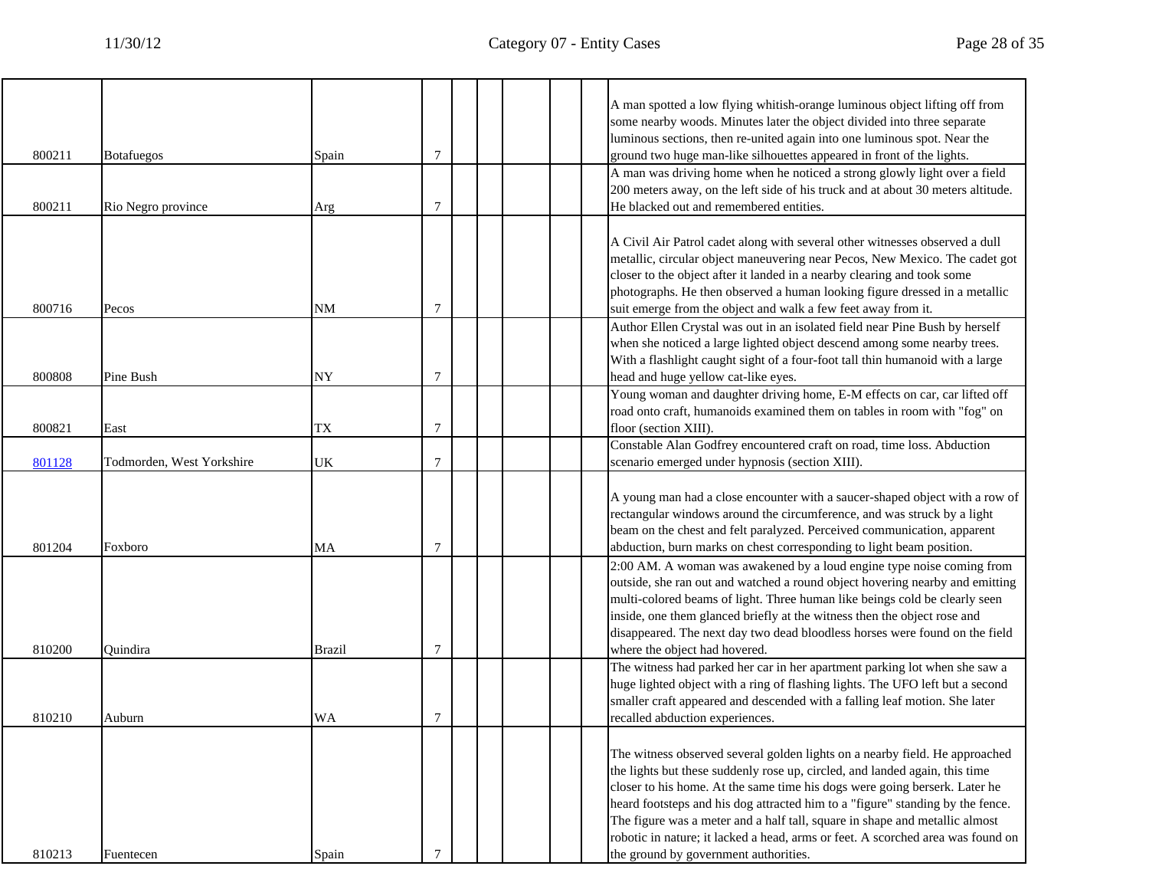|        |                           |               |                |  | A man spotted a low flying whitish-orange luminous object lifting off from<br>some nearby woods. Minutes later the object divided into three separate                                                                                                                                                                                                                                                                                                                                                                                 |
|--------|---------------------------|---------------|----------------|--|---------------------------------------------------------------------------------------------------------------------------------------------------------------------------------------------------------------------------------------------------------------------------------------------------------------------------------------------------------------------------------------------------------------------------------------------------------------------------------------------------------------------------------------|
| 800211 | <b>Botafuegos</b>         | Spain         | $\tau$         |  | luminous sections, then re-united again into one luminous spot. Near the<br>ground two huge man-like silhouettes appeared in front of the lights.                                                                                                                                                                                                                                                                                                                                                                                     |
| 800211 | Rio Negro province        | Arg           | $\overline{7}$ |  | A man was driving home when he noticed a strong glowly light over a field<br>200 meters away, on the left side of his truck and at about 30 meters altitude.<br>He blacked out and remembered entities.                                                                                                                                                                                                                                                                                                                               |
| 800716 | Pecos                     | $\rm{NM}$     | 7              |  | A Civil Air Patrol cadet along with several other witnesses observed a dull<br>metallic, circular object maneuvering near Pecos, New Mexico. The cadet got<br>closer to the object after it landed in a nearby clearing and took some<br>photographs. He then observed a human looking figure dressed in a metallic<br>suit emerge from the object and walk a few feet away from it.                                                                                                                                                  |
| 800808 | Pine Bush                 | NY            | 7              |  | Author Ellen Crystal was out in an isolated field near Pine Bush by herself<br>when she noticed a large lighted object descend among some nearby trees.<br>With a flashlight caught sight of a four-foot tall thin humanoid with a large<br>head and huge yellow cat-like eyes.                                                                                                                                                                                                                                                       |
| 800821 | East                      | TX            | 7              |  | Young woman and daughter driving home, E-M effects on car, car lifted off<br>road onto craft, humanoids examined them on tables in room with "fog" on<br>floor (section XIII).                                                                                                                                                                                                                                                                                                                                                        |
| 801128 | Todmorden, West Yorkshire | UK            | 7              |  | Constable Alan Godfrey encountered craft on road, time loss. Abduction<br>scenario emerged under hypnosis (section XIII).                                                                                                                                                                                                                                                                                                                                                                                                             |
| 801204 | Foxboro                   | МA            | 7              |  | A young man had a close encounter with a saucer-shaped object with a row of<br>rectangular windows around the circumference, and was struck by a light<br>beam on the chest and felt paralyzed. Perceived communication, apparent<br>abduction, burn marks on chest corresponding to light beam position.                                                                                                                                                                                                                             |
| 810200 | Ouindira                  | <b>Brazil</b> | 7              |  | 2:00 AM. A woman was awakened by a loud engine type noise coming from<br>outside, she ran out and watched a round object hovering nearby and emitting<br>multi-colored beams of light. Three human like beings cold be clearly seen<br>inside, one them glanced briefly at the witness then the object rose and<br>disappeared. The next day two dead bloodless horses were found on the field<br>where the object had hovered.                                                                                                       |
| 810210 | Auburn                    | <b>WA</b>     | 7              |  | The witness had parked her car in her apartment parking lot when she saw a<br>huge lighted object with a ring of flashing lights. The UFO left but a second<br>smaller craft appeared and descended with a falling leaf motion. She later<br>recalled abduction experiences.                                                                                                                                                                                                                                                          |
| 810213 | Fuentecen                 | Spain         | $\tau$         |  | The witness observed several golden lights on a nearby field. He approached<br>the lights but these suddenly rose up, circled, and landed again, this time<br>closer to his home. At the same time his dogs were going berserk. Later he<br>heard footsteps and his dog attracted him to a "figure" standing by the fence.<br>The figure was a meter and a half tall, square in shape and metallic almost<br>robotic in nature; it lacked a head, arms or feet. A scorched area was found on<br>the ground by government authorities. |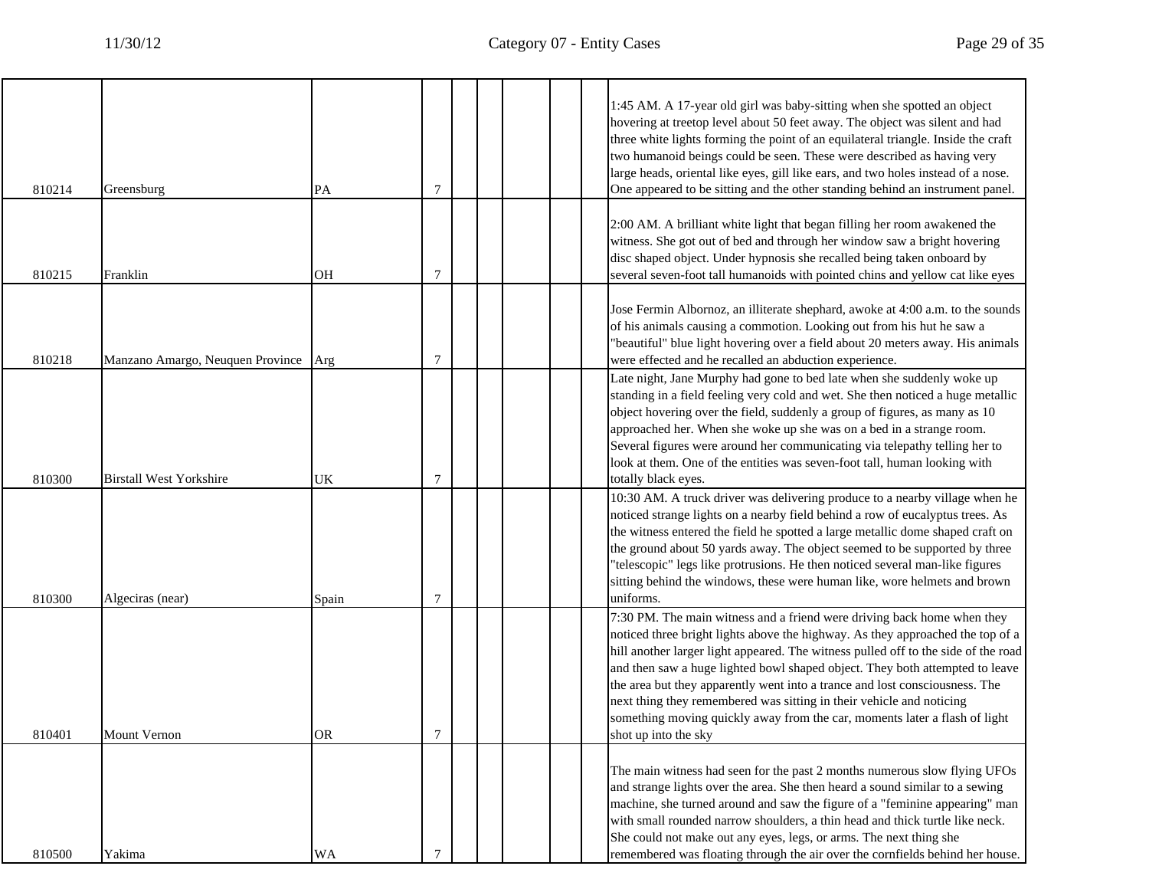$\overline{\phantom{a}}$ 

| 810214 | Greensburg                           | PA        | 7              |  | 1:45 AM. A 17-year old girl was baby-sitting when she spotted an object<br>hovering at treetop level about 50 feet away. The object was silent and had<br>three white lights forming the point of an equilateral triangle. Inside the craft<br>two humanoid beings could be seen. These were described as having very<br>large heads, oriental like eyes, gill like ears, and two holes instead of a nose.<br>One appeared to be sitting and the other standing behind an instrument panel.                                                                                                  |
|--------|--------------------------------------|-----------|----------------|--|----------------------------------------------------------------------------------------------------------------------------------------------------------------------------------------------------------------------------------------------------------------------------------------------------------------------------------------------------------------------------------------------------------------------------------------------------------------------------------------------------------------------------------------------------------------------------------------------|
| 810215 | Franklin                             | OН        | 7              |  | 2:00 AM. A brilliant white light that began filling her room awakened the<br>witness. She got out of bed and through her window saw a bright hovering<br>disc shaped object. Under hypnosis she recalled being taken onboard by<br>several seven-foot tall humanoids with pointed chins and yellow cat like eyes                                                                                                                                                                                                                                                                             |
| 810218 | Manzano Amargo, Neuquen Province Arg |           | $\overline{7}$ |  | Jose Fermin Albornoz, an illiterate shephard, awoke at 4:00 a.m. to the sounds<br>of his animals causing a commotion. Looking out from his hut he saw a<br>'beautiful" blue light hovering over a field about 20 meters away. His animals<br>were effected and he recalled an abduction experience.                                                                                                                                                                                                                                                                                          |
| 810300 | <b>Birstall West Yorkshire</b>       | UK        | 7              |  | Late night, Jane Murphy had gone to bed late when she suddenly woke up<br>standing in a field feeling very cold and wet. She then noticed a huge metallic<br>object hovering over the field, suddenly a group of figures, as many as 10<br>approached her. When she woke up she was on a bed in a strange room.<br>Several figures were around her communicating via telepathy telling her to<br>look at them. One of the entities was seven-foot tall, human looking with<br>totally black eyes.                                                                                            |
| 810300 | Algeciras (near)                     | Spain     | $\overline{7}$ |  | 10:30 AM. A truck driver was delivering produce to a nearby village when he<br>noticed strange lights on a nearby field behind a row of eucalyptus trees. As<br>the witness entered the field he spotted a large metallic dome shaped craft on<br>the ground about 50 yards away. The object seemed to be supported by three<br>"telescopic" legs like protrusions. He then noticed several man-like figures<br>sitting behind the windows, these were human like, wore helmets and brown<br>uniforms.                                                                                       |
| 810401 | <b>Mount Vernon</b>                  | <b>OR</b> | 7              |  | 7:30 PM. The main witness and a friend were driving back home when they<br>noticed three bright lights above the highway. As they approached the top of a<br>hill another larger light appeared. The witness pulled off to the side of the road<br>and then saw a huge lighted bowl shaped object. They both attempted to leave<br>the area but they apparently went into a trance and lost consciousness. The<br>next thing they remembered was sitting in their vehicle and noticing<br>something moving quickly away from the car, moments later a flash of light<br>shot up into the sky |
| 810500 | Yakima                               | WA        |                |  | The main witness had seen for the past 2 months numerous slow flying UFOs<br>and strange lights over the area. She then heard a sound similar to a sewing<br>machine, she turned around and saw the figure of a "feminine appearing" man<br>with small rounded narrow shoulders, a thin head and thick turtle like neck.<br>She could not make out any eyes, legs, or arms. The next thing she<br>remembered was floating through the air over the cornfields behind her house.                                                                                                              |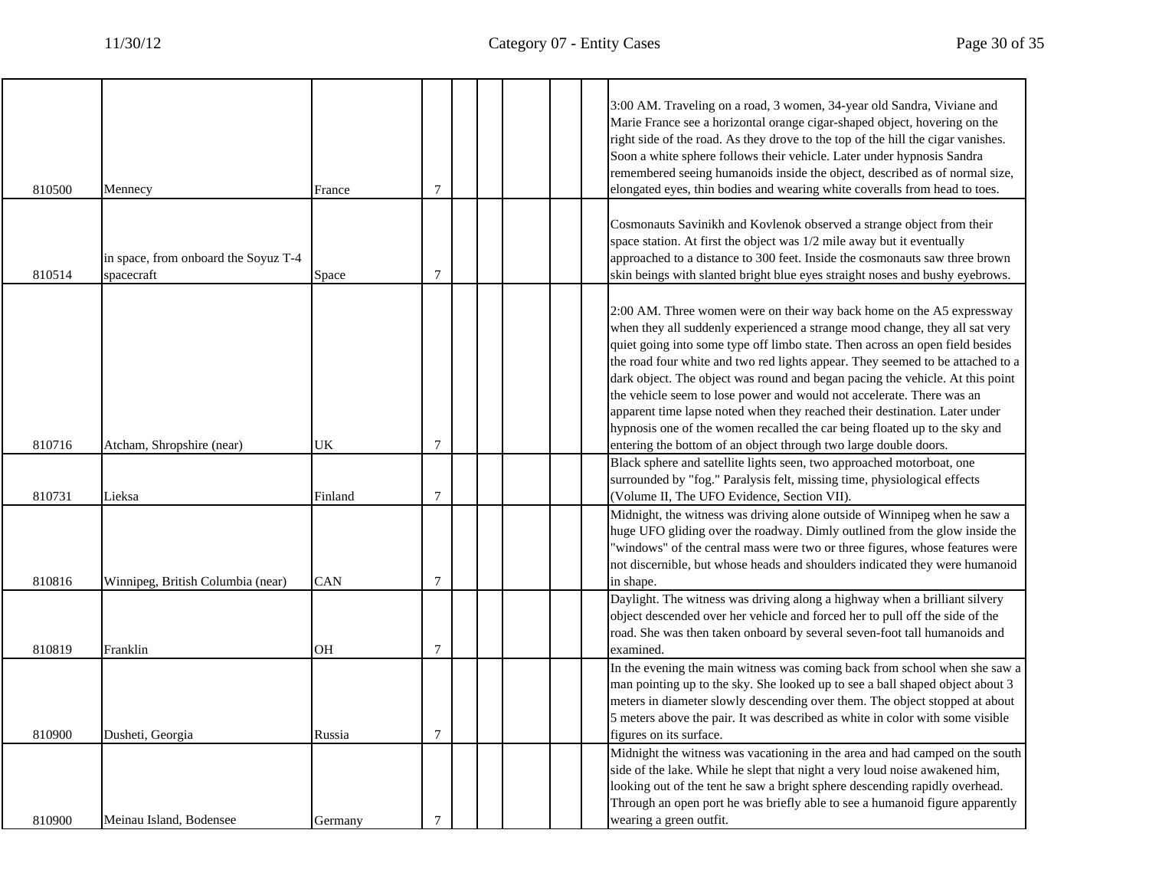L

| 810500 | Mennecy                                            | France     | 7              |  | 3:00 AM. Traveling on a road, 3 women, 34-year old Sandra, Viviane and<br>Marie France see a horizontal orange cigar-shaped object, hovering on the<br>right side of the road. As they drove to the top of the hill the cigar vanishes.<br>Soon a white sphere follows their vehicle. Later under hypnosis Sandra<br>remembered seeing humanoids inside the object, described as of normal size,<br>elongated eyes, thin bodies and wearing white coveralls from head to toes.                                                                                                                                                                                                                                    |
|--------|----------------------------------------------------|------------|----------------|--|-------------------------------------------------------------------------------------------------------------------------------------------------------------------------------------------------------------------------------------------------------------------------------------------------------------------------------------------------------------------------------------------------------------------------------------------------------------------------------------------------------------------------------------------------------------------------------------------------------------------------------------------------------------------------------------------------------------------|
| 810514 | in space, from onboard the Soyuz T-4<br>spacecraft | Space      | $\overline{7}$ |  | Cosmonauts Savinikh and Kovlenok observed a strange object from their<br>space station. At first the object was 1/2 mile away but it eventually<br>approached to a distance to 300 feet. Inside the cosmonauts saw three brown<br>skin beings with slanted bright blue eyes straight noses and bushy eyebrows.                                                                                                                                                                                                                                                                                                                                                                                                    |
| 810716 | Atcham, Shropshire (near)                          | UK         | $\overline{7}$ |  | 2:00 AM. Three women were on their way back home on the A5 expressway<br>when they all suddenly experienced a strange mood change, they all sat very<br>quiet going into some type off limbo state. Then across an open field besides<br>the road four white and two red lights appear. They seemed to be attached to a<br>dark object. The object was round and began pacing the vehicle. At this point<br>the vehicle seem to lose power and would not accelerate. There was an<br>apparent time lapse noted when they reached their destination. Later under<br>hypnosis one of the women recalled the car being floated up to the sky and<br>entering the bottom of an object through two large double doors. |
| 810731 | Lieksa                                             | Finland    | 7              |  | Black sphere and satellite lights seen, two approached motorboat, one<br>surrounded by "fog." Paralysis felt, missing time, physiological effects<br>(Volume II, The UFO Evidence, Section VII).                                                                                                                                                                                                                                                                                                                                                                                                                                                                                                                  |
| 810816 | Winnipeg, British Columbia (near)                  | <b>CAN</b> | $\overline{7}$ |  | Midnight, the witness was driving alone outside of Winnipeg when he saw a<br>huge UFO gliding over the roadway. Dimly outlined from the glow inside the<br>"windows" of the central mass were two or three figures, whose features were<br>not discernible, but whose heads and shoulders indicated they were humanoid<br>in shape.                                                                                                                                                                                                                                                                                                                                                                               |
| 810819 | Franklin                                           | OН         | $\tau$         |  | Daylight. The witness was driving along a highway when a brilliant silvery<br>object descended over her vehicle and forced her to pull off the side of the<br>road. She was then taken onboard by several seven-foot tall humanoids and<br>examined.                                                                                                                                                                                                                                                                                                                                                                                                                                                              |
| 810900 | Dusheti, Georgia                                   | Russia     | 7              |  | In the evening the main witness was coming back from school when she saw a<br>man pointing up to the sky. She looked up to see a ball shaped object about 3<br>meters in diameter slowly descending over them. The object stopped at about<br>5 meters above the pair. It was described as white in color with some visible<br>figures on its surface.                                                                                                                                                                                                                                                                                                                                                            |
| 810900 | Meinau Island, Bodensee                            | Germany    | $\tau$         |  | Midnight the witness was vacationing in the area and had camped on the south<br>side of the lake. While he slept that night a very loud noise awakened him,<br>looking out of the tent he saw a bright sphere descending rapidly overhead.<br>Through an open port he was briefly able to see a humanoid figure apparently<br>wearing a green outfit.                                                                                                                                                                                                                                                                                                                                                             |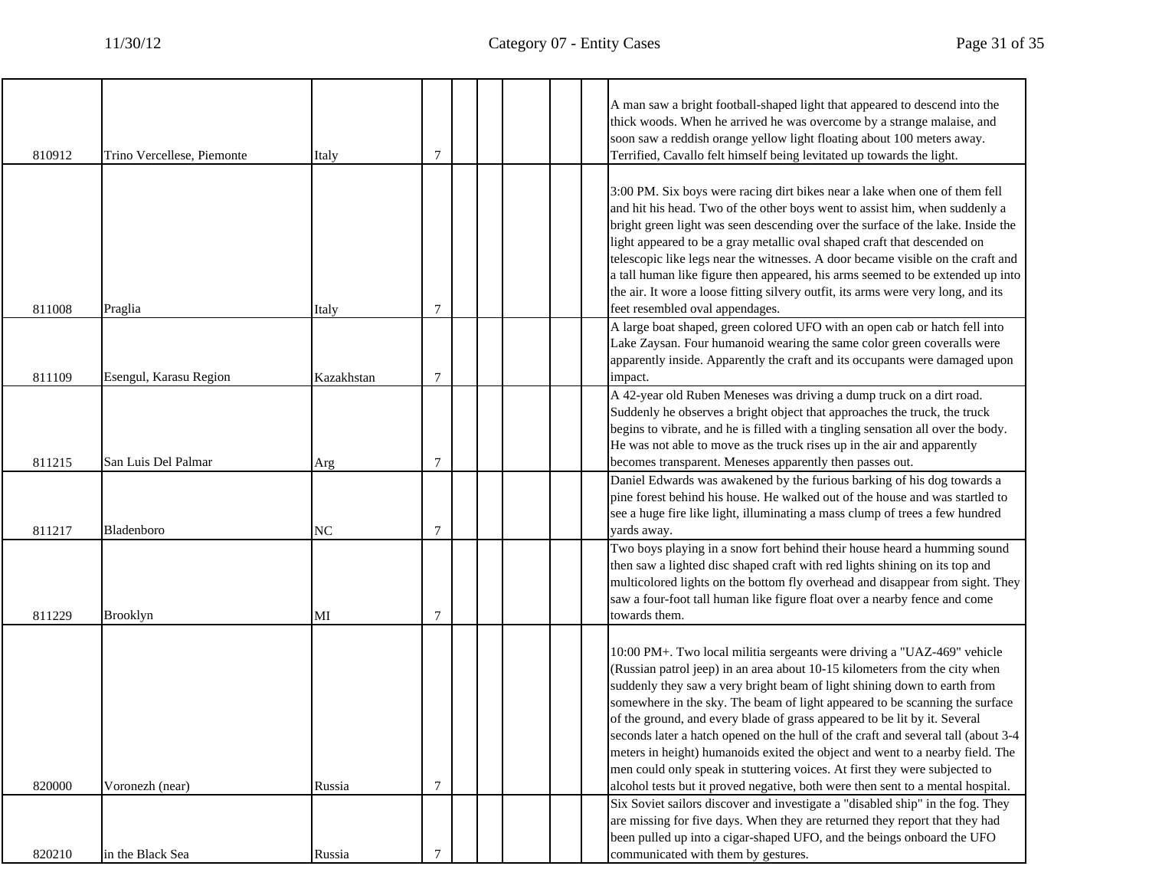$\overline{\phantom{a}}$ 

|        |                            |            |                |  | A man saw a bright football-shaped light that appeared to descend into the<br>thick woods. When he arrived he was overcome by a strange malaise, and<br>soon saw a reddish orange yellow light floating about 100 meters away.                                                                                                                                                                                                                                                                                                                                                                                                                                                                                                       |
|--------|----------------------------|------------|----------------|--|--------------------------------------------------------------------------------------------------------------------------------------------------------------------------------------------------------------------------------------------------------------------------------------------------------------------------------------------------------------------------------------------------------------------------------------------------------------------------------------------------------------------------------------------------------------------------------------------------------------------------------------------------------------------------------------------------------------------------------------|
| 810912 | Trino Vercellese, Piemonte | Italy      | 7              |  | Terrified, Cavallo felt himself being levitated up towards the light.<br>3:00 PM. Six boys were racing dirt bikes near a lake when one of them fell<br>and hit his head. Two of the other boys went to assist him, when suddenly a<br>bright green light was seen descending over the surface of the lake. Inside the<br>light appeared to be a gray metallic oval shaped craft that descended on<br>telescopic like legs near the witnesses. A door became visible on the craft and<br>a tall human like figure then appeared, his arms seemed to be extended up into<br>the air. It wore a loose fitting silvery outfit, its arms were very long, and its                                                                          |
| 811008 | Praglia                    | Italy      | 7              |  | feet resembled oval appendages.                                                                                                                                                                                                                                                                                                                                                                                                                                                                                                                                                                                                                                                                                                      |
| 811109 | Esengul, Karasu Region     | Kazakhstan | $\tau$         |  | A large boat shaped, green colored UFO with an open cab or hatch fell into<br>Lake Zaysan. Four humanoid wearing the same color green coveralls were<br>apparently inside. Apparently the craft and its occupants were damaged upon<br>impact.                                                                                                                                                                                                                                                                                                                                                                                                                                                                                       |
| 811215 | San Luis Del Palmar        | Arg        | $\overline{7}$ |  | A 42-year old Ruben Meneses was driving a dump truck on a dirt road.<br>Suddenly he observes a bright object that approaches the truck, the truck<br>begins to vibrate, and he is filled with a tingling sensation all over the body.<br>He was not able to move as the truck rises up in the air and apparently<br>becomes transparent. Meneses apparently then passes out.                                                                                                                                                                                                                                                                                                                                                         |
| 811217 | Bladenboro                 | NC         | 7              |  | Daniel Edwards was awakened by the furious barking of his dog towards a<br>pine forest behind his house. He walked out of the house and was startled to<br>see a huge fire like light, illuminating a mass clump of trees a few hundred<br>yards away.                                                                                                                                                                                                                                                                                                                                                                                                                                                                               |
| 811229 | <b>Brooklyn</b>            | MI         | 7              |  | Two boys playing in a snow fort behind their house heard a humming sound<br>then saw a lighted disc shaped craft with red lights shining on its top and<br>multicolored lights on the bottom fly overhead and disappear from sight. They<br>saw a four-foot tall human like figure float over a nearby fence and come<br>towards them.                                                                                                                                                                                                                                                                                                                                                                                               |
| 820000 | Voronezh (near)            | Russia     | $\tau$         |  | 10:00 PM+. Two local militia sergeants were driving a "UAZ-469" vehicle<br>(Russian patrol jeep) in an area about 10-15 kilometers from the city when<br>suddenly they saw a very bright beam of light shining down to earth from<br>somewhere in the sky. The beam of light appeared to be scanning the surface<br>of the ground, and every blade of grass appeared to be lit by it. Several<br>seconds later a hatch opened on the hull of the craft and several tall (about 3-4<br>meters in height) humanoids exited the object and went to a nearby field. The<br>men could only speak in stuttering voices. At first they were subjected to<br>alcohol tests but it proved negative, both were then sent to a mental hospital. |
|        |                            |            |                |  | Six Soviet sailors discover and investigate a "disabled ship" in the fog. They<br>are missing for five days. When they are returned they report that they had                                                                                                                                                                                                                                                                                                                                                                                                                                                                                                                                                                        |
|        |                            |            |                |  | been pulled up into a cigar-shaped UFO, and the beings onboard the UFO                                                                                                                                                                                                                                                                                                                                                                                                                                                                                                                                                                                                                                                               |
| 820210 | in the Black Sea           | Russia     | 7              |  | communicated with them by gestures.                                                                                                                                                                                                                                                                                                                                                                                                                                                                                                                                                                                                                                                                                                  |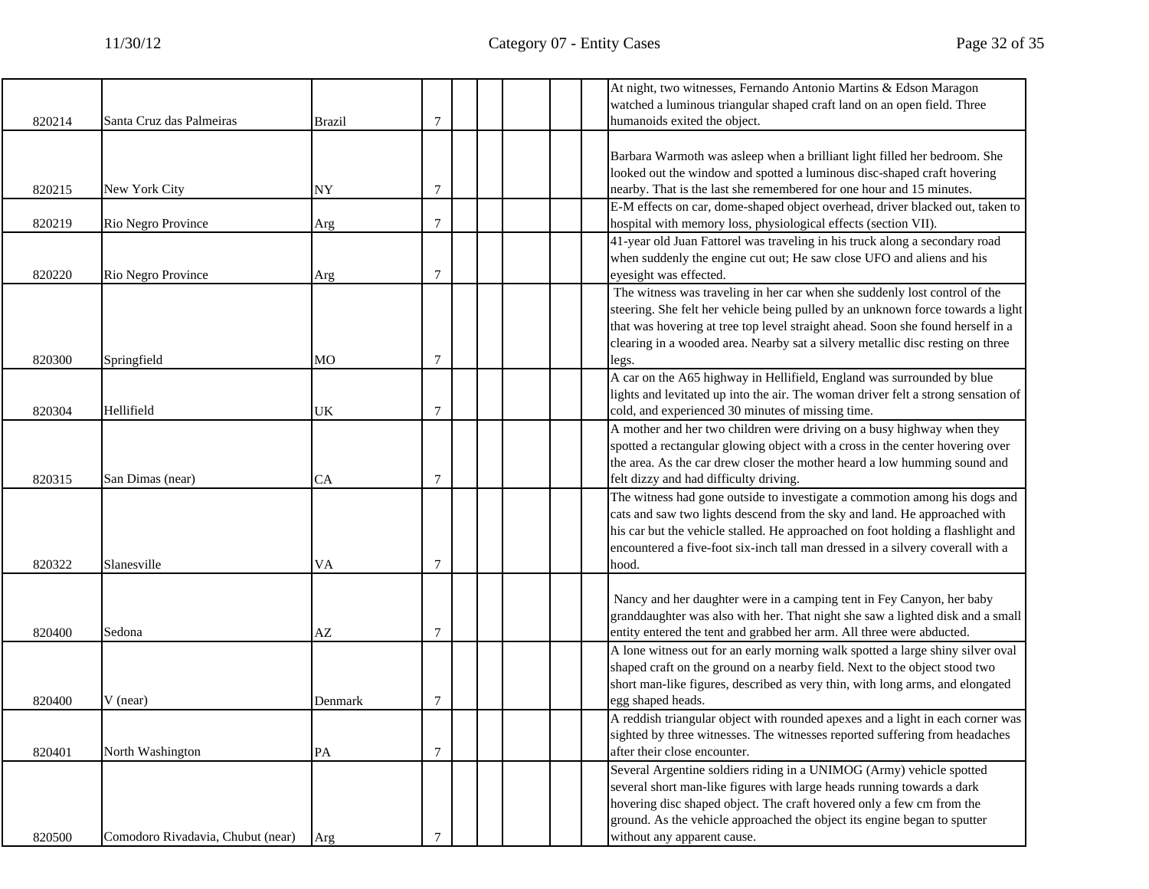|        |                                   |               |                |  |  | At night, two witnesses, Fernando Antonio Martins & Edson Maragon                                                                                                  |
|--------|-----------------------------------|---------------|----------------|--|--|--------------------------------------------------------------------------------------------------------------------------------------------------------------------|
|        |                                   |               |                |  |  | watched a luminous triangular shaped craft land on an open field. Three                                                                                            |
| 820214 | Santa Cruz das Palmeiras          | <b>Brazil</b> | 7              |  |  | humanoids exited the object.                                                                                                                                       |
|        |                                   |               |                |  |  |                                                                                                                                                                    |
|        |                                   |               |                |  |  | Barbara Warmoth was asleep when a brilliant light filled her bedroom. She                                                                                          |
|        |                                   |               |                |  |  | looked out the window and spotted a luminous disc-shaped craft hovering                                                                                            |
| 820215 | New York City                     | NY            | 7              |  |  | nearby. That is the last she remembered for one hour and 15 minutes.                                                                                               |
|        |                                   |               |                |  |  | E-M effects on car, dome-shaped object overhead, driver blacked out, taken to                                                                                      |
| 820219 | Rio Negro Province                | Arg           | 7              |  |  | hospital with memory loss, physiological effects (section VII).                                                                                                    |
|        |                                   |               |                |  |  | 41-year old Juan Fattorel was traveling in his truck along a secondary road                                                                                        |
|        |                                   |               | 7              |  |  | when suddenly the engine cut out; He saw close UFO and aliens and his<br>eyesight was effected.                                                                    |
| 820220 | Rio Negro Province                | Arg           |                |  |  |                                                                                                                                                                    |
|        |                                   |               |                |  |  | The witness was traveling in her car when she suddenly lost control of the                                                                                         |
|        |                                   |               |                |  |  | steering. She felt her vehicle being pulled by an unknown force towards a light<br>that was hovering at tree top level straight ahead. Soon she found herself in a |
|        |                                   |               |                |  |  | clearing in a wooded area. Nearby sat a silvery metallic disc resting on three                                                                                     |
| 820300 | Springfield                       | MO            | 7              |  |  | legs.                                                                                                                                                              |
|        |                                   |               |                |  |  | A car on the A65 highway in Hellifield, England was surrounded by blue                                                                                             |
|        |                                   |               |                |  |  | lights and levitated up into the air. The woman driver felt a strong sensation of                                                                                  |
| 820304 | Hellifield                        | UK            | 7              |  |  | cold, and experienced 30 minutes of missing time.                                                                                                                  |
|        |                                   |               |                |  |  | A mother and her two children were driving on a busy highway when they                                                                                             |
|        |                                   |               |                |  |  | spotted a rectangular glowing object with a cross in the center hovering over                                                                                      |
|        |                                   |               |                |  |  | the area. As the car drew closer the mother heard a low humming sound and                                                                                          |
| 820315 | San Dimas (near)                  | CA            | 7              |  |  | felt dizzy and had difficulty driving.                                                                                                                             |
|        |                                   |               |                |  |  | The witness had gone outside to investigate a commotion among his dogs and                                                                                         |
|        |                                   |               |                |  |  | cats and saw two lights descend from the sky and land. He approached with                                                                                          |
|        |                                   |               |                |  |  | his car but the vehicle stalled. He approached on foot holding a flashlight and                                                                                    |
|        |                                   |               |                |  |  | encountered a five-foot six-inch tall man dressed in a silvery coverall with a                                                                                     |
| 820322 | Slanesville                       | VA            | 7              |  |  | hood.                                                                                                                                                              |
|        |                                   |               |                |  |  |                                                                                                                                                                    |
|        |                                   |               |                |  |  | Nancy and her daughter were in a camping tent in Fey Canyon, her baby                                                                                              |
|        |                                   |               |                |  |  | granddaughter was also with her. That night she saw a lighted disk and a small                                                                                     |
| 820400 | Sedona                            | AZ            | 7              |  |  | entity entered the tent and grabbed her arm. All three were abducted.                                                                                              |
|        |                                   |               |                |  |  | A lone witness out for an early morning walk spotted a large shiny silver oval                                                                                     |
|        |                                   |               |                |  |  | shaped craft on the ground on a nearby field. Next to the object stood two                                                                                         |
|        |                                   |               |                |  |  | short man-like figures, described as very thin, with long arms, and elongated                                                                                      |
| 820400 | $V$ (near)                        | Denmark       | 7              |  |  | egg shaped heads.                                                                                                                                                  |
|        |                                   |               |                |  |  | A reddish triangular object with rounded apexes and a light in each corner was                                                                                     |
|        |                                   |               |                |  |  | sighted by three witnesses. The witnesses reported suffering from headaches                                                                                        |
| 820401 | North Washington                  | PA            | $\overline{7}$ |  |  | after their close encounter.                                                                                                                                       |
|        |                                   |               |                |  |  | Several Argentine soldiers riding in a UNIMOG (Army) vehicle spotted                                                                                               |
|        |                                   |               |                |  |  | several short man-like figures with large heads running towards a dark                                                                                             |
|        |                                   |               |                |  |  | hovering disc shaped object. The craft hovered only a few cm from the                                                                                              |
|        |                                   |               |                |  |  | ground. As the vehicle approached the object its engine began to sputter                                                                                           |
| 820500 | Comodoro Rivadavia, Chubut (near) | Arg           | 7              |  |  | without any apparent cause.                                                                                                                                        |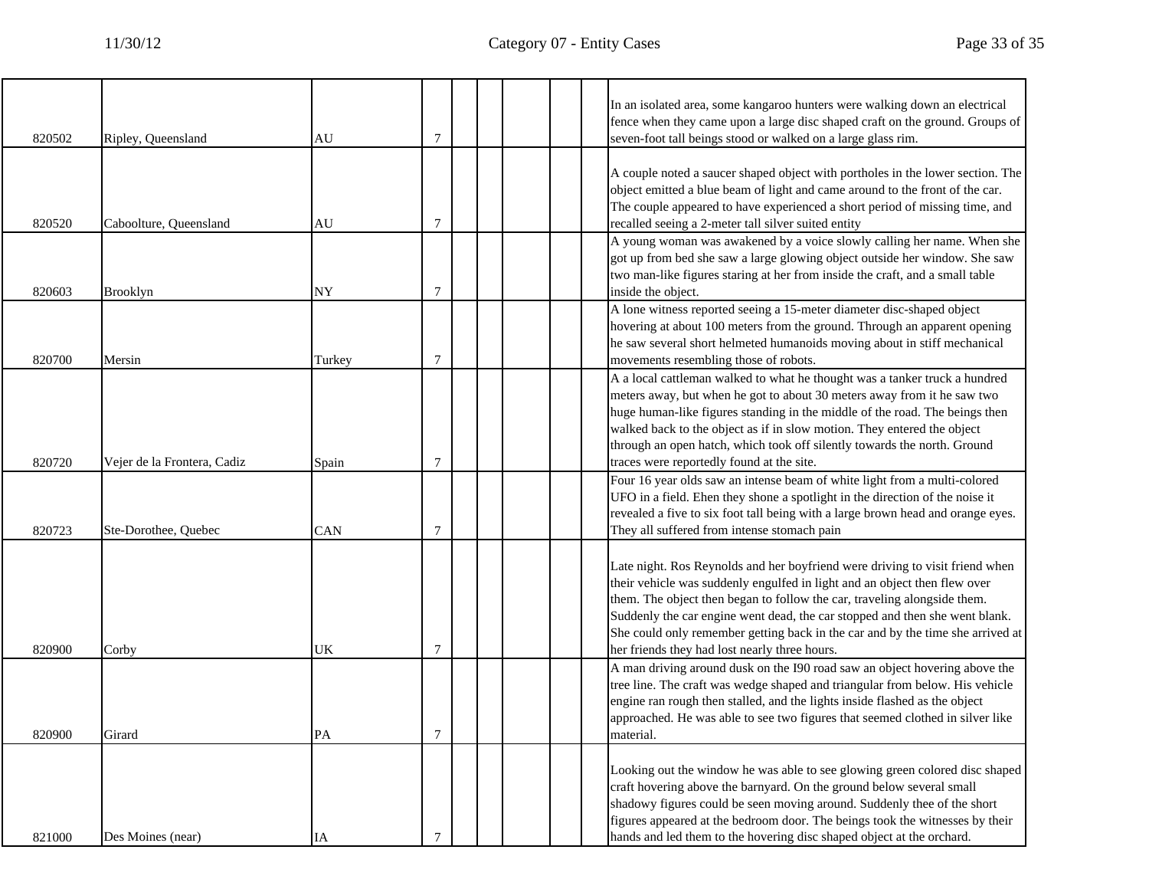| 820502 | Ripley, Queensland          | AU        | 7              |  |  | In an isolated area, some kangaroo hunters were walking down an electrical<br>fence when they came upon a large disc shaped craft on the ground. Groups of<br>seven-foot tall beings stood or walked on a large glass rim.                                                                                                                                                                                                                              |
|--------|-----------------------------|-----------|----------------|--|--|---------------------------------------------------------------------------------------------------------------------------------------------------------------------------------------------------------------------------------------------------------------------------------------------------------------------------------------------------------------------------------------------------------------------------------------------------------|
| 820520 | Caboolture, Queensland      | AU        | 7              |  |  | A couple noted a saucer shaped object with portholes in the lower section. The<br>object emitted a blue beam of light and came around to the front of the car.<br>The couple appeared to have experienced a short period of missing time, and<br>recalled seeing a 2-meter tall silver suited entity                                                                                                                                                    |
| 820603 | <b>Brooklyn</b>             | <b>NY</b> | 7              |  |  | A young woman was awakened by a voice slowly calling her name. When she<br>got up from bed she saw a large glowing object outside her window. She saw<br>two man-like figures staring at her from inside the craft, and a small table<br>inside the object.                                                                                                                                                                                             |
| 820700 | Mersin                      | Turkey    | 7              |  |  | A lone witness reported seeing a 15-meter diameter disc-shaped object<br>hovering at about 100 meters from the ground. Through an apparent opening<br>he saw several short helmeted humanoids moving about in stiff mechanical<br>movements resembling those of robots.                                                                                                                                                                                 |
| 820720 | Vejer de la Frontera, Cadiz | Spain     | 7              |  |  | A a local cattleman walked to what he thought was a tanker truck a hundred<br>meters away, but when he got to about 30 meters away from it he saw two<br>huge human-like figures standing in the middle of the road. The beings then<br>walked back to the object as if in slow motion. They entered the object<br>through an open hatch, which took off silently towards the north. Ground<br>traces were reportedly found at the site.                |
| 820723 | Ste-Dorothee, Quebec        | CAN       | 7              |  |  | Four 16 year olds saw an intense beam of white light from a multi-colored<br>UFO in a field. Ehen they shone a spotlight in the direction of the noise it<br>revealed a five to six foot tall being with a large brown head and orange eyes.<br>They all suffered from intense stomach pain                                                                                                                                                             |
| 820900 | Corby                       | UK        | 7              |  |  | Late night. Ros Reynolds and her boyfriend were driving to visit friend when<br>their vehicle was suddenly engulfed in light and an object then flew over<br>them. The object then began to follow the car, traveling alongside them.<br>Suddenly the car engine went dead, the car stopped and then she went blank.<br>She could only remember getting back in the car and by the time she arrived at<br>her friends they had lost nearly three hours. |
| 820900 | Girard                      | PA        |                |  |  | A man driving around dusk on the I90 road saw an object hovering above the<br>tree line. The craft was wedge shaped and triangular from below. His vehicle<br>engine ran rough then stalled, and the lights inside flashed as the object<br>approached. He was able to see two figures that seemed clothed in silver like<br>material.                                                                                                                  |
| 821000 | Des Moines (near)           | IA        | $\overline{7}$ |  |  | Looking out the window he was able to see glowing green colored disc shaped<br>craft hovering above the barnyard. On the ground below several small<br>shadowy figures could be seen moving around. Suddenly thee of the short<br>figures appeared at the bedroom door. The beings took the witnesses by their<br>hands and led them to the hovering disc shaped object at the orchard.                                                                 |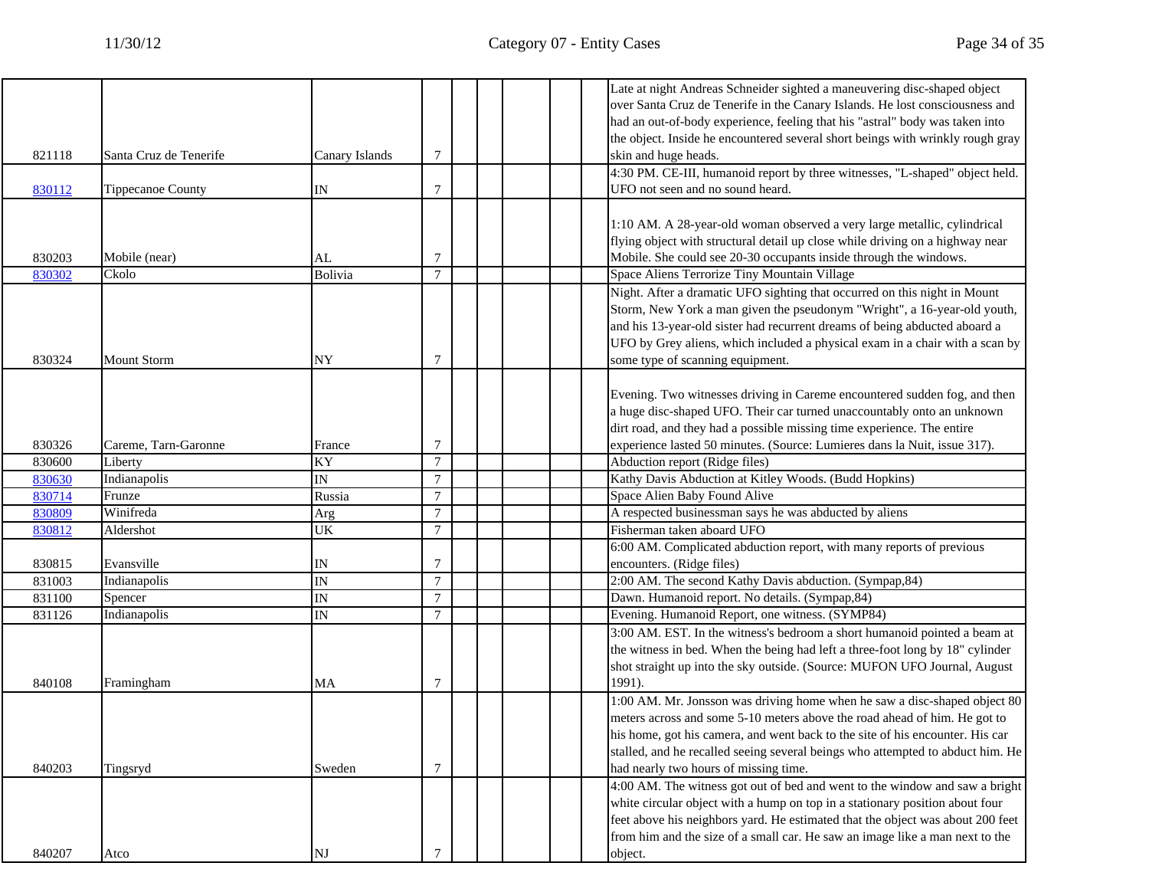|        |                          |                          |                 | Late at night Andreas Schneider sighted a maneuvering disc-shaped object       |
|--------|--------------------------|--------------------------|-----------------|--------------------------------------------------------------------------------|
|        |                          |                          |                 | over Santa Cruz de Tenerife in the Canary Islands. He lost consciousness and   |
|        |                          |                          |                 | had an out-of-body experience, feeling that his "astral" body was taken into   |
|        |                          |                          |                 | the object. Inside he encountered several short beings with wrinkly rough gray |
| 821118 | Santa Cruz de Tenerife   | Canary Islands           | 7               | skin and huge heads.                                                           |
|        |                          |                          |                 | 4:30 PM. CE-III, humanoid report by three witnesses, "L-shaped" object held.   |
| 830112 | <b>Tippecanoe County</b> | IN                       | 7               | UFO not seen and no sound heard.                                               |
|        |                          |                          |                 |                                                                                |
|        |                          |                          |                 | 1:10 AM. A 28-year-old woman observed a very large metallic, cylindrical       |
|        |                          |                          |                 | flying object with structural detail up close while driving on a highway near  |
| 830203 | Mobile (near)            | AL                       | 7               | Mobile. She could see 20-30 occupants inside through the windows.              |
| 830302 | Ckolo                    | Bolivia                  | $\tau$          | Space Aliens Terrorize Tiny Mountain Village                                   |
|        |                          |                          |                 | Night. After a dramatic UFO sighting that occurred on this night in Mount      |
|        |                          |                          |                 |                                                                                |
|        |                          |                          |                 | Storm, New York a man given the pseudonym "Wright", a 16-year-old youth,       |
|        |                          |                          |                 | and his 13-year-old sister had recurrent dreams of being abducted aboard a     |
|        |                          |                          |                 | UFO by Grey aliens, which included a physical exam in a chair with a scan by   |
| 830324 | <b>Mount Storm</b>       | NY                       | 7               | some type of scanning equipment.                                               |
|        |                          |                          |                 |                                                                                |
|        |                          |                          |                 | Evening. Two witnesses driving in Careme encountered sudden fog, and then      |
|        |                          |                          |                 | a huge disc-shaped UFO. Their car turned unaccountably onto an unknown         |
|        |                          |                          |                 | dirt road, and they had a possible missing time experience. The entire         |
| 830326 | Careme, Tarn-Garonne     | France                   | 7               | experience lasted 50 minutes. (Source: Lumieres dans la Nuit, issue 317).      |
| 830600 | Liberty                  | KY                       | $7\phantom{.0}$ | Abduction report (Ridge files)                                                 |
| 830630 | Indianapolis             | $\overline{\mathbb{N}}$  | $\tau$          | Kathy Davis Abduction at Kitley Woods. (Budd Hopkins)                          |
| 830714 | Frunze                   | Russia                   | $\overline{7}$  | Space Alien Baby Found Alive                                                   |
| 830809 | Winifreda                | Arg                      | $\tau$          | A respected businessman says he was abducted by aliens                         |
| 830812 | Aldershot                | <b>UK</b>                | $\tau$          | Fisherman taken aboard UFO                                                     |
|        |                          |                          |                 | 6:00 AM. Complicated abduction report, with many reports of previous           |
| 830815 | Evansville               | IN                       | 7               | encounters. (Ridge files)                                                      |
| 831003 | Indianapolis             | $\overline{\mathbb{N}}$  | $\tau$          | 2:00 AM. The second Kathy Davis abduction. (Sympap, 84)                        |
| 831100 | Spencer                  | $\mathbb{I}\mathcal{N}$  | $\tau$          | Dawn. Humanoid report. No details. (Sympap, 84)                                |
| 831126 | Indianapolis             | $\ensuremath{\text{IN}}$ | $\tau$          | Evening. Humanoid Report, one witness. (SYMP84)                                |
|        |                          |                          |                 | 3:00 AM. EST. In the witness's bedroom a short humanoid pointed a beam at      |
|        |                          |                          |                 | the witness in bed. When the being had left a three-foot long by 18" cylinder  |
|        |                          |                          |                 | shot straight up into the sky outside. (Source: MUFON UFO Journal, August      |
| 840108 | Framingham               | MA                       | $\overline{7}$  | 1991).                                                                         |
|        |                          |                          |                 | 1:00 AM. Mr. Jonsson was driving home when he saw a disc-shaped object 80      |
|        |                          |                          |                 | meters across and some 5-10 meters above the road ahead of him. He got to      |
|        |                          |                          |                 | his home, got his camera, and went back to the site of his encounter. His car  |
|        |                          |                          |                 |                                                                                |
|        |                          |                          |                 | stalled, and he recalled seeing several beings who attempted to abduct him. He |
| 840203 | Tingsryd                 | Sweden                   | $\tau$          | had nearly two hours of missing time.                                          |
|        |                          |                          |                 | 4:00 AM. The witness got out of bed and went to the window and saw a bright    |
|        |                          |                          |                 | white circular object with a hump on top in a stationary position about four   |
|        |                          |                          |                 | feet above his neighbors yard. He estimated that the object was about 200 feet |
|        |                          |                          |                 | from him and the size of a small car. He saw an image like a man next to the   |
| 840207 | Atco                     | $_{\rm NJ}$              | $\tau$          | object.                                                                        |